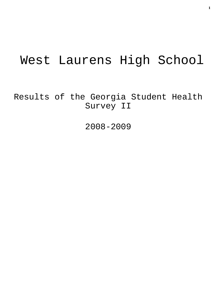# West Laurens High School

Results of the Georgia Student Health Survey II

2008-2009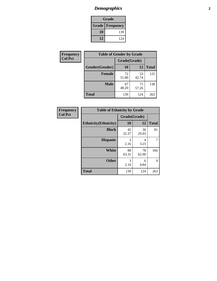# *Demographics* **2**

| <b>Grade</b>             |     |  |  |
|--------------------------|-----|--|--|
| <b>Grade   Frequency</b> |     |  |  |
| 10                       | 139 |  |  |
| 12                       | 124 |  |  |

| <b>Frequency</b> | <b>Table of Gender by Grade</b> |              |             |              |  |
|------------------|---------------------------------|--------------|-------------|--------------|--|
| <b>Col Pct</b>   |                                 | Grade(Grade) |             |              |  |
|                  | Gender(Gender)                  | 10           | 12          | <b>Total</b> |  |
|                  | <b>Female</b>                   | 72<br>51.80  | 53<br>42.74 | 125          |  |
|                  | <b>Male</b>                     | 67<br>48.20  | 71<br>57.26 | 138          |  |
|                  | <b>Total</b>                    | 139          | 124         | 263          |  |

| <b>Frequency</b> |
|------------------|
| <b>Col Pct</b>   |

| <b>Table of Ethnicity by Grade</b> |              |             |              |  |  |  |
|------------------------------------|--------------|-------------|--------------|--|--|--|
|                                    | Grade(Grade) |             |              |  |  |  |
| <b>Ethnicity</b> (Ethnicity)       | 10           | 12          | <b>Total</b> |  |  |  |
| <b>Black</b>                       | 45<br>32.37  | 36<br>29.03 | 81           |  |  |  |
| <b>Hispanic</b>                    | 3<br>2.16    | 4<br>3.23   | 7            |  |  |  |
| White                              | 88<br>63.31  | 78<br>62.90 | 166          |  |  |  |
| <b>Other</b>                       | 3<br>2.16    | 6<br>4.84   | 9            |  |  |  |
| <b>Total</b>                       | 139          | 124         | 263          |  |  |  |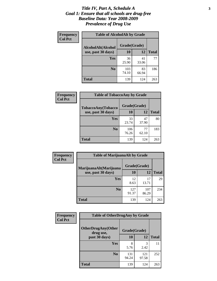#### *Title IV, Part A, Schedule A* **3** *Goal 1: Ensure that all schools are drug-free Baseline Data: Year 2008-2009 Prevalence of Drug Use*

| Frequency<br><b>Col Pct</b> | <b>Table of AlcoholAlt by Grade</b> |              |             |              |  |
|-----------------------------|-------------------------------------|--------------|-------------|--------------|--|
|                             | AlcoholAlt(Alcohol                  | Grade(Grade) |             |              |  |
|                             | use, past 30 days)                  | <b>10</b>    | 12          | <b>Total</b> |  |
|                             | Yes                                 | 36<br>25.90  | 41<br>33.06 | 77           |  |
|                             | N <sub>0</sub>                      | 103<br>74.10 | 83<br>66.94 | 186          |  |
|                             | Total                               | 139          | 124         | 263          |  |

| Frequency      | <b>Table of TobaccoAny by Grade</b> |              |             |              |  |
|----------------|-------------------------------------|--------------|-------------|--------------|--|
| <b>Col Pct</b> | <b>TobaccoAny(Tobacco</b>           | Grade(Grade) |             |              |  |
|                | use, past 30 days)                  | 10           | 12          | <b>Total</b> |  |
|                | Yes                                 | 33<br>23.74  | 47<br>37.90 | 80           |  |
|                | N <sub>0</sub>                      | 106<br>76.26 | 77<br>62.10 | 183          |  |
|                | Total                               | 139          | 124         | 263          |  |

| Frequency<br><b>Col Pct</b> | <b>Table of MarijuanaAlt by Grade</b> |              |              |              |  |
|-----------------------------|---------------------------------------|--------------|--------------|--------------|--|
|                             | MarijuanaAlt(Marijuana                | Grade(Grade) |              |              |  |
|                             | use, past 30 days)                    | 10           | 12           | <b>Total</b> |  |
|                             | <b>Yes</b>                            | 12<br>8.63   | 17<br>13.71  | 29           |  |
|                             | N <sub>0</sub>                        | 127<br>91.37 | 107<br>86.29 | 234          |  |
|                             | <b>Total</b>                          | 139          | 124          | 263          |  |

| Frequency      | <b>Table of OtherDrugAny by Grade</b>  |              |              |              |  |
|----------------|----------------------------------------|--------------|--------------|--------------|--|
| <b>Col Pct</b> | <b>OtherDrugAny(Other</b><br>drug use, | Grade(Grade) |              |              |  |
|                | past 30 days)                          | 10           | 12           | <b>Total</b> |  |
|                | Yes                                    | 8<br>5.76    | 3<br>2.42    | 11           |  |
|                | N <sub>0</sub>                         | 131<br>94.24 | 121<br>97.58 | 252          |  |
|                | <b>Total</b>                           | 139          | 124          | 263          |  |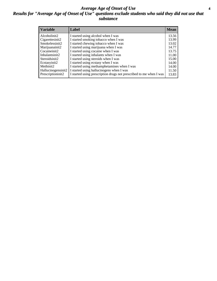#### *Average Age of Onset of Use* **4** *Results for "Average Age of Onset of Use" questions exclude students who said they did not use that substance*

| <b>Variable</b>    | Label                                                              | <b>Mean</b> |
|--------------------|--------------------------------------------------------------------|-------------|
| Alcoholinit2       | I started using alcohol when I was                                 | 13.56       |
| Cigarettesinit2    | I started smoking tobacco when I was                               | 13.99       |
| Smokelessinit2     | I started chewing tobacco when I was                               | 13.02       |
| Marijuanainit2     | I started using marijuana when I was                               | 14.77       |
| Cocaineinit2       | I started using cocaine when I was                                 | 13.75       |
| Inhalantsinit2     | I started using inhalants when I was                               | 11.00       |
| Steroidsinit2      | I started using steroids when I was                                | 15.00       |
| Ecstasyinit2       | I started using ecstasy when I was                                 | 14.00       |
| Methinit2          | I started using methamphetamines when I was                        | 14.00       |
| Hallucinogensinit2 | I started using hallucinogens when I was                           | 11.50       |
| Prescriptioninit2  | I started using prescription drugs not prescribed to me when I was | 13.83       |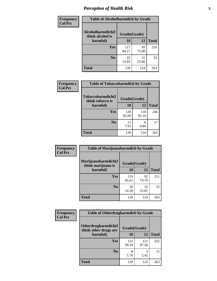# *Perception of Health Risk* **5**

| Frequency      | <b>Table of Alcoholharmdich by Grade</b> |              |             |              |  |
|----------------|------------------------------------------|--------------|-------------|--------------|--|
| <b>Col Pct</b> | Alcoholharmdich(I<br>think alcohol is    | Grade(Grade) |             |              |  |
|                | harmful)                                 | 10           | 12          | <b>Total</b> |  |
|                | Yes                                      | 117<br>84.17 | 93<br>75.00 | 210          |  |
|                | N <sub>0</sub>                           | 22<br>15.83  | 31<br>25.00 | 53           |  |
|                | <b>Total</b>                             | 139          | 124         | 263          |  |

| Frequency<br><b>Col Pct</b> | <b>Table of Tobaccoharmdich by Grade</b> |              |              |              |  |
|-----------------------------|------------------------------------------|--------------|--------------|--------------|--|
|                             | Tobaccoharmdich(I<br>think tobacco is    | Grade(Grade) |              |              |  |
|                             | harmful)                                 | 10           | 12           | <b>Total</b> |  |
|                             | <b>Yes</b>                               | 128<br>92.09 | 118<br>95.16 | 246          |  |
|                             | N <sub>0</sub>                           | 11<br>7.91   | 6<br>4.84    | 17           |  |
|                             | <b>Total</b>                             | 139          | 124          | 263          |  |

| <b>Frequency</b> | <b>Table of Marijuanaharmdich by Grade</b> |              |             |              |  |
|------------------|--------------------------------------------|--------------|-------------|--------------|--|
| <b>Col Pct</b>   | Marijuanaharmdich(I<br>think marijuana is  | Grade(Grade) |             |              |  |
|                  | harmful)                                   | 10           | 12          | <b>Total</b> |  |
|                  | <b>Yes</b>                                 | 119<br>85.61 | 92<br>74.19 | 211          |  |
|                  | N <sub>0</sub>                             | 20<br>14.39  | 32<br>25.81 | 52           |  |
|                  | <b>Total</b>                               | 139          | 124         | 263          |  |

| <b>Frequency</b> | <b>Table of Otherdrugharmdich by Grade</b>                   |              |              |              |  |
|------------------|--------------------------------------------------------------|--------------|--------------|--------------|--|
| <b>Col Pct</b>   | Otherdrugharmdich(I<br>Grade(Grade)<br>think other drugs are |              |              |              |  |
|                  | harmful)                                                     | <b>10</b>    | 12           | <b>Total</b> |  |
|                  | <b>Yes</b>                                                   | 131<br>94.24 | 121<br>97.58 | 252          |  |
|                  | N <sub>0</sub>                                               | 5.76         | 3<br>2.42    | 11           |  |
|                  | <b>Total</b>                                                 | 139          | 124          | 263          |  |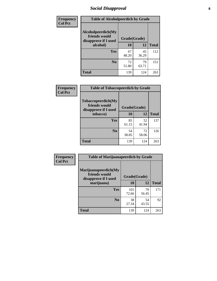# *Social Disapproval* **6**

| Frequency      | <b>Table of Alcoholpeerdich by Grade</b>                    |              |             |              |
|----------------|-------------------------------------------------------------|--------------|-------------|--------------|
| <b>Col Pct</b> | Alcoholpeerdich(My<br>friends would<br>disapprove if I used | Grade(Grade) |             |              |
|                | alcohol)                                                    | 10           | 12          | <b>Total</b> |
|                | <b>Yes</b>                                                  | 67<br>48.20  | 45<br>36.29 | 112          |
|                | N <sub>0</sub>                                              | 72<br>51.80  | 79<br>63.71 | 151          |
|                | <b>Total</b>                                                | 139          | 124         | 263          |

| <b>Frequency</b> |
|------------------|
| <b>Col Pct</b>   |

| <b>Table of Tobaccopeerdich by Grade</b>                    |              |             |              |  |  |
|-------------------------------------------------------------|--------------|-------------|--------------|--|--|
| Tobaccopeerdich(My<br>friends would<br>disapprove if I used | Grade(Grade) |             |              |  |  |
| tobacco)                                                    | 10           | 12          | <b>Total</b> |  |  |
| Yes                                                         | 85<br>61.15  | 52<br>41.94 | 137          |  |  |
| N <sub>0</sub>                                              | 54<br>38.85  | 72<br>58.06 | 126          |  |  |
| <b>Total</b>                                                | 139          | 124         | 263          |  |  |

| <b>Frequency</b> | <b>Table of Marijuanapeerdich by Grade</b>                    |              |             |              |  |
|------------------|---------------------------------------------------------------|--------------|-------------|--------------|--|
| <b>Col Pct</b>   | Marijuanapeerdich(My<br>friends would<br>disapprove if I used | Grade(Grade) |             |              |  |
|                  | marijuana)                                                    | 10           | 12          | <b>Total</b> |  |
|                  | <b>Yes</b>                                                    | 101<br>72.66 | 70<br>56.45 | 171          |  |
|                  | N <sub>0</sub>                                                | 38<br>27.34  | 54<br>43.55 | 92           |  |
|                  | <b>Total</b>                                                  | 139          | 124         | 263          |  |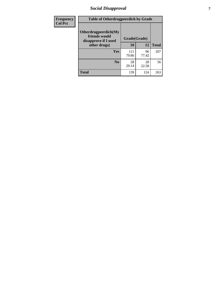# *Social Disapproval* **7**

| Frequency      | <b>Table of Otherdrugpeerdich by Grade</b>                    |              |             |              |  |
|----------------|---------------------------------------------------------------|--------------|-------------|--------------|--|
| <b>Col Pct</b> | Otherdrugpeerdich(My<br>friends would<br>disapprove if I used | Grade(Grade) |             |              |  |
|                | other drugs)                                                  | 10           | 12          | <b>Total</b> |  |
|                | Yes                                                           | 111<br>79.86 | 96<br>77.42 | 207          |  |
|                | N <sub>0</sub>                                                | 28<br>20.14  | 28<br>22.58 | 56           |  |
|                | <b>Total</b>                                                  | 139          | 124         | 263          |  |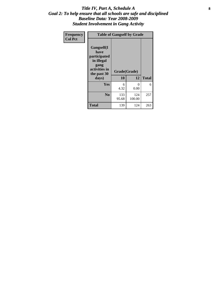#### Title IV, Part A, Schedule A **8** *Goal 2: To help ensure that all schools are safe and disciplined Baseline Data: Year 2008-2009 Student Involvement in Gang Activity*

| Frequency      | <b>Table of Gangself by Grade</b>                                                                 |                    |               |              |
|----------------|---------------------------------------------------------------------------------------------------|--------------------|---------------|--------------|
| <b>Col Pct</b> | Gangself(I<br>have<br>participated<br>in illegal<br>gang<br>activities in<br>the past 30<br>days) | Grade(Grade)<br>10 | 12            | <b>Total</b> |
|                | Yes                                                                                               | 6<br>4.32          | 0<br>0.00     | 6            |
|                | N <sub>0</sub>                                                                                    | 133<br>95.68       | 124<br>100.00 | 257          |
|                | Total                                                                                             | 139                | 124           | 263          |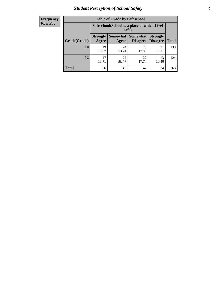# *Student Perception of School Safety* **9**

| <b>Frequency</b><br>Row Pct |
|-----------------------------|
|                             |

| <b>Table of Grade by Safeschool</b> |                                                                                                                          |                                                        |             |             |     |  |
|-------------------------------------|--------------------------------------------------------------------------------------------------------------------------|--------------------------------------------------------|-------------|-------------|-----|--|
|                                     |                                                                                                                          | Safeschool (School is a place at which I feel<br>safe) |             |             |     |  |
| Grade(Grade)                        | Somewhat Somewhat<br><b>Strongly</b><br><b>Strongly</b><br><b>Disagree</b><br>Agree<br>Disagree<br><b>Total</b><br>Agree |                                                        |             |             |     |  |
| 10                                  | 19<br>13.67                                                                                                              | 74<br>53.24                                            | 25<br>17.99 | 21<br>15.11 | 139 |  |
| 12                                  | 17<br>13.71                                                                                                              | 72<br>58.06                                            | 22<br>17.74 | 13<br>10.48 | 124 |  |
| <b>Total</b>                        | 36                                                                                                                       | 146                                                    | 47          | 34          | 263 |  |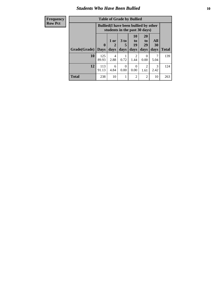### *Students Who Have Been Bullied* **10**

| <b>Frequency</b> | <b>Table of Grade by Bullied</b>                                              |              |           |                      |                        |                       |           |              |
|------------------|-------------------------------------------------------------------------------|--------------|-----------|----------------------|------------------------|-----------------------|-----------|--------------|
| <b>Row Pct</b>   | <b>Bullied</b> (I have been bullied by other<br>students in the past 30 days) |              |           |                      |                        |                       |           |              |
|                  |                                                                               | $\mathbf{0}$ | 1 or<br>2 | 3 <sub>to</sub><br>5 | 10<br>to  <br>19       | <b>20</b><br>to<br>29 | All<br>30 |              |
|                  | <b>Grade</b> (Grade)                                                          | <b>Days</b>  | days      | days                 | days                   | days                  | days      | <b>Total</b> |
|                  | 10                                                                            | 125<br>89.93 | 4<br>2.88 | 0.72                 | $\mathfrak{D}$<br>1.44 | $\Omega$<br>0.00      | 7<br>5.04 | 139          |
|                  | 12                                                                            | 113<br>91.13 | 6<br>4.84 | $\Omega$<br>0.00     | $\Omega$<br>0.00       | 2<br>1.61             | 3<br>2.42 | 124          |
|                  | <b>Total</b>                                                                  | 238          | 10        |                      | $\overline{2}$         | $\overline{2}$        | 10        | 263          |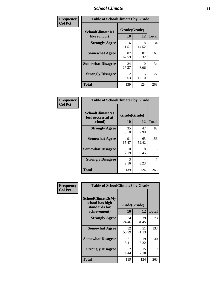### *School Climate* **11**

| Frequency      | <b>Table of SchoolClimate1 by Grade</b> |                    |             |              |  |  |
|----------------|-----------------------------------------|--------------------|-------------|--------------|--|--|
| <b>Col Pct</b> | SchoolClimate1(I<br>like school)        | Grade(Grade)<br>10 | 12          | <b>Total</b> |  |  |
|                | <b>Strongly Agree</b>                   | 16<br>11.51        | 18<br>14.52 | 34           |  |  |
|                | <b>Somewhat Agree</b>                   | 87<br>62.59        | 81<br>65.32 | 168          |  |  |
|                | <b>Somewhat Disagree</b>                | 24<br>17.27        | 10<br>8.06  | 34           |  |  |
|                | <b>Strongly Disagree</b>                | 12<br>8.63         | 15<br>12.10 | 27           |  |  |
|                | <b>Total</b>                            | 139                | 124         | 263          |  |  |

| Frequency<br><b>Col Pct</b> | <b>Table of SchoolClimate2 by Grade</b>           |                    |             |              |  |  |
|-----------------------------|---------------------------------------------------|--------------------|-------------|--------------|--|--|
|                             | SchoolClimate2(I<br>feel successful at<br>school) | Grade(Grade)<br>10 | 12          | <b>Total</b> |  |  |
|                             | <b>Strongly Agree</b>                             | 35<br>25.18        | 47<br>37.90 | 82           |  |  |
|                             | <b>Somewhat Agree</b>                             | 91<br>65.47        | 65<br>52.42 | 156          |  |  |
|                             | <b>Somewhat Disagree</b>                          | 10<br>7.19         | 8<br>6.45   | 18           |  |  |
|                             | <b>Strongly Disagree</b>                          | 3<br>2.16          | 4<br>3.23   | 7            |  |  |
|                             | <b>Total</b>                                      | 139                | 124         | 263          |  |  |

| Frequency      | <b>Table of SchoolClimate3 by Grade</b>                               |                           |             |              |
|----------------|-----------------------------------------------------------------------|---------------------------|-------------|--------------|
| <b>Col Pct</b> | SchoolClimate3(My<br>school has high<br>standards for<br>achievement) | Grade(Grade)<br><b>10</b> | 12          | <b>Total</b> |
|                | <b>Strongly Agree</b>                                                 | 34                        | 39          | 73           |
|                |                                                                       | 24.46                     | 31.45       |              |
|                | <b>Somewhat Agree</b>                                                 | 82<br>58.99               | 51<br>41.13 | 133          |
|                | <b>Somewhat Disagree</b>                                              | 21<br>15.11               | 19<br>15.32 | 40           |
|                | <b>Strongly Disagree</b>                                              | 2<br>1.44                 | 15<br>12.10 | 17           |
|                | Total                                                                 | 139                       | 124         | 263          |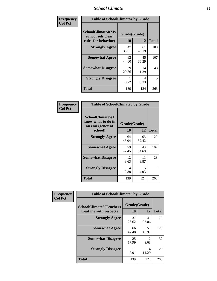### *School Climate* **12**

| Frequency      | <b>Table of SchoolClimate4 by Grade</b>                              |                    |             |              |
|----------------|----------------------------------------------------------------------|--------------------|-------------|--------------|
| <b>Col Pct</b> | <b>SchoolClimate4(My</b><br>school sets clear<br>rules for behavior) | Grade(Grade)<br>10 | 12          | <b>Total</b> |
|                | <b>Strongly Agree</b>                                                | 47<br>33.81        | 61<br>49.19 | 108          |
|                | <b>Somewhat Agree</b>                                                | 62<br>44.60        | 45<br>36.29 | 107          |
|                | <b>Somewhat Disagree</b>                                             | 29<br>20.86        | 14<br>11.29 | 43           |
|                | <b>Strongly Disagree</b>                                             | 0.72               | 4<br>3.23   | 5            |
|                | <b>Total</b>                                                         | 139                | 124         | 263          |

| <b>Table of SchoolClimate5 by Grade</b>                              |                    |             |              |  |
|----------------------------------------------------------------------|--------------------|-------------|--------------|--|
| SchoolClimate5(I<br>know what to do in<br>an emergency at<br>school) | Grade(Grade)<br>10 | 12          | <b>Total</b> |  |
| <b>Strongly Agree</b>                                                | 64                 | 65          | 129          |  |
|                                                                      | 46.04              | 52.42       |              |  |
| <b>Somewhat Agree</b>                                                | 59<br>42.45        | 43<br>34.68 | 102          |  |
| <b>Somewhat Disagree</b>                                             | 12<br>8.63         | 11<br>8.87  | 23           |  |
| <b>Strongly Disagree</b>                                             | 4<br>2.88          | 5<br>4.03   | 9            |  |
| Total                                                                | 139                | 124         | 263          |  |

| Frequency      | <b>Table of SchoolClimate6 by Grade</b>                  |                    |             |              |
|----------------|----------------------------------------------------------|--------------------|-------------|--------------|
| <b>Col Pct</b> | <b>SchoolClimate6(Teachers</b><br>treat me with respect) | Grade(Grade)<br>10 | 12          | <b>Total</b> |
|                | <b>Strongly Agree</b>                                    | 37<br>26.62        | 41<br>33.06 | 78           |
|                | <b>Somewhat Agree</b>                                    | 66<br>47.48        | 57<br>45.97 | 123          |
|                | <b>Somewhat Disagree</b>                                 | 25<br>17.99        | 12<br>9.68  | 37           |
|                | <b>Strongly Disagree</b>                                 | 11<br>7.91         | 14<br>11.29 | 25           |
|                | <b>Total</b>                                             | 139                | 124         | 263          |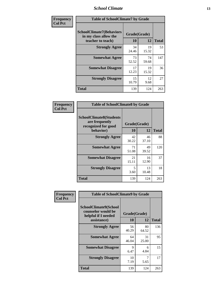### *School Climate* **13**

| Frequency      | <b>Table of SchoolClimate7 by Grade</b>                                       |                           |             |              |
|----------------|-------------------------------------------------------------------------------|---------------------------|-------------|--------------|
| <b>Col Pct</b> | <b>SchoolClimate7(Behaviors</b><br>in my class allow the<br>teacher to teach) | Grade(Grade)<br><b>10</b> | 12          | <b>Total</b> |
|                | <b>Strongly Agree</b>                                                         | 34<br>24.46               | 19<br>15.32 | 53           |
|                | <b>Somewhat Agree</b>                                                         | 73<br>52.52               | 74<br>59.68 | 147          |
|                | <b>Somewhat Disagree</b>                                                      | 17<br>12.23               | 19<br>15.32 | 36           |
|                | <b>Strongly Disagree</b>                                                      | 15<br>10.79               | 12<br>9.68  | 27           |
|                | <b>Total</b>                                                                  | 139                       | 124         | 263          |

| Frequency      | <b>Table of SchoolClimate8 by Grade</b>                                              |                    |             |              |
|----------------|--------------------------------------------------------------------------------------|--------------------|-------------|--------------|
| <b>Col Pct</b> | <b>SchoolClimate8(Students</b><br>are frequently<br>recognized for good<br>behavior) | Grade(Grade)<br>10 | 12          | <b>Total</b> |
|                | <b>Strongly Agree</b>                                                                | 42<br>30.22        | 46<br>37.10 | 88           |
|                | <b>Somewhat Agree</b>                                                                | 71<br>51.08        | 49<br>39.52 | 120          |
|                | <b>Somewhat Disagree</b>                                                             | 21<br>15.11        | 16<br>12.90 | 37           |
|                | <b>Strongly Disagree</b>                                                             | 5<br>3.60          | 13<br>10.48 | 18           |
|                | <b>Total</b>                                                                         | 139                | 124         | 263          |

| Frequency<br><b>Col Pct</b> | <b>Table of SchoolClimate9 by Grade</b>                                           |                    |             |              |
|-----------------------------|-----------------------------------------------------------------------------------|--------------------|-------------|--------------|
|                             | SchoolClimate9(School<br>counselor would be<br>helpful if I needed<br>assistance) | Grade(Grade)<br>10 | 12          | <b>Total</b> |
|                             | <b>Strongly Agree</b>                                                             | 56<br>40.29        | 80<br>64.52 | 136          |
|                             | <b>Somewhat Agree</b>                                                             | 64<br>46.04        | 31<br>25.00 | 95           |
|                             | <b>Somewhat Disagree</b>                                                          | 9<br>6.47          | 6<br>4.84   | 15           |
|                             | <b>Strongly Disagree</b>                                                          | 10<br>7.19         | 7<br>5.65   | 17           |
|                             | Total                                                                             | 139                | 124         | 263          |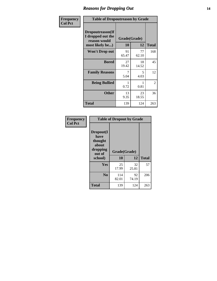### *Reasons for Dropping Out* **14**

| Frequency      | <b>Table of Dropoutreason by Grade</b>                                   |                    |             |              |
|----------------|--------------------------------------------------------------------------|--------------------|-------------|--------------|
| <b>Col Pct</b> | Dropoutreason(If<br>I dropped out the<br>reason would<br>most likely be) | Grade(Grade)<br>10 | 12          | <b>Total</b> |
|                | Won't Drop out                                                           | 91<br>65.47        | 77<br>62.10 | 168          |
|                | <b>Bored</b>                                                             | 27<br>19.42        | 18<br>14.52 | 45           |
|                | <b>Family Reasons</b>                                                    | 7<br>5.04          | 5<br>4.03   | 12           |
|                | <b>Being Bullied</b>                                                     | 0.72               | 0.81        | 2            |
|                | <b>Other</b>                                                             | 13<br>9.35         | 23<br>18.55 | 36           |
|                | Total                                                                    | 139                | 124         | 263          |

| Frequency      | <b>Table of Dropout by Grade</b>                                       |                    |             |              |  |
|----------------|------------------------------------------------------------------------|--------------------|-------------|--------------|--|
| <b>Col Pct</b> | Dropout(I<br>have<br>thought<br>about<br>dropping<br>out of<br>school) | Grade(Grade)<br>10 | 12          | <b>Total</b> |  |
|                | Yes                                                                    | 25<br>17.99        | 32<br>25.81 | 57           |  |
|                | N <sub>0</sub>                                                         | 114<br>82.01       | 92<br>74.19 | 206          |  |
|                | <b>Total</b>                                                           | 139                | 124         | 263          |  |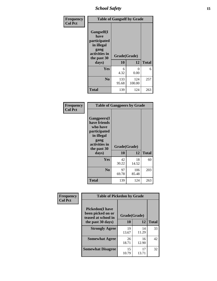*School Safety* **15**

| Frequency      | <b>Table of Gangself by Grade</b>                                                                 |                          |               |              |
|----------------|---------------------------------------------------------------------------------------------------|--------------------------|---------------|--------------|
| <b>Col Pct</b> | Gangself(I<br>have<br>participated<br>in illegal<br>gang<br>activities in<br>the past 30<br>days) | Grade(Grade)<br>10<br>12 |               | <b>Total</b> |
|                | Yes                                                                                               | 6<br>4.32                | 0<br>0.00     | 6            |
|                | N <sub>0</sub>                                                                                    | 133<br>95.68             | 124<br>100.00 | 257          |
|                | <b>Total</b>                                                                                      | 139                      | 124           | 263          |

| Frequency<br><b>Col Pct</b> | <b>Table of Gangpeers by Grade</b>                                                                                             |                    |              |              |
|-----------------------------|--------------------------------------------------------------------------------------------------------------------------------|--------------------|--------------|--------------|
|                             | <b>Gangpeers</b> (I<br>have friends<br>who have<br>participated<br>in illegal<br>gang<br>activities in<br>the past 30<br>days) | Grade(Grade)<br>10 | 12           | <b>Total</b> |
|                             | <b>Yes</b>                                                                                                                     | 42<br>30.22        | 18<br>14.52  | 60           |
|                             | N <sub>0</sub>                                                                                                                 | 97<br>69.78        | 106<br>85.48 | 203          |
|                             | <b>Total</b>                                                                                                                   | 139                | 124          | 263          |

| Frequency      | <b>Table of Pickedon by Grade</b>                                                       |                    |             |              |
|----------------|-----------------------------------------------------------------------------------------|--------------------|-------------|--------------|
| <b>Col Pct</b> | <b>Pickedon(I have</b><br>been picked on or<br>teased at school in<br>the past 30 days) | Grade(Grade)<br>10 | 12          | <b>Total</b> |
|                | <b>Strongly Agree</b>                                                                   | 19<br>13.67        | 14<br>11.29 | 33           |
|                | <b>Somewhat Agree</b>                                                                   | 26<br>18.71        | 16<br>12.90 | 42           |
|                | <b>Somewhat Disagree</b>                                                                | 15<br>10.79        | 17<br>13.71 | 32           |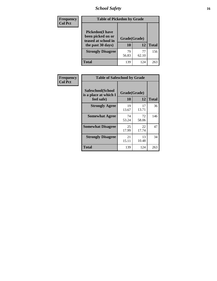# *School Safety* **16**

| <b>Frequency</b> | <b>Table of Pickedon by Grade</b>                                                        |                    |             |              |
|------------------|------------------------------------------------------------------------------------------|--------------------|-------------|--------------|
| <b>Col Pct</b>   | <b>Pickedon</b> (I have<br>been picked on or<br>teased at school in<br>the past 30 days) | Grade(Grade)<br>10 | 12          | <b>Total</b> |
|                  | <b>Strongly Disagree</b>                                                                 | 79<br>56.83        | 77<br>62.10 | 156          |
|                  | Total                                                                                    | 139                | 124         | 263          |

| Frequency      |                                                          | <b>Table of Safeschool by Grade</b> |              |     |  |  |  |  |  |
|----------------|----------------------------------------------------------|-------------------------------------|--------------|-----|--|--|--|--|--|
| <b>Col Pct</b> | Safeschool(School<br>is a place at which I<br>feel safe) | Grade(Grade)<br>10                  | <b>Total</b> |     |  |  |  |  |  |
|                | <b>Strongly Agree</b>                                    | 19<br>13.67                         | 17<br>13.71  | 36  |  |  |  |  |  |
|                | <b>Somewhat Agree</b>                                    | 74<br>53.24                         | 72<br>58.06  | 146 |  |  |  |  |  |
|                | <b>Somewhat Disagree</b>                                 | 25<br>17.99                         | 22<br>17.74  | 47  |  |  |  |  |  |
|                | <b>Strongly Disagree</b>                                 | 21<br>15.11                         | 13<br>10.48  | 34  |  |  |  |  |  |
|                | Total                                                    | 139                                 | 124          | 263 |  |  |  |  |  |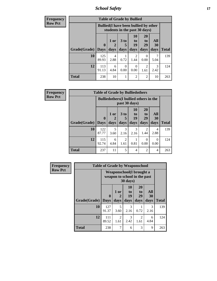*School Safety* **17**

| <b>Frequency</b> |                     |                                                                               |           |                      | <b>Table of Grade by Bullied</b> |                       |                  |              |
|------------------|---------------------|-------------------------------------------------------------------------------|-----------|----------------------|----------------------------------|-----------------------|------------------|--------------|
| <b>Row Pct</b>   |                     | <b>Bullied</b> (I have been bullied by other<br>students in the past 30 days) |           |                      |                                  |                       |                  |              |
|                  | Grade(Grade)   Days | $\mathbf 0$                                                                   | 1 or      | 3 <sub>to</sub><br>5 | 10<br>to<br>19                   | <b>20</b><br>to<br>29 | All<br><b>30</b> | <b>Total</b> |
|                  |                     |                                                                               | days      | days                 | days                             | days                  | days             |              |
|                  | 10                  | 125<br>89.93                                                                  | 4<br>2.88 | 0.72                 | $\mathfrak{D}$<br>1.44           | $\Omega$<br>0.00      | 7<br>5.04        | 139          |
|                  | 12                  | 113<br>91.13                                                                  | 6<br>4.84 | 0<br>0.00            | $\Omega$<br>0.00                 | 2<br>1.61             | 3<br>2.42        | 124          |
|                  | <b>Total</b>        | 238                                                                           | 10        |                      | $\overline{2}$                   | $\overline{2}$        | 10               | 263          |

| <b>Frequency</b> |                     | <b>Table of Grade by Bulliedothers</b> |                                                                |                        |                                  |                               |                        |              |  |
|------------------|---------------------|----------------------------------------|----------------------------------------------------------------|------------------------|----------------------------------|-------------------------------|------------------------|--------------|--|
| <b>Row Pct</b>   |                     |                                        | <b>Bulliedothers</b> (I bullied others in the<br>past 30 days) |                        |                                  |                               |                        |              |  |
|                  | Grade(Grade)   Days | $\mathbf{0}$                           | 1 or<br>days                                                   | 3 to<br>days           | 10<br>$\mathbf{t}$<br>19<br>days | <b>20</b><br>to<br>29<br>days | All<br>30<br>days      | <b>Total</b> |  |
|                  | 10                  | 122<br>87.77                           | 5<br>3.60                                                      | 3<br>2.16              | 3<br>2.16                        | 2<br>1.44                     | $\overline{4}$<br>2.88 | 139          |  |
|                  | 12                  | 115<br>92.74                           | 6<br>4.84                                                      | $\mathfrak{D}$<br>1.61 | 0.81                             | $\Omega$<br>0.00              | $\Omega$<br>0.00       | 124          |  |
|                  | <b>Total</b>        | 237                                    | 11                                                             | 5                      | 4                                | 2                             | 4                      | 263          |  |

| <b>Frequency</b> |              | <b>Table of Grade by Weaponschool</b> |                                                                                |                           |                               |                   |              |
|------------------|--------------|---------------------------------------|--------------------------------------------------------------------------------|---------------------------|-------------------------------|-------------------|--------------|
| <b>Row Pct</b>   |              |                                       | Weaponschool (I brought a<br>weapon to school in the past<br>$30 \text{ days}$ |                           |                               |                   |              |
|                  | Grade(Grade) | $\mathbf{0}$<br><b>Days</b>           | 1 or<br>2<br>days                                                              | 10<br>to to<br>19<br>days | <b>20</b><br>to<br>29<br>days | All<br>30<br>days | <b>Total</b> |
|                  | 10           | 127<br>91.37                          | 5<br>3.60                                                                      | 3<br>2.16                 | 0.72                          | 3<br>2.16         | 139          |
|                  | 12           | 111<br>89.52                          | $\overline{2}$<br>1.61                                                         | 3<br>2.42                 | $\overline{2}$<br>1.61        | 6<br>4.84         | 124          |
|                  | <b>Total</b> | 238                                   | 7                                                                              | 6                         | 3                             | 9                 | 263          |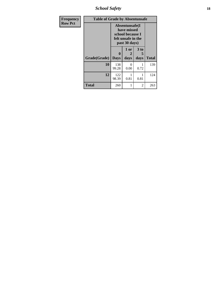*School Safety* **18**

| <b>Frequency</b> | <b>Table of Grade by Absentunsafe</b> |                                                                                           |                   |                   |              |  |  |  |  |
|------------------|---------------------------------------|-------------------------------------------------------------------------------------------|-------------------|-------------------|--------------|--|--|--|--|
| <b>Row Pct</b>   |                                       | Absentunsafe(I)<br>have missed<br>school because I<br>felt unsafe in the<br>past 30 days) |                   |                   |              |  |  |  |  |
|                  | Grade(Grade)                          | 0<br><b>Days</b>                                                                          | 1 or<br>2<br>days | 3 to<br>5<br>days | <b>Total</b> |  |  |  |  |
|                  | 10                                    | 138<br>99.28                                                                              | 0<br>0.00         | 0.72              | 139          |  |  |  |  |
|                  | 12                                    | 122<br>98.39                                                                              | 0.81              | 1<br>0.81         | 124          |  |  |  |  |
|                  | Total                                 | 260                                                                                       |                   | 2                 | 263          |  |  |  |  |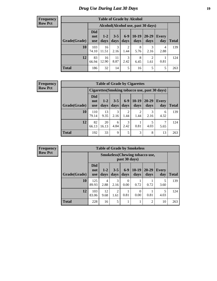# *Drug Use During Last 30 Days* **19**

#### **Frequency Row Pct**

| <b>Table of Grade by Alcohol</b> |                                 |                                    |                 |               |                 |                        |                     |       |  |  |
|----------------------------------|---------------------------------|------------------------------------|-----------------|---------------|-----------------|------------------------|---------------------|-------|--|--|
|                                  |                                 | Alcohol(Alcohol use, past 30 days) |                 |               |                 |                        |                     |       |  |  |
| Grade(Grade)                     | <b>Did</b><br>not<br><b>use</b> | $1 - 2$<br>days                    | $3 - 5$<br>days | $6-9$<br>days | $10-19$<br>days | $20 - 29$<br>days      | <b>Every</b><br>day | Total |  |  |
| 10                               | 103<br>74.10                    | 16<br>11.51                        | 3<br>2.16       | 2<br>1.44     | 8<br>5.76       | 3<br>2.16              | 4<br>2.88           | 139   |  |  |
| 12                               | 83<br>66.94                     | 16<br>12.90                        | 11<br>8.87      | 3<br>2.42     | 8<br>6.45       | $\overline{2}$<br>1.61 | 0.81                | 124   |  |  |
| <b>Total</b>                     | 186                             | 32                                 | 14              | 5             | 16              | 5                      | 5                   | 263   |  |  |

#### **Frequency Row Pct**

| <b>Table of Grade by Cigarettes</b> |                                                |               |                 |                        |                 |                   |                     |              |  |
|-------------------------------------|------------------------------------------------|---------------|-----------------|------------------------|-----------------|-------------------|---------------------|--------------|--|
|                                     | Cigarettes (Smoking tobacco use, past 30 days) |               |                 |                        |                 |                   |                     |              |  |
| Grade(Grade)                        | <b>Did</b><br>not<br><b>use</b>                | $1-2$<br>days | $3 - 5$<br>days | $6 - 9$<br>days        | $10-19$<br>days | $20 - 29$<br>days | <b>Every</b><br>day | <b>Total</b> |  |
| 10                                  | 110<br>79.14                                   | 13<br>9.35    | 3<br>2.16       | $\overline{2}$<br>1.44 | 2<br>1.44       | 3<br>2.16         | 6<br>4.32           | 139          |  |
| 12                                  | 82<br>66.13                                    | 20<br>16.13   | 6<br>4.84       | 3<br>2.42              | 0.81            | 5<br>4.03         | 5.65                | 124          |  |
| <b>Total</b>                        | 192                                            | 33            | 9               | 5                      | 3               | 8                 | 13                  | 263          |  |

**Frequency Row Pct**

| <b>Table of Grade by Smokeless</b> |                                 |                                                         |                        |                 |                  |                   |              |              |  |
|------------------------------------|---------------------------------|---------------------------------------------------------|------------------------|-----------------|------------------|-------------------|--------------|--------------|--|
|                                    |                                 | <b>Smokeless</b> (Chewing tobacco use,<br>past 30 days) |                        |                 |                  |                   |              |              |  |
| Grade(Grade)                       | <b>Did</b><br>not<br><b>use</b> | $1 - 2$<br>days                                         | $3 - 5$<br>days        | $6 - 9$<br>days | $10-19$<br>days  | $20 - 29$<br>days | Every<br>day | <b>Total</b> |  |
| 10                                 | 125<br>89.93                    | 4<br>2.88                                               | 3<br>2.16              | 0<br>0.00       | 0.72             | 0.72              | 5<br>3.60    | 139          |  |
| 12                                 | 103<br>83.06                    | 12<br>9.68                                              | $\overline{2}$<br>1.61 | 0.81            | $\theta$<br>0.00 | 0.81              | 5<br>4.03    | 124          |  |
| <b>Total</b>                       | 228                             | 16                                                      | 5                      |                 |                  | $\overline{2}$    | 10           | 263          |  |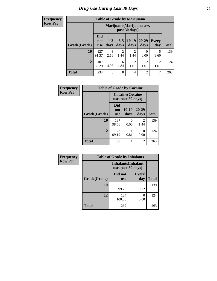**Frequency Row Pct**

| <b>Table of Grade by Marijuana</b> |                          |                                            |                 |                        |                        |                     |              |  |  |
|------------------------------------|--------------------------|--------------------------------------------|-----------------|------------------------|------------------------|---------------------|--------------|--|--|
|                                    |                          | Marijuana (Marijuana use,<br>past 30 days) |                 |                        |                        |                     |              |  |  |
| Grade(Grade)                       | <b>Did</b><br>not<br>use | $1 - 2$<br>days                            | $3 - 5$<br>days | $10-19$<br>days        | $20 - 29$<br>days      | <b>Every</b><br>day | <b>Total</b> |  |  |
| 10                                 | 127<br>91.37             | 3<br>2.16                                  | 2<br>1.44       | $\overline{2}$<br>1.44 | 0<br>0.00              | 5<br>3.60           | 139          |  |  |
| 12                                 | 107<br>86.29             | 5<br>4.03                                  | 6<br>4.84       | $\overline{2}$<br>1.61 | $\overline{2}$<br>1.61 | 2<br>1.61           | 124          |  |  |
| <b>Total</b>                       | 234                      | 8                                          | 8               | 4                      | $\overline{c}$         | 7                   | 263          |  |  |

| Frequency      |              | <b>Table of Grade by Cocaine</b>              |                 |                        |              |  |  |  |  |  |
|----------------|--------------|-----------------------------------------------|-----------------|------------------------|--------------|--|--|--|--|--|
| <b>Row Pct</b> |              | <b>Cocaine</b> (Cocaine<br>use, past 30 days) |                 |                        |              |  |  |  |  |  |
|                | Grade(Grade) | Did<br>not<br><b>use</b>                      | $10-19$<br>days | 20-29<br>days          | <b>Total</b> |  |  |  |  |  |
|                | 10           | 137<br>98.56                                  | 0<br>0.00       | $\mathfrak{D}$<br>1.44 | 139          |  |  |  |  |  |
|                | 12           | 123<br>99.19                                  | 0.81            | 0<br>0.00              | 124          |  |  |  |  |  |
|                | <b>Total</b> | 260                                           |                 | $\mathfrak{D}$         | 263          |  |  |  |  |  |

| Frequency      |              | <b>Table of Grade by Inhalants</b>               |                     |              |  |  |  |  |  |
|----------------|--------------|--------------------------------------------------|---------------------|--------------|--|--|--|--|--|
| <b>Row Pct</b> |              | <b>Inhalants</b> (Inhalant<br>use, past 30 days) |                     |              |  |  |  |  |  |
|                | Grade(Grade) | Did not<br><b>use</b>                            | <b>Every</b><br>day | <b>Total</b> |  |  |  |  |  |
|                | 10           | 138<br>99.28                                     | 0.72                | 139          |  |  |  |  |  |
|                | 12           | 124<br>100.00                                    | 0<br>0.00           | 124          |  |  |  |  |  |
|                | <b>Total</b> | 262                                              | 1                   | 263          |  |  |  |  |  |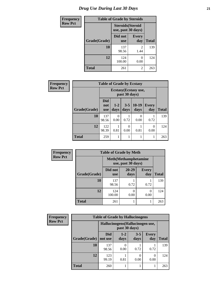# *Drug Use During Last 30 Days* **21**

| <b>Frequency</b> | <b>Table of Grade by Steroids</b> |                                                |                        |              |
|------------------|-----------------------------------|------------------------------------------------|------------------------|--------------|
| <b>Row Pct</b>   |                                   | <b>Steroids</b> (Steroid<br>use, past 30 days) |                        |              |
|                  | Grade(Grade)                      | Did not<br><b>use</b>                          | <b>Every</b><br>day    | <b>Total</b> |
|                  | 10                                | 137<br>98.56                                   | $\mathfrak{D}$<br>1.44 | 139          |
|                  | 12                                | 124<br>100.00                                  | 0.00                   | 124          |
|                  | <b>Total</b>                      | 261                                            | 2                      | 263          |

| Frequency      | <b>Table of Grade by Ecstasy</b> |                                        |                 |                  |                       |                  |              |
|----------------|----------------------------------|----------------------------------------|-----------------|------------------|-----------------------|------------------|--------------|
| <b>Row Pct</b> |                                  | Ecstasy (Ecstasy use,<br>past 30 days) |                 |                  |                       |                  |              |
|                | Grade(Grade)                     | <b>Did</b><br>not<br><b>use</b>        | $1 - 2$<br>days | $3 - 5$<br>days  | $10-19$<br>days       | Every<br>day     | <b>Total</b> |
|                | 10                               | 137<br>98.56                           | 0.00            | 0.72             | $\mathcal{O}$<br>0.00 | 0.72             | 139          |
|                | 12                               | 122<br>98.39                           | 0.81            | $\Omega$<br>0.00 | 0.81                  | $\Omega$<br>0.00 | 124          |
|                | <b>Total</b>                     | 259                                    |                 |                  |                       |                  | 263          |

| <b>Frequency</b> | <b>Table of Grade by Meth</b> |                       |                                                    |                     |              |  |
|------------------|-------------------------------|-----------------------|----------------------------------------------------|---------------------|--------------|--|
| <b>Row Pct</b>   |                               |                       | <b>Meth</b> (Methamphetamine<br>use, past 30 days) |                     |              |  |
|                  | Grade(Grade)                  | Did not<br><b>use</b> | $20 - 29$<br>days                                  | <b>Every</b><br>day | <b>Total</b> |  |
|                  | 10                            | 137<br>98.56          | 0.72                                               | 0.72                | 139          |  |
|                  | 12                            | 124<br>100.00         | 0.00                                               | 0<br>0.00           | 124          |  |
|                  | <b>Total</b>                  | 261                   |                                                    |                     | 263          |  |

| <b>Frequency</b> | <b>Table of Grade by Hallucinogens</b>            |                       |                 |                 |                     |              |
|------------------|---------------------------------------------------|-----------------------|-----------------|-----------------|---------------------|--------------|
| <b>Row Pct</b>   | Hallucinogens (Hallucinogen use,<br>past 30 days) |                       |                 |                 |                     |              |
|                  | Grade(Grade)                                      | <b>Did</b><br>not use | $1 - 2$<br>days | $3 - 5$<br>days | <b>Every</b><br>day | <b>Total</b> |
|                  | 10                                                | 137<br>98.56          | 0.00            | 0.72            | 0.72                | 139          |
|                  | 12                                                | 123<br>99.19          | 0.81            | 0<br>0.00       | 0.00                | 124          |
|                  | <b>Total</b>                                      | 260                   |                 |                 |                     | 263          |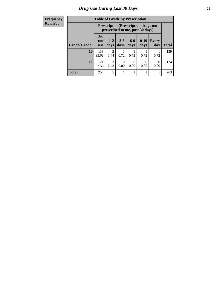#### **Frequency Row Pct**

| <b>Table of Grade by Prescription</b> |                                 |                                                                                |                 |                 |                 |                     |              |
|---------------------------------------|---------------------------------|--------------------------------------------------------------------------------|-----------------|-----------------|-----------------|---------------------|--------------|
|                                       |                                 | <b>Prescription</b> (Prescription drugs not<br>prescribed to me, past 30 days) |                 |                 |                 |                     |              |
| Grade(Grade)                          | <b>Did</b><br>not<br><b>use</b> | $1 - 2$<br>days                                                                | $3 - 5$<br>days | $6 - 9$<br>days | $10-19$<br>days | <b>Every</b><br>day | <b>Total</b> |
| 10                                    | 133<br>95.68                    | 2<br>1.44                                                                      | 0.72            | 0.72            | 0.72            | 0.72                | 139          |
| 12                                    | 121<br>97.58                    | 3<br>2.42                                                                      | 0<br>0.00       | 0.00            | 0<br>0.00       | 0<br>0.00           | 124          |
| <b>Total</b>                          | 254                             | 5                                                                              |                 |                 |                 |                     | 263          |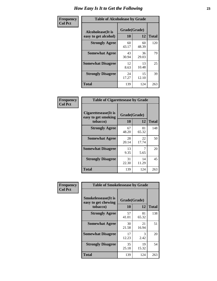| Frequency      | <b>Table of Alcoholease by Grade</b>              |                    |             |              |  |
|----------------|---------------------------------------------------|--------------------|-------------|--------------|--|
| <b>Col Pct</b> | <b>Alcoholease</b> (It is<br>easy to get alcohol) | Grade(Grade)<br>10 | 12          | <b>Total</b> |  |
|                | <b>Strongly Agree</b>                             | 60<br>43.17        | 60<br>48.39 | 120          |  |
|                | <b>Somewhat Agree</b>                             | 43<br>30.94        | 36<br>29.03 | 79           |  |
|                | <b>Somewhat Disagree</b>                          | 12<br>8.63         | 13<br>10.48 | 25           |  |
|                | <b>Strongly Disagree</b>                          | 24<br>17.27        | 15<br>12.10 | 39           |  |
|                | <b>Total</b>                                      | 139                | 124         | 263          |  |

| Frequency      | <b>Table of Cigarettesease by Grade</b>                  |             | Grade(Grade)<br>12<br>81<br>65.32<br>22<br>17.74<br>7 |              |
|----------------|----------------------------------------------------------|-------------|-------------------------------------------------------|--------------|
| <b>Col Pct</b> | Cigarettesease (It is<br>easy to get smoking<br>tobacco) | 10          |                                                       | <b>Total</b> |
|                | <b>Strongly Agree</b>                                    | 67<br>48.20 |                                                       | 148          |
|                | <b>Somewhat Agree</b>                                    | 28<br>20.14 |                                                       | 50           |
|                | <b>Somewhat Disagree</b>                                 | 13<br>9.35  | 5.65                                                  | 20           |
|                | <b>Strongly Disagree</b>                                 | 31<br>22.30 | 14<br>11.29                                           | 45           |
|                | <b>Total</b>                                             | 139         | 124                                                   | 263          |

| Frequency      | <b>Table of Smokelessease by Grade</b>             |              |             |              |  |  |
|----------------|----------------------------------------------------|--------------|-------------|--------------|--|--|
| <b>Col Pct</b> | <b>Smokelessease</b> (It is<br>easy to get chewing | Grade(Grade) |             |              |  |  |
|                | tobacco)                                           | 10           | 12          | <b>Total</b> |  |  |
|                | <b>Strongly Agree</b>                              | 57<br>41.01  | 81<br>65.32 | 138          |  |  |
|                | <b>Somewhat Agree</b>                              | 30<br>21.58  | 21<br>16.94 | 51           |  |  |
|                | <b>Somewhat Disagree</b>                           | 17<br>12.23  | 3<br>2.42   | 20           |  |  |
|                | <b>Strongly Disagree</b>                           | 35<br>25.18  | 19<br>15.32 | 54           |  |  |
|                | Total                                              | 139          | 124         | 263          |  |  |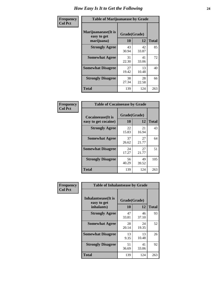| Frequency      | <b>Table of Marijuanaease by Grade</b>           |                           |             |              |  |
|----------------|--------------------------------------------------|---------------------------|-------------|--------------|--|
| <b>Col Pct</b> | Marijuanaease(It is<br>easy to get<br>marijuana) | Grade(Grade)<br><b>10</b> | 12          | <b>Total</b> |  |
|                | <b>Strongly Agree</b>                            | 43<br>30.94               | 42<br>33.87 | 85           |  |
|                | <b>Somewhat Agree</b>                            | 31<br>22.30               | 41<br>33.06 | 72           |  |
|                | <b>Somewhat Disagree</b>                         | 27<br>19.42               | 13<br>10.48 | 40           |  |
|                | <b>Strongly Disagree</b>                         | 38<br>27.34               | 28<br>22.58 | 66           |  |
|                | <b>Total</b>                                     | 139                       | 124         | 263          |  |

| <b>Table of Cocaineease by Grade</b> |              |             |              |  |  |  |
|--------------------------------------|--------------|-------------|--------------|--|--|--|
| <b>Cocaineease</b> (It is            | Grade(Grade) |             |              |  |  |  |
| easy to get cocaine)                 | 10           | 12          | <b>Total</b> |  |  |  |
| <b>Strongly Agree</b>                | 22<br>15.83  | 21<br>16.94 | 43           |  |  |  |
| <b>Somewhat Agree</b>                | 37<br>26.62  | 27<br>21.77 | 64           |  |  |  |
| <b>Somewhat Disagree</b>             | 24<br>17.27  | 27<br>21.77 | 51           |  |  |  |
| <b>Strongly Disagree</b>             | 56<br>40.29  | 49<br>39.52 | 105          |  |  |  |
| <b>Total</b>                         | 139          | 124         | 263          |  |  |  |

| Frequency      | <b>Table of Inhalantsease by Grade</b>     |              |             |              |
|----------------|--------------------------------------------|--------------|-------------|--------------|
| <b>Col Pct</b> | <b>Inhalantsease</b> (It is<br>easy to get | Grade(Grade) |             |              |
|                | inhalants)                                 | 10           | 12          | <b>Total</b> |
|                | <b>Strongly Agree</b>                      | 47<br>33.81  | 46<br>37.10 | 93           |
|                | <b>Somewhat Agree</b>                      | 28<br>20.14  | 24<br>19.35 | 52           |
|                | <b>Somewhat Disagree</b>                   | 13<br>9.35   | 13<br>10.48 | 26           |
|                | <b>Strongly Disagree</b>                   | 51<br>36.69  | 41<br>33.06 | 92           |
|                | <b>Total</b>                               | 139          | 124         | 263          |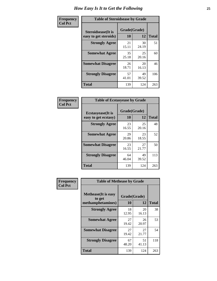| Frequency      | <b>Table of Steroidsease by Grade</b>               |                    |             |              |  |
|----------------|-----------------------------------------------------|--------------------|-------------|--------------|--|
| <b>Col Pct</b> | <b>Steroidsease</b> (It is<br>easy to get steroids) | Grade(Grade)<br>10 | 12          | <b>Total</b> |  |
|                | <b>Strongly Agree</b>                               | 21<br>15.11        | 30<br>24.19 | 51           |  |
|                | <b>Somewhat Agree</b>                               | 35<br>25.18        | 25<br>20.16 | 60           |  |
|                | <b>Somewhat Disagree</b>                            | 26<br>18.71        | 20<br>16.13 | 46           |  |
|                | <b>Strongly Disagree</b>                            | 57<br>41.01        | 49<br>39.52 | 106          |  |
|                | <b>Total</b>                                        | 139                | 124         | 263          |  |

| Frequency      |                                                   | <b>Table of Ecstasyease by Grade</b> |             |              |  |  |  |  |  |  |
|----------------|---------------------------------------------------|--------------------------------------|-------------|--------------|--|--|--|--|--|--|
| <b>Col Pct</b> | <b>Ecstasyease</b> (It is<br>easy to get ecstasy) | Grade(Grade)<br>10                   | 12          | <b>Total</b> |  |  |  |  |  |  |
|                | <b>Strongly Agree</b>                             | 23<br>16.55                          | 25<br>20.16 | 48           |  |  |  |  |  |  |
|                | <b>Somewhat Agree</b>                             | 29<br>20.86                          | 23<br>18.55 | 52           |  |  |  |  |  |  |
|                | <b>Somewhat Disagree</b>                          | 23<br>16.55                          | 27<br>21.77 | 50           |  |  |  |  |  |  |
|                | <b>Strongly Disagree</b>                          | 64<br>46.04                          | 49<br>39.52 | 113          |  |  |  |  |  |  |
|                | Total                                             | 139                                  | 124         | 263          |  |  |  |  |  |  |

| Frequency      | <b>Table of Methease by Grade</b>                          |                    |             |              |
|----------------|------------------------------------------------------------|--------------------|-------------|--------------|
| <b>Col Pct</b> | <b>Methease</b> (It is easy<br>to get<br>methamphetamines) | Grade(Grade)<br>10 | 12          | <b>Total</b> |
|                | <b>Strongly Agree</b>                                      | 18<br>12.95        | 20<br>16.13 | 38           |
|                | <b>Somewhat Agree</b>                                      | 27<br>19.42        | 26<br>20.97 | 53           |
|                | <b>Somewhat Disagree</b>                                   | 27<br>19.42        | 27<br>21.77 | 54           |
|                | <b>Strongly Disagree</b>                                   | 67<br>48.20        | 51<br>41.13 | 118          |
|                | <b>Total</b>                                               | 139                | 124         | 263          |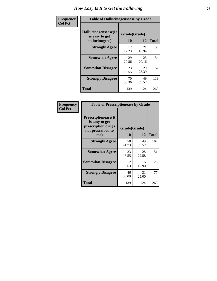| <b>Frequency</b> | <b>Table of Hallucinogensease by Grade</b>               |                    |             |              |
|------------------|----------------------------------------------------------|--------------------|-------------|--------------|
| <b>Col Pct</b>   | Hallucinogensease(It<br>is easy to get<br>hallucinogens) | Grade(Grade)<br>10 | 12          | <b>Total</b> |
|                  | <b>Strongly Agree</b>                                    | 17<br>12.23        | 21<br>16.94 | 38           |
|                  | <b>Somewhat Agree</b>                                    | 29<br>20.86        | 25<br>20.16 | 54           |
|                  | <b>Somewhat Disagree</b>                                 | 23<br>16.55        | 29<br>23.39 | 52           |
|                  | <b>Strongly Disagree</b>                                 | 70<br>50.36        | 49<br>39.52 | 119          |
|                  | <b>Total</b>                                             | 139                | 124         | 263          |

| Frequency<br>Col Pct |
|----------------------|
|                      |

| <b>Table of Prescriptionease by Grade</b>                                                |             |              |              |  |  |  |  |  |
|------------------------------------------------------------------------------------------|-------------|--------------|--------------|--|--|--|--|--|
| <b>Prescriptionease</b> (It<br>is easy to get<br>prescription drugs<br>not prescribed to |             | Grade(Grade) |              |  |  |  |  |  |
| me)                                                                                      | 10          | 12           | <b>Total</b> |  |  |  |  |  |
| <b>Strongly Agree</b>                                                                    | 58<br>41.73 | 49<br>39.52  | 107          |  |  |  |  |  |
| <b>Somewhat Agree</b>                                                                    | 23<br>16.55 | 28<br>22.58  | 51           |  |  |  |  |  |
| <b>Somewhat Disagree</b>                                                                 | 12<br>8.63  | 16<br>12.90  | 28           |  |  |  |  |  |
| <b>Strongly Disagree</b>                                                                 | 46<br>33.09 | 31<br>25.00  | 77           |  |  |  |  |  |
| Total                                                                                    | 139         | 124          | 263          |  |  |  |  |  |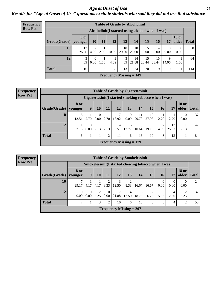*Age at Onset of Use* **27** *Results for "Age at Onset of Use" questions exclude students who said they did not use that substance*

| <b>Frequency</b> | <b>Table of Grade by Alcoholinit</b> |                        |                  |      |           |             |                                                  |             |             |                  |                       |              |
|------------------|--------------------------------------|------------------------|------------------|------|-----------|-------------|--------------------------------------------------|-------------|-------------|------------------|-----------------------|--------------|
| <b>Row Pct</b>   |                                      |                        |                  |      |           |             | Alcoholinit (I started using alcohol when I was) |             |             |                  |                       |              |
|                  | Grade(Grade)                         | <b>8 or</b><br>younger | 10               | 11   | 12        | 13          | 14                                               | 15          | <b>16</b>   | 17               | <b>18 or</b><br>older | <b>Total</b> |
|                  | 10                                   | 13<br>26.00            | ↑<br>4.00        | 2.00 | 10.00     | 10<br>20.00 | 10<br>20.00                                      | 5<br>10.00  | 4<br>8.00   | $\Omega$<br>0.00 | $\Omega$<br>0.00      | 50           |
|                  | 12                                   | 3<br>4.69              | $\Omega$<br>0.00 | 1.56 | 3<br>4.69 | 3<br>4.69   | 14<br>21.88                                      | 15<br>23.44 | 15<br>23.44 | 9<br>14.06       | 1.56                  | 64           |
|                  | <b>Total</b>                         | 16                     | $\overline{2}$   | 2    | 8         | 13          | 24                                               | 20          | 19          | 9                |                       | 114          |
|                  |                                      |                        |                  |      |           |             | <b>Frequency Missing = 149</b>                   |             |             |                  |                       |              |

#### **Frequency Row Pct**

|              | <b>Table of Grade by Cigarettesinit</b> |                                                      |               |      |            |                           |             |             |            |             |                       |              |
|--------------|-----------------------------------------|------------------------------------------------------|---------------|------|------------|---------------------------|-------------|-------------|------------|-------------|-----------------------|--------------|
|              |                                         | Cigarettesinit(I started smoking tobacco when I was) |               |      |            |                           |             |             |            |             |                       |              |
| Grade(Grade) | 8 or<br>younger                         | 9                                                    | 10            | 11   | 12         | 13                        | 14          | 15          | 16         | 17          | <b>18 or</b><br>older | <b>Total</b> |
| 10           | 13.51                                   | 2.70                                                 | $0.00\degree$ | 2.70 | ⇁<br>18.92 | $\mathbf{0}$<br>0.00      | 11<br>29.73 | 10<br>27.03 | 2.70       | 2.70        | $\Omega$<br>0.00      | 37           |
| 12           | 2.13                                    | $\theta$<br>0.00                                     | 2.13          | 2.13 | 4<br>8.51  | 6<br>12.77                | 5<br>10.64  | 9<br>19.15  | 7<br>14.89 | 12<br>25.53 | 2.13                  | 47           |
| <b>Total</b> | 6                                       |                                                      |               | 2    | 11         | 6                         | 16          | 19          | 8          | 13          |                       | 84           |
|              |                                         |                                                      |               |      |            | Frequency Missing $= 179$ |             |             |            |             |                       |              |

**Frequency Row Pct**

|              | <b>Table of Grade by Smokelessinit</b> |                                                     |           |                  |                           |            |            |                         |                  |                  |                       |              |
|--------------|----------------------------------------|-----------------------------------------------------|-----------|------------------|---------------------------|------------|------------|-------------------------|------------------|------------------|-----------------------|--------------|
|              |                                        | Smokelessinit(I started chewing tobacco when I was) |           |                  |                           |            |            |                         |                  |                  |                       |              |
| Grade(Grade) | 8 or<br>younger                        | 9                                                   | 10        | <b>11</b>        | 12                        | 13         | 14         | 15                      | 16               | 17               | <b>18 or</b><br>older | <b>Total</b> |
| 10           | 29.17                                  | 4.17                                                | 4.17      | 2<br>8.33        | 3<br>12.50                | 2<br>8.33  | 4<br>16.67 | $\overline{4}$<br>16.67 | $\theta$<br>0.00 | $\theta$<br>0.00 | $\Omega$<br>0.00      | 24           |
| 12           | $\Omega$<br>0.00                       | $\Omega$<br>0.00                                    | 2<br>6.25 | $\theta$<br>0.00 | 7<br>21.88                | 4<br>12.50 | 6<br>18.75 | 6.25                    | 15.63            | 4<br>12.50       | 6.25                  | 32           |
| <b>Total</b> | ⇁                                      |                                                     | 3         | $\overline{2}$   | 10                        | 6          | 10         | 6                       |                  | 4                | 2                     | 56           |
|              |                                        |                                                     |           |                  | Frequency Missing $= 207$ |            |            |                         |                  |                  |                       |              |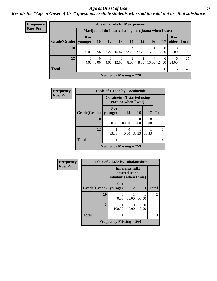#### *Age at Onset of Use* **28**

*Results for "Age at Onset of Use" questions exclude students who said they did not use that substance*

| <b>Frequency</b> | <b>Table of Grade by Marijuanainit</b> |                        |                  |                                                      |            |                         |           |            |                  |                       |              |
|------------------|----------------------------------------|------------------------|------------------|------------------------------------------------------|------------|-------------------------|-----------|------------|------------------|-----------------------|--------------|
| <b>Row Pct</b>   |                                        |                        |                  | Marijuanainit (I started using marijuana when I was) |            |                         |           |            |                  |                       |              |
|                  | Grade(Grade)                           | <b>8 or</b><br>younger | <b>10</b>        | 12                                                   | 13         | 14                      | 15        | <b>16</b>  | 17               | <b>18 or</b><br>older | <b>Total</b> |
|                  | 10                                     | $\Omega$<br>0.00       | 5.56             | $\overline{4}$<br>22.22                              | 3<br>16.67 | $\overline{4}$<br>22.22 | 27.78     | 5.56       | $\Omega$<br>0.00 | $\Omega$<br>0.00      | 18           |
|                  | 12                                     | 4.00                   | $\Omega$<br>0.00 | 4.00                                                 | 3<br>12.00 | 2<br>8.00               | 2<br>8.00 | 4<br>16.00 | 6<br>24.00       | 6<br>24.00            | 25           |
|                  | <b>Total</b>                           |                        |                  | 5                                                    | 6          | 6                       | 7         | 5          | 6                | 6                     | 43           |
|                  |                                        |                        |                  | <b>Frequency Missing = 220</b>                       |            |                         |           |            |                  |                       |              |

| Frequency      |              | <b>Table of Grade by Cocaineinit</b> |                                                     |                  |       |              |  |  |  |  |
|----------------|--------------|--------------------------------------|-----------------------------------------------------|------------------|-------|--------------|--|--|--|--|
| <b>Row Pct</b> |              |                                      | Cocaineinit (I started using<br>cocaine when I was) |                  |       |              |  |  |  |  |
|                | Grade(Grade) | 8 or<br>vounger                      | 14                                                  | 16               | 17    | <b>Total</b> |  |  |  |  |
|                | 10           | 0.00                                 | 100.00                                              | $\Omega$<br>0.00 | 0.00  |              |  |  |  |  |
|                | 12           | 33.33                                | 0<br>0.00                                           | 33.33            | 33.33 | 3            |  |  |  |  |
|                | <b>Total</b> | 1                                    |                                                     |                  |       |              |  |  |  |  |
|                |              | Frequency Missing $= 259$            |                                                     |                  |       |              |  |  |  |  |

| Frequency      |                        | <b>Table of Grade by Inhalantsinit</b> |                                  |           |                |  |  |  |  |  |
|----------------|------------------------|----------------------------------------|----------------------------------|-----------|----------------|--|--|--|--|--|
| <b>Row Pct</b> |                        | inhalants when I was)                  | Inhalantsinit(I<br>started using |           |                |  |  |  |  |  |
|                | Grade(Grade)   younger | 8 or                                   | 12                               | 13        | <b>Total</b>   |  |  |  |  |  |
|                | 10                     | 0.00                                   | 50.00                            | 50.00     | $\overline{c}$ |  |  |  |  |  |
|                | 12                     | 100.00                                 | 0.00                             | 0<br>0.00 |                |  |  |  |  |  |
|                | <b>Total</b>           |                                        |                                  |           | 3              |  |  |  |  |  |
|                |                        | Frequency Missing $= 260$              |                                  |           |                |  |  |  |  |  |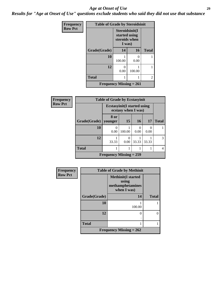#### *Age at Onset of Use* **29**

*Results for "Age at Onset of Use" questions exclude students who said they did not use that substance*

| Frequency      | <b>Table of Grade by Steroidsinit</b> |                                                            |           |              |  |  |  |  |
|----------------|---------------------------------------|------------------------------------------------------------|-----------|--------------|--|--|--|--|
| <b>Row Pct</b> |                                       | Steroidsinit(I<br>started using<br>steroids when<br>I was) |           |              |  |  |  |  |
|                | Grade(Grade)                          | 14                                                         | 16        | <b>Total</b> |  |  |  |  |
|                | 10                                    | 100.00                                                     | ∩<br>0.00 |              |  |  |  |  |
|                | 12                                    | 0<br>0.00                                                  | 100.00    |              |  |  |  |  |
|                | <b>Total</b>                          |                                                            |           | 2            |  |  |  |  |
|                | <b>Frequency Missing = 261</b>        |                                                            |           |              |  |  |  |  |

| Frequency      | <b>Table of Grade by Ecstasyinit</b> |                                                            |                           |                           |           |              |
|----------------|--------------------------------------|------------------------------------------------------------|---------------------------|---------------------------|-----------|--------------|
| <b>Row Pct</b> |                                      | <b>Ecstasyinit</b> (I started using<br>ecstasy when I was) |                           |                           |           |              |
|                | Grade(Grade)                         | 8 or<br>vounger                                            | <b>15</b>                 | <b>16</b>                 | 17        | <b>Total</b> |
|                | 10                                   | 0.00                                                       | 100.00                    | $\mathbf{\Omega}$<br>0.00 | 0<br>0.00 |              |
|                | 12                                   | 33.33                                                      | $\mathbf{\Omega}$<br>0.00 | 33.33                     | 33.33     | 3            |
|                | <b>Total</b>                         |                                                            |                           |                           |           | 4            |
|                |                                      | Frequency Missing $= 259$                                  |                           |                           |           |              |

| Frequency      | <b>Table of Grade by Methinit</b> |                                                                       |              |  |
|----------------|-----------------------------------|-----------------------------------------------------------------------|--------------|--|
| <b>Row Pct</b> |                                   | <b>Methinit(I started</b><br>using<br>methamphetamines<br>when I was) |              |  |
|                | Grade(Grade)                      | 14                                                                    | <b>Total</b> |  |
|                | 10                                | 100.00                                                                |              |  |
|                | 12                                | 0                                                                     | 0            |  |
|                | <b>Total</b>                      |                                                                       |              |  |
|                | <b>Frequency Missing = 262</b>    |                                                                       |              |  |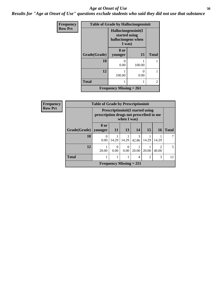#### Age at Onset of Use **30**

*Results for "Age at Onset of Use" questions exclude students who said they did not use that substance*

| Frequency      | <b>Table of Grade by Hallucinogensinit</b> |                                                                      |        |                |  |
|----------------|--------------------------------------------|----------------------------------------------------------------------|--------|----------------|--|
| <b>Row Pct</b> |                                            | Hallucinogensinit(I<br>started using<br>hallucinogens when<br>I was) |        |                |  |
|                | Grade(Grade)                               | 8 or<br>younger                                                      | 15     | <b>Total</b>   |  |
|                | 10                                         | 0<br>0.00                                                            | 100.00 |                |  |
|                | 12                                         | 100.00                                                               | 0.00   |                |  |
|                | <b>Total</b>                               | 1                                                                    | 1      | $\overline{2}$ |  |
|                |                                            | Frequency Missing $= 261$                                            |        |                |  |

| Frequency      |              | <b>Table of Grade by Prescriptioninit</b><br><b>Prescriptioninit (I started using</b><br>prescription drugs not prescribed to me<br>when I was) |                                |           |                        |                |                         |              |
|----------------|--------------|-------------------------------------------------------------------------------------------------------------------------------------------------|--------------------------------|-----------|------------------------|----------------|-------------------------|--------------|
| <b>Row Pct</b> |              |                                                                                                                                                 |                                |           |                        |                |                         |              |
|                | Grade(Grade) | 8 or<br>younger                                                                                                                                 | 11                             | 13        | 14                     | 15             | <b>16</b>               | <b>Total</b> |
|                | 10           | 0.00                                                                                                                                            | 14.29                          | 14.29     | $\mathcal{F}$<br>42.86 | 14.29          | 14.29                   |              |
|                | 12           | 20.00                                                                                                                                           | $\Omega$<br>0.00               | 0<br>0.00 | 20.00                  | 20.00          | $\mathfrak{D}$<br>40.00 | 5            |
|                | <b>Total</b> |                                                                                                                                                 |                                |           | 4                      | $\overline{2}$ | 3                       | 12           |
|                |              |                                                                                                                                                 | <b>Frequency Missing = 251</b> |           |                        |                |                         |              |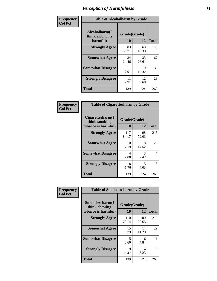| Frequency      | <b>Table of Alcoholharm by Grade</b>          |                    |             |              |
|----------------|-----------------------------------------------|--------------------|-------------|--------------|
| <b>Col Pct</b> | Alcoholharm(I<br>think alcohol is<br>harmful) | Grade(Grade)<br>10 | 12          | <b>Total</b> |
|                | <b>Strongly Agree</b>                         | 83<br>59.71        | 60<br>48.39 | 143          |
|                | <b>Somewhat Agree</b>                         | 34<br>24.46        | 33<br>26.61 | 67           |
|                | <b>Somewhat Disagree</b>                      | 11<br>7.91         | 19<br>15.32 | 30           |
|                | <b>Strongly Disagree</b>                      | 11<br>7.91         | 12<br>9.68  | 23           |
|                | <b>Total</b>                                  | 139                | 124         | 263          |

| <b>Table of Cigarettesharm by Grade</b>                  |                    |             |              |  |  |
|----------------------------------------------------------|--------------------|-------------|--------------|--|--|
| Cigarettesharm(I<br>think smoking<br>tobacco is harmful) | Grade(Grade)<br>10 | 12          | <b>Total</b> |  |  |
| <b>Strongly Agree</b>                                    | 117<br>84.17       | 98<br>79.03 | 215          |  |  |
| <b>Somewhat Agree</b>                                    | 10<br>7.19         | 18<br>14.52 | 28           |  |  |
| <b>Somewhat Disagree</b>                                 | 4<br>2.88          | 3<br>2.42   | 7            |  |  |
| <b>Strongly Disagree</b>                                 | 8<br>5.76          | 5<br>4.03   | 13           |  |  |
| <b>Total</b>                                             | 139                | 124         | 263          |  |  |

| Frequency      | <b>Table of Smokelessharm by Grade</b>                  |                    |              |              |
|----------------|---------------------------------------------------------|--------------------|--------------|--------------|
| <b>Col Pct</b> | Smokelessharm(I<br>think chewing<br>tobacco is harmful) | Grade(Grade)<br>10 | 12           | <b>Total</b> |
|                | <b>Strongly Agree</b>                                   | 110<br>79.14       | 100<br>80.65 | 210          |
|                | <b>Somewhat Agree</b>                                   | 15<br>10.79        | 14<br>11.29  | 29           |
|                | <b>Somewhat Disagree</b>                                | 5<br>3.60          | 6<br>4.84    | 11           |
|                | <b>Strongly Disagree</b>                                | 9<br>6.47          | 4<br>3.23    | 13           |
|                | <b>Total</b>                                            | 139                | 124          | 263          |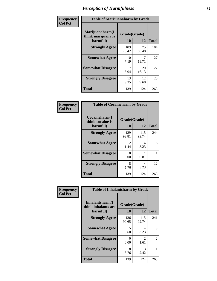| Frequency      | <b>Table of Marijuanaharm by Grade</b>            |                    |             |              |
|----------------|---------------------------------------------------|--------------------|-------------|--------------|
| <b>Col Pct</b> | Marijuanaharm(I<br>think marijuana is<br>harmful) | Grade(Grade)<br>10 | 12          | <b>Total</b> |
|                | <b>Strongly Agree</b>                             | 109<br>78.42       | 75<br>60.48 | 184          |
|                | <b>Somewhat Agree</b>                             | 10<br>7.19         | 17<br>13.71 | 27           |
|                | <b>Somewhat Disagree</b>                          | 7<br>5.04          | 20<br>16.13 | 27           |
|                | <b>Strongly Disagree</b>                          | 13<br>9.35         | 12<br>9.68  | 25           |
|                | <b>Total</b>                                      | 139                | 124         | 263          |

| <b>Table of Cocaineharm by Grade</b>          |                    |              |              |  |  |
|-----------------------------------------------|--------------------|--------------|--------------|--|--|
| Cocaineharm(I<br>think cocaine is<br>harmful) | Grade(Grade)<br>10 | 12           | <b>Total</b> |  |  |
| <b>Strongly Agree</b>                         | 129<br>92.81       | 115<br>92.74 | 244          |  |  |
| <b>Somewhat Agree</b>                         | 2<br>1.44          | 4<br>3.23    | 6            |  |  |
| <b>Somewhat Disagree</b>                      | 0<br>0.00          | 1<br>0.81    |              |  |  |
| <b>Strongly Disagree</b>                      | 8<br>5.76          | 4<br>3.23    | 12           |  |  |
| <b>Total</b>                                  | 139                | 124          | 263          |  |  |

| Frequency      | <b>Table of Inhalantsharm by Grade</b>             |                    |                        |              |  |
|----------------|----------------------------------------------------|--------------------|------------------------|--------------|--|
| <b>Col Pct</b> | Inhalantsharm(I<br>think inhalants are<br>harmful) | Grade(Grade)<br>10 | 12                     | <b>Total</b> |  |
|                | <b>Strongly Agree</b>                              | 126<br>90.65       | 115<br>92.74           | 241          |  |
|                | <b>Somewhat Agree</b>                              | 5<br>3.60          | 4<br>3.23              | 9            |  |
|                | <b>Somewhat Disagree</b>                           | 0<br>0.00          | $\mathfrak{D}$<br>1.61 | 2            |  |
|                | <b>Strongly Disagree</b>                           | 8<br>5.76          | 3<br>2.42              | 11           |  |
|                | <b>Total</b>                                       | 139                | 124                    | 263          |  |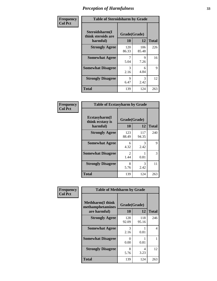| Frequency      | <b>Table of Steroidsharm by Grade</b>            |                    |              |              |
|----------------|--------------------------------------------------|--------------------|--------------|--------------|
| <b>Col Pct</b> | Steroidsharm(I<br>think steroids are<br>harmful) | Grade(Grade)<br>10 | 12           | <b>Total</b> |
|                | <b>Strongly Agree</b>                            | 120<br>86.33       | 106<br>85.48 | 226          |
|                | <b>Somewhat Agree</b>                            | 5.04               | 9<br>7.26    | 16           |
|                | <b>Somewhat Disagree</b>                         | 3<br>2.16          | 6<br>4.84    | 9            |
|                | <b>Strongly Disagree</b>                         | 9<br>6.47          | 3<br>2.42    | 12           |
|                | <b>Total</b>                                     | 139                | 124          | 263          |

| <b>Table of Ecstasyharm by Grade</b>          |                    |              |              |  |  |
|-----------------------------------------------|--------------------|--------------|--------------|--|--|
| Ecstasyharm(I<br>think ecstasy is<br>harmful) | Grade(Grade)<br>10 | 12           | <b>Total</b> |  |  |
| <b>Strongly Agree</b>                         | 123<br>88.49       | 117<br>94.35 | 240          |  |  |
| <b>Somewhat Agree</b>                         | 6<br>4.32          | 3<br>2.42    | 9            |  |  |
| <b>Somewhat Disagree</b>                      | 2<br>1.44          | 0.81         | 3            |  |  |
| <b>Strongly Disagree</b>                      | 8<br>5.76          | 3<br>2.42    | 11           |  |  |
| <b>Total</b>                                  | 139                | 124          | 263          |  |  |

| Frequency      | <b>Table of Methharm by Grade</b>                           |                    |              |              |
|----------------|-------------------------------------------------------------|--------------------|--------------|--------------|
| <b>Col Pct</b> | <b>Methharm(I think</b><br>methamphetamines<br>are harmful) | Grade(Grade)<br>10 | 12           | <b>Total</b> |
|                | <b>Strongly Agree</b>                                       | 128<br>92.09       | 118<br>95.16 | 246          |
|                | <b>Somewhat Agree</b>                                       | 3<br>2.16          | 0.81         | 4            |
|                | <b>Somewhat Disagree</b>                                    | 0<br>0.00          | 0.81         |              |
|                | <b>Strongly Disagree</b>                                    | 8<br>5.76          | 4<br>3.23    | 12           |
|                | <b>Total</b>                                                | 139                | 124          | 263          |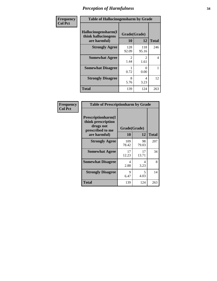| Frequency      | <b>Table of Hallucinogensharm by Grade</b>                 |                       |                        |              |
|----------------|------------------------------------------------------------|-----------------------|------------------------|--------------|
| <b>Col Pct</b> | Hallucinogensharm(I<br>think hallucinogens<br>are harmful) | Grade(Grade)<br>10    | 12                     | <b>Total</b> |
|                | <b>Strongly Agree</b>                                      | 128<br>92.09          | 118<br>95.16           | 246          |
|                | <b>Somewhat Agree</b>                                      | $\mathcal{L}$<br>1.44 | $\mathfrak{D}$<br>1.61 | 4            |
|                | <b>Somewhat Disagree</b>                                   | 0.72                  | 0<br>0.00              |              |
|                | <b>Strongly Disagree</b>                                   | 8<br>5.76             | 4<br>3.23              | 12           |
|                | <b>Total</b>                                               | 139                   | 124                    | 263          |

| <b>Table of Prescriptionharm by Grade</b>                                                         |                    |             |              |  |  |
|---------------------------------------------------------------------------------------------------|--------------------|-------------|--------------|--|--|
| <b>Prescriptionharm</b> (I<br>think prescription<br>drugs not<br>prescribed to me<br>are harmful) | Grade(Grade)<br>10 | 12          | <b>Total</b> |  |  |
| <b>Strongly Agree</b>                                                                             | 109<br>78.42       | 98<br>79.03 | 207          |  |  |
| <b>Somewhat Agree</b>                                                                             | 17<br>12.23        | 17<br>13.71 | 34           |  |  |
| <b>Somewhat Disagree</b>                                                                          | 4<br>2.88          | Δ<br>3.23   | 8            |  |  |
| <b>Strongly Disagree</b>                                                                          | 9<br>6.47          | 5<br>4.03   | 14           |  |  |
| <b>Total</b>                                                                                      | 139                | 124         | 263          |  |  |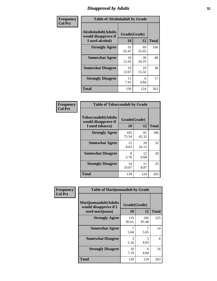# *Disapproval by Adults* **35**

| Frequency      | <b>Table of Alcoholadult by Grade</b>                                 |             |                    |              |
|----------------|-----------------------------------------------------------------------|-------------|--------------------|--------------|
| <b>Col Pct</b> | <b>Alcoholadult</b> (Adults<br>would disapprove if<br>I used alcohol) | 10          | Grade(Grade)<br>12 | <b>Total</b> |
|                | <b>Strongly Agree</b>                                                 | 91<br>65.47 | 69<br>55.65        | 160          |
|                | <b>Somewhat Agree</b>                                                 | 18<br>12.95 | 30<br>24.19        | 48           |
|                | <b>Somewhat Disagree</b>                                              | 19<br>13.67 | 19<br>15.32        | 38           |
|                | <b>Strongly Disagree</b>                                              | 11<br>7.91  | 6<br>4.84          | 17           |
|                | <b>Total</b>                                                          | 139         | 124                | 263          |

| <b>Table of Tobaccoadult by Grade</b>                                 |                    |              |     |  |
|-----------------------------------------------------------------------|--------------------|--------------|-----|--|
| <b>Tobaccoadult</b> (Adults<br>would disapprove if<br>I used tobacco) | Grade(Grade)<br>10 | <b>Total</b> |     |  |
| <b>Strongly Agree</b>                                                 | 105<br>75.54       | 81<br>65.32  | 186 |  |
| <b>Somewhat Agree</b>                                                 | 12<br>8.63         | 20<br>16.13  | 32  |  |
| <b>Somewhat Disagree</b>                                              | 8<br>5.76          | 12<br>9.68   | 20  |  |
| <b>Strongly Disagree</b>                                              | 14<br>10.07        | 11<br>8.87   | 25  |  |
| <b>Total</b>                                                          | 139                | 124          | 263 |  |

| <b>Frequency</b> | <b>Table of Marijuanaadult by Grade</b>                           |                    |              |              |
|------------------|-------------------------------------------------------------------|--------------------|--------------|--------------|
| <b>Col Pct</b>   | Marijuanaadult(Adults<br>would disapprove if I<br>used marijuana) | Grade(Grade)<br>10 | 12           | <b>Total</b> |
|                  | <b>Strongly Agree</b>                                             | 119<br>85.61       | 106<br>85.48 | 225          |
|                  | <b>Somewhat Agree</b>                                             | 5.04               | 7<br>5.65    | 14           |
|                  | <b>Somewhat Disagree</b>                                          | 3<br>2.16          | 5<br>4.03    | 8            |
|                  | <b>Strongly Disagree</b>                                          | 10<br>7.19         | 6<br>4.84    | 16           |
|                  | <b>Total</b>                                                      | 139                | 124          | 263          |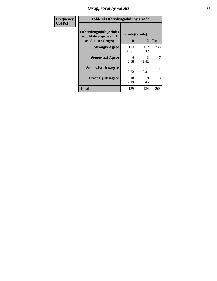# *Disapproval by Adults* **36**

| <b>Frequency</b> | <b>Table of Otherdrugadult by Grade</b>                                     |                    |              |                |
|------------------|-----------------------------------------------------------------------------|--------------------|--------------|----------------|
| <b>Col Pct</b>   | <b>Otherdrugadult</b> (Adults<br>would disapprove if I<br>used other drugs) | Grade(Grade)<br>10 | 12           | <b>Total</b>   |
|                  | <b>Strongly Agree</b>                                                       | 124<br>89.21       | 112<br>90.32 | 236            |
|                  | <b>Somewhat Agree</b>                                                       | 4<br>2.88          | 3<br>2.42    | 7              |
|                  | <b>Somewhat Disagree</b>                                                    | 0.72               | 0.81         | $\overline{2}$ |
|                  | <b>Strongly Disagree</b>                                                    | 10<br>7.19         | 8<br>6.45    | 18             |
|                  | <b>Total</b>                                                                | 139                | 124          | 263            |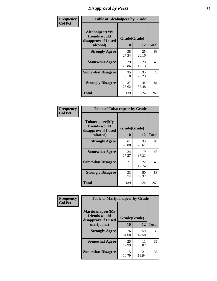# *Disapproval by Peers* **37**

| Frequency      | <b>Table of Alcoholpeer by Grade</b>                    |              |             |              |  |
|----------------|---------------------------------------------------------|--------------|-------------|--------------|--|
| <b>Col Pct</b> | Alcoholpeer(My<br>friends would<br>disapprove if I used | Grade(Grade) |             |              |  |
|                | alcohol)                                                | 10           | 12          | <b>Total</b> |  |
|                | <b>Strongly Agree</b>                                   | 38<br>27.34  | 25<br>20.16 | 63           |  |
|                | <b>Somewhat Agree</b>                                   | 29<br>20.86  | 20<br>16.13 | 49           |  |
|                | <b>Somewhat Disagree</b>                                | 35<br>25.18  | 35<br>28.23 | 70           |  |
|                | <b>Strongly Disagree</b>                                | 37<br>26.62  | 44<br>35.48 | 81           |  |
|                | Total                                                   | 139          | 124         | 263          |  |

| Frequency      | <b>Table of Tobaccopeer by Grade</b>                    |              |             |              |
|----------------|---------------------------------------------------------|--------------|-------------|--------------|
| <b>Col Pct</b> | Tobaccopeer(My<br>friends would<br>disapprove if I used | Grade(Grade) |             |              |
|                | tobacco)                                                | 10           | 12          | <b>Total</b> |
|                | <b>Strongly Agree</b>                                   | 61<br>43.88  | 33<br>26.61 | 94           |
|                | <b>Somewhat Agree</b>                                   | 24<br>17.27  | 19<br>15.32 | 43           |
|                | <b>Somewhat Disagree</b>                                | 21<br>15.11  | 22<br>17.74 | 43           |
|                | <b>Strongly Disagree</b>                                | 33<br>23.74  | 50<br>40.32 | 83           |
|                | Total                                                   | 139          | 124         | 263          |

| Frequency      | <b>Table of Marijuanapeer by Grade</b>                    |              |             |              |
|----------------|-----------------------------------------------------------|--------------|-------------|--------------|
| <b>Col Pct</b> | Marijuanapeer(My<br>friends would<br>disapprove if I used | Grade(Grade) |             |              |
|                | marijuana)                                                | 10           | 12          | <b>Total</b> |
|                | <b>Strongly Agree</b>                                     | 76<br>54.68  | 59<br>47.58 | 135          |
|                | <b>Somewhat Agree</b>                                     | 25<br>17.99  | 11<br>8.87  | 36           |
|                | <b>Somewhat Disagree</b>                                  | 15<br>10.79  | 21<br>16.94 | 36           |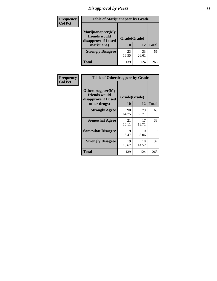# *Disapproval by Peers* **38**

| <b>Frequency</b> | <b>Table of Marijuanapeer by Grade</b>                                  |                           |             |              |  |
|------------------|-------------------------------------------------------------------------|---------------------------|-------------|--------------|--|
| <b>Col Pct</b>   | Marijuanapeer(My<br>friends would<br>disapprove if I used<br>marijuana) | Grade(Grade)<br><b>10</b> | 12          | <b>Total</b> |  |
|                  | <b>Strongly Disagree</b>                                                | 23<br>16.55               | 33<br>26.61 | 56           |  |
|                  | <b>Total</b>                                                            | 139                       | 124         | 263          |  |

| <b>Frequency</b> | <b>Table of Otherdrugpeer by Grade</b>                                    |                    |             |              |
|------------------|---------------------------------------------------------------------------|--------------------|-------------|--------------|
| <b>Col Pct</b>   | Otherdrugpeer(My<br>friends would<br>disapprove if I used<br>other drugs) | Grade(Grade)<br>10 | 12          | <b>Total</b> |
|                  | <b>Strongly Agree</b>                                                     | 90<br>64.75        | 79<br>63.71 | 169          |
|                  | <b>Somewhat Agree</b>                                                     | 21<br>15.11        | 17<br>13.71 | 38           |
|                  | <b>Somewhat Disagree</b>                                                  | 9<br>6.47          | 10<br>8.06  | 19           |
|                  | <b>Strongly Disagree</b>                                                  | 19<br>13.67        | 18<br>14.52 | 37           |
|                  | <b>Total</b>                                                              | 139                | 124         | 263          |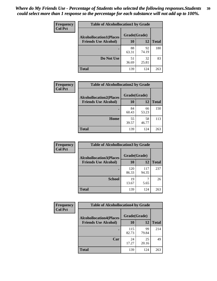| Frequency      | <b>Table of Alcohollocation1 by Grade</b> |              |             |              |
|----------------|-------------------------------------------|--------------|-------------|--------------|
| <b>Col Pct</b> | <b>Alcohollocation1(Places</b>            | Grade(Grade) |             |              |
|                | <b>Friends Use Alcohol)</b>               | 10           | 12          | <b>Total</b> |
|                |                                           | 88<br>63.31  | 92<br>74.19 | 180          |
|                | Do Not Use                                | 51<br>36.69  | 32<br>25.81 | 83           |
|                | <b>Total</b>                              | 139          | 124         | 263          |

| Frequency      | <b>Table of Alcohollocation2 by Grade</b>                     |                    |             |              |
|----------------|---------------------------------------------------------------|--------------------|-------------|--------------|
| <b>Col Pct</b> | <b>Alcohollocation2(Places</b><br><b>Friends Use Alcohol)</b> | Grade(Grade)<br>10 | <b>12</b>   | <b>Total</b> |
|                |                                                               | 84<br>60.43        | 66<br>53.23 | 150          |
|                | Home                                                          | 55<br>39.57        | 58<br>46.77 | 113          |
|                | <b>Total</b>                                                  | 139                | 124         | 263          |

| Frequency<br><b>Col Pct</b> | <b>Table of Alcohollocation 3 by Grade</b>                    |                    |              |              |
|-----------------------------|---------------------------------------------------------------|--------------------|--------------|--------------|
|                             | <b>Alcohollocation3(Places</b><br><b>Friends Use Alcohol)</b> | Grade(Grade)<br>10 | 12           | <b>Total</b> |
|                             |                                                               | 120<br>86.33       | 117<br>94.35 | 237          |
|                             | <b>School</b>                                                 | 19<br>13.67        | 5.65         | 26           |
|                             | <b>Total</b>                                                  | 139                | 124          | 263          |

| <b>Frequency</b> | <b>Table of Alcohollocation4 by Grade</b> |              |             |              |  |
|------------------|-------------------------------------------|--------------|-------------|--------------|--|
| <b>Col Pct</b>   | <b>Alcohollocation4(Places</b>            | Grade(Grade) |             |              |  |
|                  | <b>Friends Use Alcohol)</b>               | 10           | 12          | <b>Total</b> |  |
|                  |                                           | 115<br>82.73 | 99<br>79.84 | 214          |  |
|                  | Car                                       | 24<br>17.27  | 25<br>20.16 | 49           |  |
|                  | <b>Total</b>                              | 139          | 124         | 263          |  |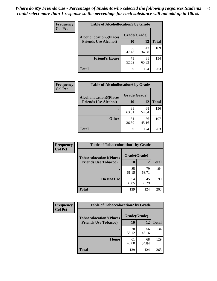| Frequency<br><b>Col Pct</b> | <b>Table of Alcohollocation5 by Grade</b> |              |             |              |
|-----------------------------|-------------------------------------------|--------------|-------------|--------------|
|                             | <b>Alcohollocation5(Places</b>            | Grade(Grade) |             |              |
|                             | <b>Friends Use Alcohol)</b>               | 10           | 12          | <b>Total</b> |
|                             |                                           | 66<br>47.48  | 43<br>34.68 | 109          |
|                             | <b>Friend's House</b>                     | 73<br>52.52  | 81<br>65.32 | 154          |
|                             | <b>Total</b>                              | 139          | 124         | 263          |

| <b>Frequency</b> | <b>Table of Alcohollocation6 by Grade</b> |              |             |              |
|------------------|-------------------------------------------|--------------|-------------|--------------|
| <b>Col Pct</b>   | <b>Alcohollocation6(Places</b>            | Grade(Grade) |             |              |
|                  | <b>Friends Use Alcohol)</b>               | 10           | 12          | <b>Total</b> |
|                  |                                           | 88<br>63.31  | 68<br>54.84 | 156          |
|                  | <b>Other</b>                              | 51<br>36.69  | 56<br>45.16 | 107          |
|                  | <b>Total</b>                              | 139          | 124         | 263          |

| Frequency      | <b>Table of Tobaccolocation1 by Grade</b> |              |             |              |
|----------------|-------------------------------------------|--------------|-------------|--------------|
| <b>Col Pct</b> | <b>Tobaccolocation1(Places</b>            | Grade(Grade) |             |              |
|                | <b>Friends Use Tobacco)</b>               | 10           | 12          | <b>Total</b> |
|                |                                           | 85<br>61.15  | 79<br>63.71 | 164          |
|                | Do Not Use                                | 54<br>38.85  | 45<br>36.29 | 99           |
|                | <b>Total</b>                              | 139          | 124         | 263          |

| <b>Frequency</b> | <b>Table of Tobaccolocation2 by Grade</b> |              |             |              |  |
|------------------|-------------------------------------------|--------------|-------------|--------------|--|
| <b>Col Pct</b>   | <b>Tobaccolocation2(Places</b>            | Grade(Grade) |             |              |  |
|                  | <b>Friends Use Tobacco)</b>               | 10           | 12          | <b>Total</b> |  |
|                  |                                           | 78<br>56.12  | 56<br>45.16 | 134          |  |
|                  | Home                                      | 61<br>43.88  | 68<br>54.84 | 129          |  |
|                  | <b>Total</b>                              | 139          | 124         | 263          |  |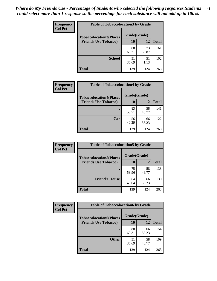| Frequency      | <b>Table of Tobaccolocation 3 by Grade</b> |              |             |              |  |
|----------------|--------------------------------------------|--------------|-------------|--------------|--|
| <b>Col Pct</b> | <b>Tobaccolocation3(Places</b>             | Grade(Grade) |             |              |  |
|                | <b>Friends Use Tobacco)</b>                | 10           | 12          | <b>Total</b> |  |
|                |                                            | 88<br>63.31  | 73<br>58.87 | 161          |  |
|                | <b>School</b>                              | 51<br>36.69  | 51<br>41.13 | 102          |  |
|                | <b>Total</b>                               | 139          | 124         | 263          |  |

| Frequency      | <b>Table of Tobaccolocation4 by Grade</b> |              |             |              |
|----------------|-------------------------------------------|--------------|-------------|--------------|
| <b>Col Pct</b> | <b>Tobaccolocation4(Places</b>            | Grade(Grade) |             |              |
|                | <b>Friends Use Tobacco)</b>               | 10           | 12          | <b>Total</b> |
|                |                                           | 83<br>59.71  | 58<br>46.77 | 141          |
|                | Car                                       | 56<br>40.29  | 66<br>53.23 | 122          |
|                | <b>Total</b>                              | 139          | 124         | 263          |

| Frequency<br><b>Col Pct</b> | <b>Table of Tobaccolocation5 by Grade</b> |              |             |              |
|-----------------------------|-------------------------------------------|--------------|-------------|--------------|
|                             | <b>Tobaccolocation5(Places</b>            | Grade(Grade) |             |              |
|                             | <b>Friends Use Tobacco)</b>               | 10           | <b>12</b>   | <b>Total</b> |
|                             |                                           | 75<br>53.96  | 58<br>46.77 | 133          |
|                             | <b>Friend's House</b>                     | 64<br>46.04  | 66<br>53.23 | 130          |
|                             | <b>Total</b>                              | 139          | 124         | 263          |

| <b>Frequency</b> | <b>Table of Tobaccolocation6 by Grade</b> |              |             |              |  |  |
|------------------|-------------------------------------------|--------------|-------------|--------------|--|--|
| <b>Col Pct</b>   | <b>Tobaccolocation6(Places</b>            | Grade(Grade) |             |              |  |  |
|                  | <b>Friends Use Tobacco)</b>               | 10           | 12          | <b>Total</b> |  |  |
|                  |                                           | 88<br>63.31  | 66<br>53.23 | 154          |  |  |
|                  | <b>Other</b>                              | 51<br>36.69  | 58<br>46.77 | 109          |  |  |
|                  | <b>Total</b>                              | 139          | 124         | 263          |  |  |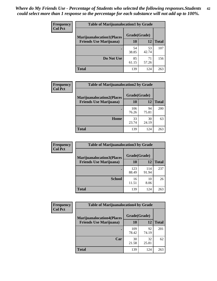| <b>Frequency</b> | <b>Table of Marijuanalocation1 by Grade</b> |              |             |              |
|------------------|---------------------------------------------|--------------|-------------|--------------|
| <b>Col Pct</b>   | <b>Marijuanalocation1(Places</b>            | Grade(Grade) |             |              |
|                  | <b>Friends Use Marijuana</b> )              | 10           | 12          | <b>Total</b> |
|                  |                                             | 54<br>38.85  | 53<br>42.74 | 107          |
|                  | Do Not Use                                  | 85<br>61.15  | 71<br>57.26 | 156          |
|                  | <b>Total</b>                                | 139          | 124         | 263          |

| <b>Frequency</b> | <b>Table of Marijuanalocation2 by Grade</b>                        |                    |             |              |
|------------------|--------------------------------------------------------------------|--------------------|-------------|--------------|
| <b>Col Pct</b>   | <b>Marijuanalocation2(Places</b><br><b>Friends Use Marijuana</b> ) | Grade(Grade)<br>10 | 12          | <b>Total</b> |
|                  |                                                                    | 106<br>76.26       | 94<br>75.81 | 200          |
|                  | Home                                                               | 33<br>23.74        | 30<br>24.19 | 63           |
|                  | <b>Total</b>                                                       | 139                | 124         | 263          |

| Frequency<br><b>Col Pct</b> | <b>Table of Marijuanalocation3 by Grade</b> |              |              |       |
|-----------------------------|---------------------------------------------|--------------|--------------|-------|
|                             | <b>Marijuanalocation3</b> (Places           | Grade(Grade) |              |       |
|                             | <b>Friends Use Marijuana</b> )              | 10           | 12           | Total |
|                             |                                             | 123<br>88.49 | 114<br>91.94 | 237   |
|                             | <b>School</b>                               | 16<br>11.51  | 10<br>8.06   | 26    |
|                             | <b>Total</b>                                | 139          | 124          | 263   |

| <b>Frequency</b> | <b>Table of Marijuanalocation4 by Grade</b> |              |             |              |  |
|------------------|---------------------------------------------|--------------|-------------|--------------|--|
| <b>Col Pct</b>   | <b>Marijuanalocation4(Places</b>            | Grade(Grade) |             |              |  |
|                  | <b>Friends Use Marijuana</b> )              | <b>10</b>    | 12          | <b>Total</b> |  |
|                  |                                             | 109<br>78.42 | 92<br>74.19 | 201          |  |
|                  | Car                                         | 30<br>21.58  | 32<br>25.81 | 62           |  |
|                  | <b>Total</b>                                | 139          | 124         | 263          |  |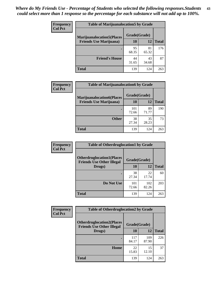| <b>Frequency</b>               | <b>Table of Marijuanalocation5 by Grade</b> |              |              |     |
|--------------------------------|---------------------------------------------|--------------|--------------|-----|
| <b>Col Pct</b>                 | <b>Marijuanalocation5</b> (Places           | Grade(Grade) |              |     |
| <b>Friends Use Marijuana</b> ) | 10                                          | 12           | <b>Total</b> |     |
|                                |                                             | 95<br>68.35  | 81<br>65.32  | 176 |
|                                | <b>Friend's House</b>                       | 44<br>31.65  | 43<br>34.68  | 87  |
|                                | <b>Total</b>                                | 139          | 124          | 263 |

| <b>Frequency</b> | <b>Table of Marijuanalocation6 by Grade</b>                        |                    |             |              |
|------------------|--------------------------------------------------------------------|--------------------|-------------|--------------|
| <b>Col Pct</b>   | <b>Marijuanalocation6(Places</b><br><b>Friends Use Marijuana</b> ) | Grade(Grade)<br>10 | 12          | <b>Total</b> |
|                  |                                                                    | 101<br>72.66       | 89<br>71.77 | 190          |
|                  | <b>Other</b>                                                       | 38<br>27.34        | 35<br>28.23 | 73           |
|                  | <b>Total</b>                                                       | 139                | 124         | 263          |

| <b>Frequency</b> | <b>Table of Otherdruglocation1 by Grade</b>                          |              |              |              |
|------------------|----------------------------------------------------------------------|--------------|--------------|--------------|
| <b>Col Pct</b>   | <b>Otherdruglocation1(Places</b><br><b>Friends Use Other Illegal</b> | Grade(Grade) |              |              |
|                  | Drugs)                                                               | 10           | 12           | <b>Total</b> |
|                  |                                                                      | 38<br>27.34  | 22<br>17.74  | 60           |
|                  | Do Not Use                                                           | 101<br>72.66 | 102<br>82.26 | 203          |
|                  | <b>Total</b>                                                         | 139          | 124          | 263          |

| <b>Frequency</b> | <b>Table of Otherdruglocation2 by Grade</b>                           |              |              |              |
|------------------|-----------------------------------------------------------------------|--------------|--------------|--------------|
| <b>Col Pct</b>   | <b>Otherdruglocation2(Places)</b><br><b>Friends Use Other Illegal</b> | Grade(Grade) |              |              |
|                  | Drugs)                                                                | 10           | 12           | <b>Total</b> |
|                  |                                                                       | 117<br>84.17 | 109<br>87.90 | 226          |
|                  | <b>Home</b>                                                           | 22<br>15.83  | 15<br>12.10  | 37           |
|                  | <b>Total</b>                                                          | 139          | 124          | 263          |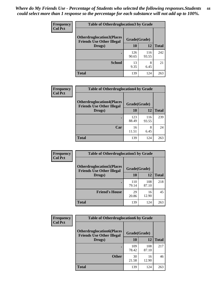| <b>Frequency</b> | <b>Table of Otherdruglocation3 by Grade</b>                           |              |              |              |
|------------------|-----------------------------------------------------------------------|--------------|--------------|--------------|
| <b>Col Pct</b>   | <b>Otherdruglocation3(Places)</b><br><b>Friends Use Other Illegal</b> | Grade(Grade) |              |              |
|                  | Drugs)                                                                | 10           | 12           | <b>Total</b> |
|                  |                                                                       | 126<br>90.65 | 116<br>93.55 | 242          |
|                  | <b>School</b>                                                         | 13<br>9.35   | 8<br>6.45    | 21           |
|                  | <b>Total</b>                                                          | 139          | 124          | 263          |

| <b>Frequency</b> | <b>Table of Otherdruglocation4 by Grade</b>                          |              |              |              |  |
|------------------|----------------------------------------------------------------------|--------------|--------------|--------------|--|
| <b>Col Pct</b>   | <b>Otherdruglocation4(Places</b><br><b>Friends Use Other Illegal</b> | Grade(Grade) |              |              |  |
|                  | Drugs)                                                               | 10           | 12           | <b>Total</b> |  |
|                  |                                                                      | 123<br>88.49 | 116<br>93.55 | 239          |  |
|                  | Car                                                                  | 16<br>11.51  | 8<br>6.45    | 24           |  |
|                  | <b>Total</b>                                                         | 139          | 124          | 263          |  |

| <b>Frequency</b> | <b>Table of Otherdruglocation5 by Grade</b>                          |              |              |              |
|------------------|----------------------------------------------------------------------|--------------|--------------|--------------|
| <b>Col Pct</b>   | <b>Otherdruglocation5(Places</b><br><b>Friends Use Other Illegal</b> | Grade(Grade) |              |              |
|                  | Drugs)                                                               | 10           | 12           | <b>Total</b> |
|                  |                                                                      | 110<br>79.14 | 108<br>87.10 | 218          |
|                  | <b>Friend's House</b>                                                | 29<br>20.86  | 16<br>12.90  | 45           |
|                  | <b>Total</b>                                                         | 139          | 124          | 263          |

| <b>Frequency</b> | <b>Table of Otherdruglocation6 by Grade</b>                          |              |              |              |
|------------------|----------------------------------------------------------------------|--------------|--------------|--------------|
| <b>Col Pct</b>   | <b>Otherdruglocation6(Places</b><br><b>Friends Use Other Illegal</b> | Grade(Grade) |              |              |
|                  | Drugs)                                                               | 10           | 12           | <b>Total</b> |
|                  |                                                                      | 109<br>78.42 | 108<br>87.10 | 217          |
|                  | <b>Other</b>                                                         | 30<br>21.58  | 16<br>12.90  | 46           |
|                  | <b>Total</b>                                                         | 139          | 124          | 263          |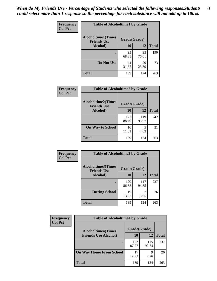| Frequency      | <b>Table of Alcoholtime1 by Grade</b>           |              |             |              |
|----------------|-------------------------------------------------|--------------|-------------|--------------|
| <b>Col Pct</b> | <b>Alcoholtime1(Times</b><br><b>Friends Use</b> | Grade(Grade) |             |              |
|                | Alcohol)                                        | <b>10</b>    | 12          | <b>Total</b> |
|                |                                                 | 95<br>68.35  | 95<br>76.61 | 190          |
|                | Do Not Use                                      | 44<br>31.65  | 29<br>23.39 | 73           |
|                | <b>Total</b>                                    | 139          | 124         | 263          |

| Frequency      | <b>Table of Alcoholtime2 by Grade</b>           |              |              |              |
|----------------|-------------------------------------------------|--------------|--------------|--------------|
| <b>Col Pct</b> | <b>Alcoholtime2(Times</b><br><b>Friends Use</b> | Grade(Grade) |              |              |
|                | Alcohol)                                        | 10           | 12           | <b>Total</b> |
|                |                                                 | 123<br>88.49 | 119<br>95.97 | 242          |
|                | <b>On Way to School</b>                         | 16<br>11.51  | 5<br>4.03    | 21           |
|                | <b>Total</b>                                    | 139          | 124          | 263          |

| Frequency | <b>Table of Alcoholtime3 by Grade</b>           |              |              |              |
|-----------|-------------------------------------------------|--------------|--------------|--------------|
| Col Pct   | <b>Alcoholtime3(Times</b><br><b>Friends Use</b> | Grade(Grade) |              |              |
|           | Alcohol)                                        | 10           | 12           | <b>Total</b> |
|           |                                                 | 120<br>86.33 | 117<br>94.35 | 237          |
|           | <b>During School</b>                            | 19<br>13.67  | 5.65         | 26           |
|           | <b>Total</b>                                    | 139          | 124          | 263          |

| <b>Frequency</b><br><b>Col Pct</b> | <b>Table of Alcoholtime4 by Grade</b> |              |              |              |
|------------------------------------|---------------------------------------|--------------|--------------|--------------|
|                                    | <b>Alcoholtime4(Times</b>             | Grade(Grade) |              |              |
|                                    | <b>Friends Use Alcohol)</b>           | 10           | 12           | <b>Total</b> |
|                                    |                                       | 122<br>87.77 | 115<br>92.74 | 237          |
|                                    | <b>On Way Home From School</b>        | 17<br>12.23  | 9<br>7.26    | 26           |
|                                    | <b>Total</b>                          | 139          | 124          | 263          |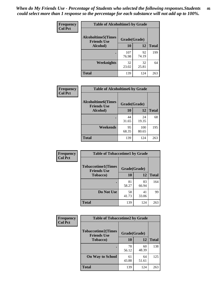*When do My Friends Use - Percentage of Students who selected the following responses.Students could select more than 1 response so the percentage for each substance will not add up to 100%.* **46**

| Frequency      | <b>Table of Alcoholtime5 by Grade</b>           |              |             |              |
|----------------|-------------------------------------------------|--------------|-------------|--------------|
| <b>Col Pct</b> | <b>Alcoholtime5(Times</b><br><b>Friends Use</b> | Grade(Grade) |             |              |
|                | Alcohol)                                        | 10           | 12          | <b>Total</b> |
|                |                                                 | 107<br>76.98 | 92<br>74.19 | 199          |
|                | Weeknights                                      | 32<br>23.02  | 32<br>25.81 | 64           |
|                | <b>Total</b>                                    | 139          | 124         | 263          |

| <b>Frequency</b> | <b>Table of Alcoholtime6 by Grade</b>           |              |              |              |
|------------------|-------------------------------------------------|--------------|--------------|--------------|
| <b>Col Pct</b>   | <b>Alcoholtime6(Times</b><br><b>Friends Use</b> | Grade(Grade) |              |              |
|                  | Alcohol)                                        | 10           | 12           | <b>Total</b> |
|                  |                                                 | 44<br>31.65  | 24<br>19.35  | 68           |
|                  | Weekends                                        | 95<br>68.35  | 100<br>80.65 | 195          |
|                  | <b>Total</b>                                    | 139          | 124          | 263          |

| Frequency      | <b>Table of Tobaccotime1 by Grade</b>           |              |             |              |
|----------------|-------------------------------------------------|--------------|-------------|--------------|
| <b>Col Pct</b> | <b>Tobaccotime1(Times</b><br><b>Friends Use</b> | Grade(Grade) |             |              |
|                | <b>Tobacco</b> )                                | 10           | 12          | <b>Total</b> |
|                | ٠                                               | 81<br>58.27  | 83<br>66.94 | 164          |
|                | Do Not Use                                      | 58<br>41.73  | 41<br>33.06 | 99           |
|                | <b>Total</b>                                    | 139          | 124         | 263          |

| <b>Frequency</b> | <b>Table of Tobaccotime2 by Grade</b>           |              |             |              |
|------------------|-------------------------------------------------|--------------|-------------|--------------|
| <b>Col Pct</b>   | <b>Tobaccotime2(Times</b><br><b>Friends Use</b> | Grade(Grade) |             |              |
|                  | <b>Tobacco</b> )                                | 10           | 12          | <b>Total</b> |
|                  |                                                 | 78<br>56.12  | 60<br>48.39 | 138          |
|                  | <b>On Way to School</b>                         | 61<br>43.88  | 64<br>51.61 | 125          |
|                  | <b>Total</b>                                    | 139          | 124         | 263          |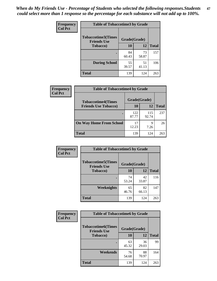| Frequency      | <b>Table of Tobaccotime3 by Grade</b>           |              |             |              |
|----------------|-------------------------------------------------|--------------|-------------|--------------|
| <b>Col Pct</b> | <b>Tobaccotime3(Times</b><br><b>Friends Use</b> | Grade(Grade) |             |              |
|                | <b>Tobacco</b> )                                | 10           | 12          | <b>Total</b> |
|                | ٠                                               | 84<br>60.43  | 73<br>58.87 | 157          |
|                | <b>During School</b>                            | 55<br>39.57  | 51<br>41.13 | 106          |
|                | <b>Total</b>                                    | 139          | 124         | 263          |

| <b>Frequency</b><br><b>Col Pct</b> | <b>Table of Tobaccotime4 by Grade</b> |              |              |              |
|------------------------------------|---------------------------------------|--------------|--------------|--------------|
|                                    | <b>Tobaccotime4(Times</b>             | Grade(Grade) |              |              |
|                                    | <b>Friends Use Tobacco)</b>           | 10           | 12           | <b>Total</b> |
|                                    |                                       | 122<br>87.77 | 115<br>92.74 | 237          |
|                                    | <b>On Way Home From School</b>        | 17<br>12.23  | Q<br>7.26    | 26           |
|                                    | <b>Total</b>                          | 139          | 124          | 263          |

| Frequency      | <b>Table of Tobaccotime5 by Grade</b>           |              |              |     |
|----------------|-------------------------------------------------|--------------|--------------|-----|
| <b>Col Pct</b> | <b>Tobaccotime5(Times</b><br><b>Friends Use</b> | Grade(Grade) |              |     |
| Tobacco)       | 10                                              | 12           | <b>Total</b> |     |
|                | $\bullet$                                       | 74<br>53.24  | 42<br>33.87  | 116 |
|                | Weeknights                                      | 65<br>46.76  | 82<br>66.13  | 147 |
|                | <b>Total</b>                                    | 139          | 124          | 263 |

| Frequency      |                                                                 | <b>Table of Tobaccotime6 by Grade</b> |             |              |  |  |
|----------------|-----------------------------------------------------------------|---------------------------------------|-------------|--------------|--|--|
| <b>Col Pct</b> | <b>Tobaccotime6(Times</b><br>Grade(Grade)<br><b>Friends Use</b> |                                       |             |              |  |  |
|                | <b>Tobacco</b> )                                                | 10                                    | <b>12</b>   | <b>Total</b> |  |  |
|                | ٠                                                               | 63<br>45.32                           | 36<br>29.03 | 99           |  |  |
|                | Weekends                                                        | 76<br>54.68                           | 88<br>70.97 | 164          |  |  |
|                | <b>Total</b>                                                    | 139                                   | 124         | 263          |  |  |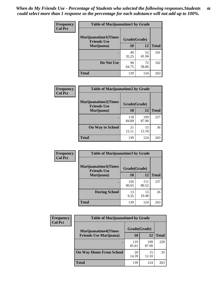| Frequency      | <b>Table of Marijuanatime1 by Grade</b>           |              |             |              |  |
|----------------|---------------------------------------------------|--------------|-------------|--------------|--|
| <b>Col Pct</b> | <b>Marijuanatime1(Times</b><br><b>Friends Use</b> | Grade(Grade) |             |              |  |
|                | Marijuana)                                        | 10           | 12          | <b>Total</b> |  |
|                |                                                   | 49<br>35.25  | 52<br>41.94 | 101          |  |
|                | Do Not Use                                        | 90<br>64.75  | 72<br>58.06 | 162          |  |
|                | <b>Total</b>                                      | 139          | 124         | 263          |  |

| <b>Frequency</b> | <b>Table of Marijuanatime2 by Grade</b>           |              |              |              |
|------------------|---------------------------------------------------|--------------|--------------|--------------|
| <b>Col Pct</b>   | <b>Marijuanatime2(Times</b><br><b>Friends Use</b> | Grade(Grade) |              |              |
|                  | Marijuana)                                        | 10           | 12           | <b>Total</b> |
|                  | $\bullet$                                         | 118<br>84.89 | 109<br>87.90 | 227          |
|                  | <b>On Way to School</b>                           | 21<br>15.11  | 15<br>12.10  | 36           |
|                  | <b>Total</b>                                      | 139          | 124          | 263          |

| Frequency      | <b>Table of Marijuanatime3 by Grade</b>    |              |              |              |
|----------------|--------------------------------------------|--------------|--------------|--------------|
| <b>Col Pct</b> | Marijuanatime3(Times<br><b>Friends Use</b> | Grade(Grade) |              |              |
|                | Marijuana)                                 | 10           | 12           | <b>Total</b> |
|                |                                            | 126<br>90.65 | 111<br>89.52 | 237          |
|                | <b>During School</b>                       | 13<br>9.35   | 13<br>10.48  | 26           |
|                | <b>Total</b>                               | 139          | 124          | 263          |

| <b>Frequency</b> | <b>Table of Marijuanatime4 by Grade</b> |              |              |              |
|------------------|-----------------------------------------|--------------|--------------|--------------|
| <b>Col Pct</b>   | <b>Marijuanatime4</b> (Times            | Grade(Grade) |              |              |
|                  | <b>Friends Use Marijuana</b> )          | 10           | 12           | <b>Total</b> |
|                  |                                         | 119<br>85.61 | 109<br>87.90 | 228          |
|                  | <b>On Way Home From School</b>          | 20<br>14.39  | 15<br>12.10  | 35           |
|                  | <b>Total</b>                            | 139          | 124          | 263          |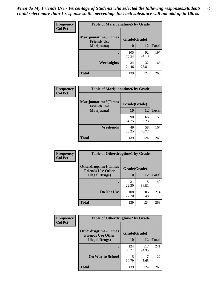| Frequency      | <b>Table of Marijuanatime5 by Grade</b>            |              |             |              |  |
|----------------|----------------------------------------------------|--------------|-------------|--------------|--|
| <b>Col Pct</b> | <b>Marijuanatime5</b> (Times<br><b>Friends Use</b> | Grade(Grade) |             |              |  |
|                | Marijuana)                                         | 10           | 12          | <b>Total</b> |  |
|                |                                                    | 105<br>75.54 | 92<br>74.19 | 197          |  |
|                | Weeknights                                         | 34<br>24.46  | 32<br>25.81 | 66           |  |
|                | <b>Total</b>                                       | 139          | 124         | 263          |  |

| Frequency      | <b>Table of Marijuanatime6 by Grade</b>            |              |             |              |
|----------------|----------------------------------------------------|--------------|-------------|--------------|
| <b>Col Pct</b> | <b>Marijuanatime6</b> (Times<br><b>Friends Use</b> | Grade(Grade) |             |              |
|                | Marijuana)                                         | 10           | 12          | <b>Total</b> |
|                |                                                    | 90<br>64.75  | 66<br>53.23 | 156          |
|                | Weekends                                           | 49<br>35.25  | 58<br>46.77 | 107          |
|                | <b>Total</b>                                       | 139          | 124         | 263          |

| <b>Frequency</b> | <b>Table of Otherdrugtime1 by Grade</b>                  |              |              |              |  |
|------------------|----------------------------------------------------------|--------------|--------------|--------------|--|
| <b>Col Pct</b>   | <b>Otherdrugtime1</b> (Times<br><b>Friends Use Other</b> | Grade(Grade) |              |              |  |
|                  | <b>Illegal Drugs</b> )                                   | 10           | 12           | <b>Total</b> |  |
|                  |                                                          | 31<br>22.30  | 18<br>14.52  | 49           |  |
|                  | Do Not Use                                               | 108<br>77.70 | 106<br>85.48 | 214          |  |
|                  | Total                                                    | 139          | 124          | 263          |  |

| <b>Frequency</b> | <b>Table of Otherdrugtime2 by Grade</b>                 |              |              |              |  |  |  |
|------------------|---------------------------------------------------------|--------------|--------------|--------------|--|--|--|
| <b>Col Pct</b>   | <b>Otherdrugtime2(Times</b><br><b>Friends Use Other</b> | Grade(Grade) |              |              |  |  |  |
|                  | <b>Illegal Drugs</b> )                                  | 10           | 12           | <b>Total</b> |  |  |  |
|                  |                                                         | 124<br>89.21 | 117<br>94.35 | 241          |  |  |  |
|                  | <b>On Way to School</b>                                 | 15<br>10.79  | 7<br>5.65    | 22           |  |  |  |
|                  | <b>Total</b>                                            | 139          | 124          | 263          |  |  |  |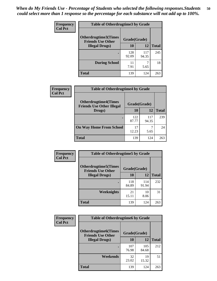| <b>Frequency</b> | <b>Table of Otherdrugtime3 by Grade</b>          |              |              |              |  |  |
|------------------|--------------------------------------------------|--------------|--------------|--------------|--|--|
| <b>Col Pct</b>   | Otherdrugtime3(Times<br><b>Friends Use Other</b> | Grade(Grade) |              |              |  |  |
|                  | <b>Illegal Drugs)</b>                            | 10           | 12           | <b>Total</b> |  |  |
|                  |                                                  | 128<br>92.09 | 117<br>94.35 | 245          |  |  |
|                  | <b>During School</b>                             | 11<br>7.91   | 5.65         | 18           |  |  |
|                  | <b>Total</b>                                     | 139          | 124          | 263          |  |  |

| Frequency      | <b>Table of Otherdrugtime4 by Grade</b>                         |              |              |              |  |  |  |
|----------------|-----------------------------------------------------------------|--------------|--------------|--------------|--|--|--|
| <b>Col Pct</b> | <b>Otherdrugtime4(Times</b><br><b>Friends Use Other Illegal</b> | Grade(Grade) |              |              |  |  |  |
|                | Drugs)                                                          | 10           | 12           | <b>Total</b> |  |  |  |
|                | $\bullet$                                                       | 122<br>87.77 | 117<br>94.35 | 239          |  |  |  |
|                | <b>On Way Home From School</b>                                  | 17<br>12.23  | 5.65         | 24           |  |  |  |
|                | <b>Total</b>                                                    | 139          | 124          | 263          |  |  |  |

| <b>Frequency</b> | <b>Table of Otherdrugtime5 by Grade</b>                  |              |              |              |  |  |  |
|------------------|----------------------------------------------------------|--------------|--------------|--------------|--|--|--|
| <b>Col Pct</b>   | <b>Otherdrugtime5</b> (Times<br><b>Friends Use Other</b> | Grade(Grade) |              |              |  |  |  |
|                  | <b>Illegal Drugs</b> )                                   | 10           | 12           | <b>Total</b> |  |  |  |
|                  |                                                          | 118<br>84.89 | 114<br>91.94 | 232          |  |  |  |
|                  | Weeknights                                               | 21<br>15.11  | 10<br>8.06   | 31           |  |  |  |
|                  | Total                                                    | 139          | 124          | 263          |  |  |  |

| Frequency<br><b>Col Pct</b> | <b>Table of Otherdrugtime6 by Grade</b>                 |              |              |              |  |  |  |
|-----------------------------|---------------------------------------------------------|--------------|--------------|--------------|--|--|--|
|                             | <b>Otherdrugtime6(Times</b><br><b>Friends Use Other</b> | Grade(Grade) |              |              |  |  |  |
|                             | <b>Illegal Drugs</b> )                                  | 10           | 12           | <b>Total</b> |  |  |  |
|                             |                                                         | 107<br>76.98 | 105<br>84.68 | 212          |  |  |  |
|                             | Weekends                                                | 32<br>23.02  | 19<br>15.32  | 51           |  |  |  |
|                             | <b>Total</b>                                            | 139          | 124          | 263          |  |  |  |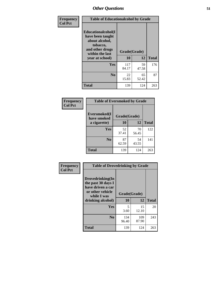| Frequency      | <b>Table of Educationalcohol by Grade</b>                                                                  |              |             |              |  |  |
|----------------|------------------------------------------------------------------------------------------------------------|--------------|-------------|--------------|--|--|
| <b>Col Pct</b> | Educationalcohol(I<br>have been taught<br>about alcohol,<br>tobacco,<br>and other drugs<br>within the last | Grade(Grade) |             |              |  |  |
|                | year at school)                                                                                            | 10           | 12          | <b>Total</b> |  |  |
|                | <b>Yes</b>                                                                                                 | 117<br>84.17 | 59<br>47.58 | 176          |  |  |
|                | N <sub>0</sub>                                                                                             | 22<br>15.83  | 65<br>52.42 | 87           |  |  |
|                | <b>Total</b>                                                                                               | 139          | 124         | 263          |  |  |

| Frequency      | <b>Table of Eversmoked by Grade</b> |              |             |              |  |  |  |
|----------------|-------------------------------------|--------------|-------------|--------------|--|--|--|
| <b>Col Pct</b> | Eversmoked(I<br>have smoked         | Grade(Grade) |             |              |  |  |  |
|                | a cigarette)                        | 10           | 12          | <b>Total</b> |  |  |  |
|                | Yes                                 | 52<br>37.41  | 70<br>56.45 | 122          |  |  |  |
|                | N <sub>0</sub>                      | 87<br>62.59  | 54<br>43.55 | 141          |  |  |  |
|                | <b>Total</b>                        | 139          | 124         | 263          |  |  |  |

| Frequency      | <b>Table of Drovedrinking by Grade</b>                                                                              |                    |              |     |
|----------------|---------------------------------------------------------------------------------------------------------------------|--------------------|--------------|-----|
| <b>Col Pct</b> | Drovedrinking(In<br>the past 30 days I<br>have driven a car<br>or other vehicle<br>while I was<br>drinking alcohol) | Grade(Grade)<br>10 | <b>Total</b> |     |
|                | <b>Yes</b>                                                                                                          | 5                  | 15           | 20  |
|                |                                                                                                                     | 3.60               | 12.10        |     |
|                | N <sub>0</sub>                                                                                                      | 134<br>96.40       | 109<br>87.90 | 243 |
|                | <b>Total</b>                                                                                                        | 139                | 124          | 263 |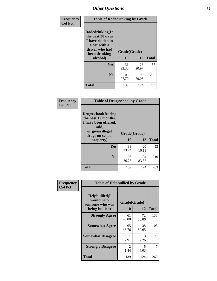| Frequency<br><b>Col Pct</b> | <b>Table of Rodedrinking by Grade</b>                                                                                            |              |             |              |  |  |
|-----------------------------|----------------------------------------------------------------------------------------------------------------------------------|--------------|-------------|--------------|--|--|
|                             | Rodedrinking(In<br>the past 30 days<br>I have ridden in<br>a car with a<br>driver who had<br>Grade(Grade)<br>been drinking<br>10 |              |             |              |  |  |
|                             | alcohol)                                                                                                                         |              | 12          | <b>Total</b> |  |  |
|                             | Yes                                                                                                                              | 31<br>22.30  | 26<br>20.97 | 57           |  |  |
|                             | N <sub>0</sub>                                                                                                                   | 108<br>77.70 | 98<br>79.03 | 206          |  |  |
|                             | <b>Total</b>                                                                                                                     | 139          | 124         | 263          |  |  |

#### **Frequency Col Pct**

| <b>Table of Drugsschool by Grade</b>                                                                                      |              |              |              |  |  |  |
|---------------------------------------------------------------------------------------------------------------------------|--------------|--------------|--------------|--|--|--|
| <b>Drugsschool</b> (During<br>the past 12 months,<br>I have been offered,<br>sold,<br>or given illegal<br>drugs on school | Grade(Grade) | 12           |              |  |  |  |
| property)                                                                                                                 | 10           |              | <b>Total</b> |  |  |  |
| Yes                                                                                                                       | 33<br>23.74  | 20<br>16.13  | 53           |  |  |  |
| N <sub>0</sub>                                                                                                            | 106<br>76.26 | 104<br>83.87 | 210          |  |  |  |
| Total                                                                                                                     | 139          | 124          | 263          |  |  |  |

| Frequency      | <b>Table of Helpbullied by Grade</b>                                         |                        |                    |              |  |  |  |
|----------------|------------------------------------------------------------------------------|------------------------|--------------------|--------------|--|--|--|
| <b>Col Pct</b> | $Helpb$ ullied $(I$<br>would help<br>someone who was<br>10<br>being bullied) |                        | Grade(Grade)<br>12 |              |  |  |  |
|                |                                                                              |                        |                    | <b>Total</b> |  |  |  |
|                | <b>Strongly Agree</b>                                                        | 61<br>43.88            | 72<br>58.06        | 133          |  |  |  |
|                | <b>Somewhat Agree</b>                                                        | 65<br>46.76            | 38<br>30.65        | 103          |  |  |  |
|                | <b>Somewhat Disagree</b>                                                     | 11<br>7.91             | 9<br>7.26          | 20           |  |  |  |
|                | <b>Strongly Disagree</b>                                                     | $\mathfrak{D}$<br>1.44 | 5<br>4.03          | 7            |  |  |  |
|                | <b>Total</b>                                                                 | 139                    | 124                | 263          |  |  |  |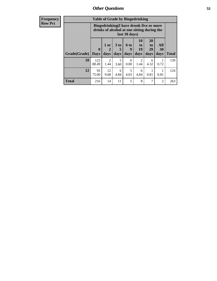| Frequency      |              | <b>Table of Grade by Bingedrinking</b> |                        |                   |                   |                                                                                        |                        |                          |              |
|----------------|--------------|----------------------------------------|------------------------|-------------------|-------------------|----------------------------------------------------------------------------------------|------------------------|--------------------------|--------------|
| <b>Row Pct</b> |              |                                        |                        |                   | last 30 days)     | Bingedrinking(I have drunk five or more<br>drinks of alcohol at one sitting during the |                        |                          |              |
|                | Grade(Grade) | $\boldsymbol{0}$<br><b>Days</b>        | $1$ or<br>days         | 3 to<br>5<br>days | 6 to<br>9<br>days | 10<br>to<br><b>19</b><br>days                                                          | 20<br>to<br>29<br>days | <b>All</b><br>30<br>days | <b>Total</b> |
|                | <b>10</b>    | 123<br>88.49                           | $\mathfrak{D}$<br>1.44 | 5<br>3.60         | ∩<br>0.00         | $\mathcal{D}_{\mathcal{L}}$<br>1.44                                                    | 6<br>4.32              | 0.72                     | 139          |
|                | 12           | 93<br>75.00                            | 12<br>9.68             | 6<br>4.84         | 5<br>4.03         | 6<br>4.84                                                                              | 0.81                   | 0.81                     | 124          |
|                | <b>Total</b> | 216                                    | 14                     | 11                | 5                 | 8                                                                                      |                        | $\overline{2}$           | 263          |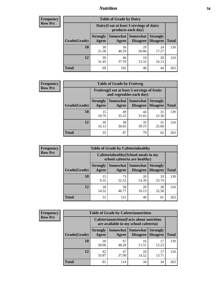## *Nutrition* **54**

| <b>Frequency</b><br>Row Pct |  |
|-----------------------------|--|
|                             |  |

| <b>Table of Grade by Dairy</b> |                          |                                                                 |                             |                                    |              |  |  |  |
|--------------------------------|--------------------------|-----------------------------------------------------------------|-----------------------------|------------------------------------|--------------|--|--|--|
|                                |                          | Dairy (I eat at least 3 servings of dairy<br>products each day) |                             |                                    |              |  |  |  |
| Grade(Grade)                   | <b>Strongly</b><br>Agree | <b>Somewhat</b><br>Agree                                        | <b>Somewhat</b><br>Disagree | <b>Strongly</b><br><b>Disagree</b> | <b>Total</b> |  |  |  |
| 10                             | 30<br>21.58              | 56<br>40.29                                                     | 29<br>20.86                 | 24<br>17.27                        | 139          |  |  |  |
| 12                             | 39<br>31.45              | 46<br>37.10                                                     | 19<br>15.32                 | 20<br>16.13                        | 124          |  |  |  |
| <b>Total</b>                   | 69                       | 102                                                             | 48                          | 44                                 | 263          |  |  |  |

| <b>Frequency</b> |  |
|------------------|--|
| <b>Row Pct</b>   |  |

| <b>Table of Grade by Fruitveg</b> |                                                                          |             |                                      |                                    |              |  |  |
|-----------------------------------|--------------------------------------------------------------------------|-------------|--------------------------------------|------------------------------------|--------------|--|--|
|                                   | Fruitveg(I eat at least 5 servings of fruits<br>and vegetables each day) |             |                                      |                                    |              |  |  |
| Grade(Grade)                      | <b>Strongly</b><br>Agree                                                 | Agree       | <b>Somewhat</b> Somewhat<br>Disagree | <b>Strongly</b><br><b>Disagree</b> | <b>Total</b> |  |  |
| 10                                | 15<br>10.79                                                              | 49<br>35.25 | 44<br>31.65                          | 31<br>22.30                        | 139          |  |  |
| 12                                | 20<br>16.13                                                              | 38<br>30.65 | 35<br>28.23                          | 31<br>25.00                        | 124          |  |  |
| <b>Total</b>                      | 35                                                                       | 87          | 79                                   | 62                                 | 263          |  |  |

| <b>Frequency</b> | <b>Table of Grade by Cafeteriahealthy</b> |                                                                       |                     |                             |                                    |              |
|------------------|-------------------------------------------|-----------------------------------------------------------------------|---------------------|-----------------------------|------------------------------------|--------------|
| <b>Row Pct</b>   |                                           | Cafeteriahealthy (School meals in my<br>school cafeteria are healthy) |                     |                             |                                    |              |
|                  | Grade(Grade)                              | <b>Strongly</b><br>Agree                                              | Somewhat  <br>Agree | Somewhat<br><b>Disagree</b> | <b>Strongly</b><br><b>Disagree</b> | <b>Total</b> |
|                  | 10                                        | 13<br>9.35                                                            | 73<br>52.52         | 20<br>14.39                 | 33<br>23.74                        | 139          |
|                  | 12                                        | 18<br>14.52                                                           | 58<br>46.77         | 20<br>16.13                 | 28<br>22.58                        | 124          |
|                  | Total                                     | 31                                                                    | 131                 | 40                          | 61                                 | 263          |

| <b>Frequency</b> |
|------------------|
| <b>Row Pct</b>   |

| <b>Table of Grade by Cafeterianutrition</b>                                               |                          |             |                                 |                                    |              |  |  |  |
|-------------------------------------------------------------------------------------------|--------------------------|-------------|---------------------------------|------------------------------------|--------------|--|--|--|
| <b>Cafeterianutrition</b> (Facts about nutrition<br>are available in my school cafeteria) |                          |             |                                 |                                    |              |  |  |  |
| Grade(Grade)                                                                              | <b>Strongly</b><br>Agree | Agree       | Somewhat   Somewhat<br>Disagree | <b>Strongly</b><br><b>Disagree</b> | <b>Total</b> |  |  |  |
| 10                                                                                        | 39<br>28.06              | 67<br>48.20 | 16<br>11.51                     | 17<br>12.23                        | 139          |  |  |  |
| 12                                                                                        | 42<br>33.87              | 47<br>37.90 | 18<br>14.52                     | 17<br>13.71                        | 124          |  |  |  |
| <b>Total</b>                                                                              | 81                       | 114         | 34                              | 34                                 | 263          |  |  |  |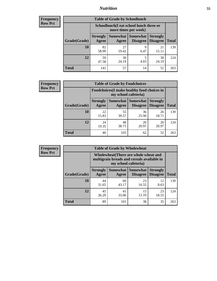## *Nutrition* **55**

| <b>Frequency</b> |
|------------------|
| Row Pct          |

| <b>Table of Grade by Schoollunch</b> |                                                                                                                          |                                                                 |           |             |     |  |  |  |
|--------------------------------------|--------------------------------------------------------------------------------------------------------------------------|-----------------------------------------------------------------|-----------|-------------|-----|--|--|--|
|                                      |                                                                                                                          | Schoollunch(I eat school lunch three or<br>more times per week) |           |             |     |  |  |  |
| Grade(Grade)                         | Somewhat Somewhat<br><b>Strongly</b><br><b>Strongly</b><br><b>Disagree</b><br>Disagree<br><b>Total</b><br>Agree<br>Agree |                                                                 |           |             |     |  |  |  |
| 10                                   | 82<br>58.99                                                                                                              | 27<br>19.42                                                     | 9<br>6.47 | 21<br>15.11 | 139 |  |  |  |
| 12                                   | 59<br>47.58                                                                                                              | 30<br>24.19                                                     | 5<br>4.03 | 30<br>24.19 | 124 |  |  |  |
| <b>Total</b>                         | 141                                                                                                                      | 57                                                              | 14        | 51          | 263 |  |  |  |

| <b>Frequency</b> |  |
|------------------|--|
| <b>Row Pct</b>   |  |

| <b>Table of Grade by Foodchoices</b>                                       |                          |             |                                      |                                    |              |  |  |
|----------------------------------------------------------------------------|--------------------------|-------------|--------------------------------------|------------------------------------|--------------|--|--|
| <b>Foodchoices</b> (I make healthy food choices in<br>my school cafeteria) |                          |             |                                      |                                    |              |  |  |
| Grade(Grade)                                                               | <b>Strongly</b><br>Agree | Agree       | Somewhat Somewhat<br><b>Disagree</b> | <b>Strongly</b><br><b>Disagree</b> | <b>Total</b> |  |  |
| 10                                                                         | 22<br>15.83              | 55<br>39.57 | 36<br>25.90                          | 26<br>18.71                        | 139          |  |  |
| 12                                                                         | 24<br>19.35              | 48<br>38.71 | 26<br>20.97                          | 26<br>20.97                        | 124          |  |  |
| <b>Total</b>                                                               | 46                       | 103         | 62                                   | 52                                 | 263          |  |  |

| Frequency      | <b>Table of Grade by Wholewheat</b> |                                                                                                                    |                     |                             |                                    |              |  |  |  |
|----------------|-------------------------------------|--------------------------------------------------------------------------------------------------------------------|---------------------|-----------------------------|------------------------------------|--------------|--|--|--|
| <b>Row Pct</b> |                                     | <b>Wholewheat</b> (There are whole wheat and<br>multigrain breads and cereals available in<br>my school cafeteria) |                     |                             |                                    |              |  |  |  |
|                | Grade(Grade)                        | <b>Strongly</b><br>Agree                                                                                           | Somewhat  <br>Agree | <b>Somewhat</b><br>Disagree | <b>Strongly</b><br><b>Disagree</b> | <b>Total</b> |  |  |  |
|                | 10                                  | 44<br>31.65                                                                                                        | 60<br>43.17         | 23<br>16.55                 | 12<br>8.63                         | 139          |  |  |  |
|                | 12                                  | 45<br>36.29                                                                                                        | 41<br>33.06         | 15<br>12.10                 | 23<br>18.55                        | 124          |  |  |  |
|                | <b>Total</b>                        | 89                                                                                                                 | 101                 | 38                          | 35                                 | 263          |  |  |  |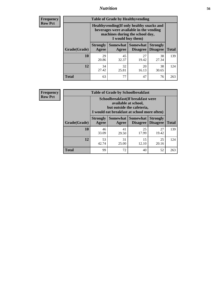## *Nutrition* **56**

**Frequency Row Pct**

| <b>Table of Grade by Healthyvending</b> |                                                                                                                                               |                          |                                    |                                    |              |  |
|-----------------------------------------|-----------------------------------------------------------------------------------------------------------------------------------------------|--------------------------|------------------------------------|------------------------------------|--------------|--|
|                                         | Healthyvending (If only healthy snacks and<br>beverages were available in the vending<br>machines during the school day,<br>I would buy them) |                          |                                    |                                    |              |  |
| Grade(Grade)                            | <b>Strongly</b><br>Agree                                                                                                                      | <b>Somewhat</b><br>Agree | <b>Somewhat</b><br><b>Disagree</b> | <b>Strongly</b><br><b>Disagree</b> | <b>Total</b> |  |
| 10                                      | 29<br>20.86                                                                                                                                   | 45<br>32.37              | 27<br>19.42                        | 38<br>27.34                        | 139          |  |
| 12                                      | 34<br>27.42                                                                                                                                   | 32<br>25.81              | 20<br>16.13                        | 38<br>30.65                        | 124          |  |
| Total                                   | 63                                                                                                                                            | 77                       | 47                                 | 76                                 | 263          |  |

**Frequency Row Pct**

| <b>Table of Grade by Schoolbreakfast</b> |                                                                                                                                         |             |                                        |                                    |              |  |
|------------------------------------------|-----------------------------------------------------------------------------------------------------------------------------------------|-------------|----------------------------------------|------------------------------------|--------------|--|
|                                          | Schoolbreakfast (If breakfast were<br>available at school,<br>but outside the cafeteria,<br>I would eat breakfast at school more often) |             |                                        |                                    |              |  |
| Grade(Grade)                             | <b>Strongly</b><br>Agree                                                                                                                | Agree       | Somewhat   Somewhat<br><b>Disagree</b> | <b>Strongly</b><br><b>Disagree</b> | <b>Total</b> |  |
| 10                                       | 46<br>33.09                                                                                                                             | 41<br>29.50 | 25<br>17.99                            | 27<br>19.42                        | 139          |  |
| 12                                       | 53<br>31<br>15<br>25<br>42.74<br>12.10<br>25.00<br>20.16                                                                                |             |                                        |                                    |              |  |
| <b>Total</b>                             | 99                                                                                                                                      | 72          | 40                                     | 52                                 | 263          |  |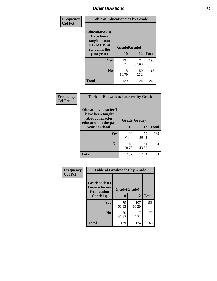| Frequency<br><b>Col Pct</b> | <b>Table of Educationaids by Grade</b>                                                                    |                    |             |              |
|-----------------------------|-----------------------------------------------------------------------------------------------------------|--------------------|-------------|--------------|
|                             | <b>Educationaids</b> (I<br>have been<br>taught about<br><b>HIV/AIDS</b> at<br>school in the<br>past year) | Grade(Grade)<br>10 | 12          | <b>Total</b> |
|                             | Yes                                                                                                       | 124<br>89.21       | 74<br>59.68 | 198          |
|                             | N <sub>0</sub>                                                                                            | 15<br>10.79        | 50<br>40.32 | 65           |
|                             | <b>Total</b>                                                                                              | 139                | 124         | 263          |

| Frequency      | <b>Table of Educationcharacter by Grade</b>      |              |             |              |  |
|----------------|--------------------------------------------------|--------------|-------------|--------------|--|
| <b>Col Pct</b> | <b>Educationcharacter(I)</b><br>have been taught |              |             |              |  |
|                | about character<br>education in the past         | Grade(Grade) |             |              |  |
|                | year at school)                                  | 10           | 12          | <b>Total</b> |  |
|                | <b>Yes</b>                                       | 99<br>71.22  | 70<br>56.45 | 169          |  |
|                | N <sub>0</sub>                                   | 40<br>28.78  | 54<br>43.55 | 94           |  |
|                | <b>Total</b>                                     | 139          | 124         | 263          |  |

| Frequency      | <b>Table of Gradcoach1 by Grade</b>              |              |              |              |
|----------------|--------------------------------------------------|--------------|--------------|--------------|
| <b>Col Pct</b> | Gradcoach1(I<br>know who my<br><b>Graduation</b> | Grade(Grade) |              |              |
|                | Coach is)                                        | 10           | 12           | <b>Total</b> |
|                | Yes                                              | 79<br>56.83  | 107<br>86.29 | 186          |
|                | N <sub>0</sub>                                   | 60<br>43.17  | 17<br>13.71  | 77           |
|                | <b>Total</b>                                     | 139          | 124          | 263          |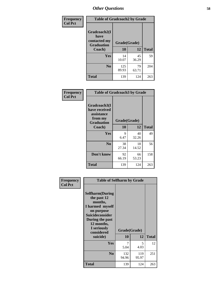| Frequency      | <b>Table of Gradcoach2 by Grade</b> |              |             |              |
|----------------|-------------------------------------|--------------|-------------|--------------|
| <b>Col Pct</b> | Gradcoach2(I<br>have                |              |             |              |
|                | contacted my<br><b>Graduation</b>   | Grade(Grade) |             |              |
|                | Coach)                              | 10           | 12          | <b>Total</b> |
|                | Yes                                 | 14<br>10.07  | 45<br>36.29 | 59           |
|                | N <sub>0</sub>                      | 125<br>89.93 | 79<br>63.71 | 204          |
|                | <b>Total</b>                        | 139          | 124         | 263          |

| <b>Frequency</b><br><b>Col Pct</b> | <b>Table of Gradcoach3 by Grade</b>                                         |              |             |              |
|------------------------------------|-----------------------------------------------------------------------------|--------------|-------------|--------------|
|                                    | Gradcoach3(I<br>have received<br>assistance<br>from my<br><b>Graduation</b> | Grade(Grade) |             |              |
|                                    | Coach)                                                                      | 10           | 12          | <b>Total</b> |
|                                    | Yes                                                                         | 9<br>6.47    | 40<br>32.26 | 49           |
|                                    | N <sub>0</sub>                                                              | 38<br>27.34  | 18<br>14.52 | 56           |
|                                    | Don't know                                                                  | 92<br>66.19  | 66<br>53.23 | 158          |
|                                    | <b>Total</b>                                                                | 139          | 124         | 263          |

| Frequency      | <b>Table of Selfharm by Grade</b>                                                                                                                                                      |                    |              |              |
|----------------|----------------------------------------------------------------------------------------------------------------------------------------------------------------------------------------|--------------------|--------------|--------------|
| <b>Col Pct</b> | <b>Selfharm</b> (During<br>the past 12<br>months,<br>I harmed myself<br>on purpose<br><b>Suicideconsider</b><br>During the past<br>12 months,<br>I seriously<br>considered<br>suicide) | Grade(Grade)<br>10 | 12           | <b>Total</b> |
|                | Yes                                                                                                                                                                                    | 7                  | 5.           | 12           |
|                |                                                                                                                                                                                        | 5.04               | 4.03         |              |
|                | N <sub>0</sub>                                                                                                                                                                         | 132<br>94.96       | 119<br>95.97 | 251          |
|                | Total                                                                                                                                                                                  | 139                | 124          | 263          |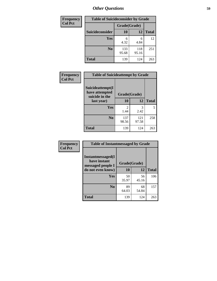| <b>Frequency</b> | <b>Table of Suicideconsider by Grade</b> |              |              |              |
|------------------|------------------------------------------|--------------|--------------|--------------|
| <b>Col Pct</b>   |                                          | Grade(Grade) |              |              |
|                  | Suicideconsider                          | <b>10</b>    | 12           | <b>Total</b> |
|                  | Yes                                      | 6<br>4.32    | 6<br>4.84    | 12           |
|                  | N <sub>0</sub>                           | 133<br>95.68 | 118<br>95.16 | 251          |
|                  | Total                                    | 139          | 124          | 263          |

| Frequency      | <b>Table of Suicideattempt by Grade</b>              |                        |              |              |
|----------------|------------------------------------------------------|------------------------|--------------|--------------|
| <b>Col Pct</b> | Suicideattempt(I<br>have attempted<br>suicide in the | Grade(Grade)           |              |              |
|                | last year)                                           | 10                     | 12           | <b>Total</b> |
|                | Yes                                                  | $\mathfrak{D}$<br>1.44 | 3<br>2.42    | 5            |
|                | $\bf No$                                             | 137<br>98.56           | 121<br>97.58 | 258          |
|                | <b>Total</b>                                         | 139                    | 124          | 263          |

| Frequency      | <b>Table of Instantmessaged by Grade</b>               |              |             |              |
|----------------|--------------------------------------------------------|--------------|-------------|--------------|
| <b>Col Pct</b> | Instantmessaged(I<br>have instant<br>messaged people I | Grade(Grade) |             |              |
|                | do not even know)                                      | 10           | 12          | <b>Total</b> |
|                | Yes                                                    | 50<br>35.97  | 56<br>45.16 | 106          |
|                | N <sub>0</sub>                                         | 89<br>64.03  | 68<br>54.84 | 157          |
|                | <b>Total</b>                                           | 139          | 124         | 263          |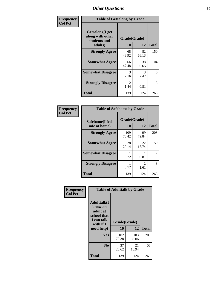| Frequency      | <b>Table of Getsalong by Grade</b>                          |                        |             |              |
|----------------|-------------------------------------------------------------|------------------------|-------------|--------------|
| <b>Col Pct</b> | <b>Getsalong</b> (I get<br>along with other<br>students and | Grade(Grade)           |             |              |
|                | adults)                                                     | 10                     | 12          | <b>Total</b> |
|                | <b>Strongly Agree</b>                                       | 68<br>48.92            | 82<br>66.13 | 150          |
|                | <b>Somewhat Agree</b>                                       | 66<br>47.48            | 38<br>30.65 | 104          |
|                | <b>Somewhat Disagree</b>                                    | 3<br>2.16              | 3<br>2.42   | 6            |
|                | <b>Strongly Disagree</b>                                    | $\mathfrak{D}$<br>1.44 | 0.81        | 3            |
|                | <b>Total</b>                                                | 139                    | 124         | 263          |

| Frequency      | <b>Table of Safehome by Grade</b> |                    |                        |                |
|----------------|-----------------------------------|--------------------|------------------------|----------------|
| <b>Col Pct</b> | Safehome(I feel<br>safe at home)  | Grade(Grade)<br>10 | 12                     | <b>Total</b>   |
|                | <b>Strongly Agree</b>             | 109<br>78.42       | 99<br>79.84            | 208            |
|                | <b>Somewhat Agree</b>             | 28<br>20.14        | 22<br>17.74            | 50             |
|                | <b>Somewhat Disagree</b>          | 0.72               | 0.81                   | $\mathfrak{D}$ |
|                | <b>Strongly Disagree</b>          | 0.72               | $\mathfrak{D}$<br>1.61 | 3              |
|                | <b>Total</b>                      | 139                | 124                    | 263            |

| Frequency      |                                                                                      |              | <b>Table of Adulttalk by Grade</b> |              |
|----------------|--------------------------------------------------------------------------------------|--------------|------------------------------------|--------------|
| <b>Col Pct</b> | <b>Adulttalk</b> (I<br>know an<br>adult at<br>school that<br>I can talk<br>with if I | Grade(Grade) |                                    |              |
|                | need help)                                                                           | 10           | 12                                 | <b>Total</b> |
|                | <b>Yes</b>                                                                           | 102<br>73.38 | 103<br>83.06                       | 205          |
|                | N <sub>0</sub>                                                                       | 37<br>26.62  | 21<br>16.94                        | 58           |
|                | <b>Total</b>                                                                         | 139          | 124                                | 263          |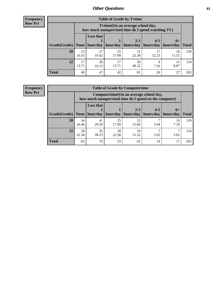**Frequency Row Pct**

| <b>Table of Grade by Tvtime</b> |             |                                                                                         |             |                      |                       |             |              |  |  |  |
|---------------------------------|-------------|-----------------------------------------------------------------------------------------|-------------|----------------------|-----------------------|-------------|--------------|--|--|--|
|                                 |             | Tvtime (On an average school day,<br>how much unsupervised time do I spend watching TV) |             |                      |                       |             |              |  |  |  |
|                                 |             | <b>Less that</b>                                                                        |             | $2 - 3$              | $4 - 5$               | $6+$        |              |  |  |  |
| Grade(Grade)   None             |             | hour/day                                                                                |             | hour/day   hours/day | hours/day   hours/day |             | <b>Total</b> |  |  |  |
| 10                              | 23<br>16.55 | 27<br>19.42                                                                             | 25<br>17.99 | 31<br>22.30          | 12.23                 | 16<br>11.51 | 139          |  |  |  |
| 12                              | 17<br>13.71 | 20<br>16.13                                                                             | 17<br>13.71 | 50<br>40.32          | 7.26                  | 8.87        | 124          |  |  |  |
| <b>Total</b>                    | 40          | 47                                                                                      | 42          | 81                   | 26                    | 27          | 263          |  |  |  |

**Frequency Row Pct**

| <b>Table of Grade by Computertime</b> |             |                                                                                                                              |             |             |      |            |     |  |  |  |
|---------------------------------------|-------------|------------------------------------------------------------------------------------------------------------------------------|-------------|-------------|------|------------|-----|--|--|--|
|                                       |             | Computertime (On an average school day,<br>how much unsupervised time do I spend on the computer)                            |             |             |      |            |     |  |  |  |
| Grade(Grade)                          | None $ $    | <b>Less that</b><br>$2 - 3$<br>$4 - 5$<br>$6+$<br>hour/day   hour/day<br>hours/day<br>hours/day<br>hours/day<br><b>Total</b> |             |             |      |            |     |  |  |  |
| 10                                    | 34<br>24.46 | 41<br>29.50                                                                                                                  | 25<br>17.99 | 22<br>15.83 | 5.04 | 10<br>7.19 | 139 |  |  |  |
| 12                                    | 28<br>22.58 | 35<br>28<br>19<br>28.23<br>22.58<br>15.32<br>5.65<br>5.65                                                                    |             |             |      |            |     |  |  |  |
| <b>Total</b>                          | 62          | 76                                                                                                                           | 53          | 41          | 14   | 17         | 263 |  |  |  |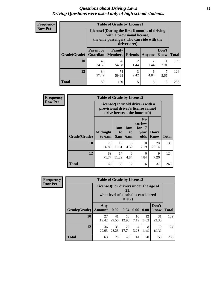#### *Questions about Driving Laws* **62** *Driving Questions were asked only of high school students.*

| <b>Frequency</b> |
|------------------|
| <b>Row Pct</b>   |

| <b>Table of Grade by License1</b> |                                                              |                                                                                                                                           |                        |           |                      |              |  |  |  |
|-----------------------------------|--------------------------------------------------------------|-------------------------------------------------------------------------------------------------------------------------------------------|------------------------|-----------|----------------------|--------------|--|--|--|
|                                   |                                                              | License1(During the first 6 months of driving<br>with a provisional license,<br>the only passengers who can ride with the<br>driver are:) |                        |           |                      |              |  |  |  |
| <b>Grade</b> (Grade)              | <b>Parent or</b><br><b>Guardian</b>                          | Family<br>  Members                                                                                                                       | Friends                | Anyone    | Don't<br><b>Know</b> | <b>Total</b> |  |  |  |
| 10                                | 48<br>34.53                                                  | 76<br>54.68                                                                                                                               | $\mathfrak{D}$<br>1.44 | 2<br>1.44 | 11<br>7.91           | 139          |  |  |  |
| 12                                | 3<br>34<br>74<br>6<br>27.42<br>2.42<br>4.84<br>59.68<br>5.65 |                                                                                                                                           |                        |           |                      |              |  |  |  |
| <b>Total</b>                      | 82                                                           | 150                                                                                                                                       | 5                      | 8         | 18                   | 263          |  |  |  |

| <b>Frequency</b> |              | <b>Table of Grade by License2</b>                                                                        |                  |                         |                                                      |                      |              |  |  |
|------------------|--------------|----------------------------------------------------------------------------------------------------------|------------------|-------------------------|------------------------------------------------------|----------------------|--------------|--|--|
| <b>Row Pct</b>   |              | License2(17 yr old drivers with a<br>provisional driver's license cannot<br>drive between the hours of:) |                  |                         |                                                      |                      |              |  |  |
|                  | Grade(Grade) | <b>Midnight</b><br>to 6am                                                                                | 1am<br>to<br>5am | 1am<br>to<br><b>6am</b> | N <sub>0</sub><br>curfew<br>for $17$<br>year<br>olds | Don't<br><b>Know</b> | <b>Total</b> |  |  |
|                  | 10           | 79<br>56.83                                                                                              | 16<br>11.51      | 6<br>4.32               | 10<br>7.19                                           | 28<br>20.14          | 139          |  |  |
|                  | 12           | 89<br>71.77                                                                                              | 14<br>11.29      | 6<br>4.84               | 6<br>4.84                                            | 9<br>7.26            | 124          |  |  |
|                  | <b>Total</b> | 168                                                                                                      | 30               | 12                      | 16                                                   | 37                   | 263          |  |  |

| Frequency      | <b>Table of Grade by License3</b> |                                       |             |                                                        |            |            |               |              |
|----------------|-----------------------------------|---------------------------------------|-------------|--------------------------------------------------------|------------|------------|---------------|--------------|
| <b>Row Pct</b> |                                   | License3(For drivers under the age of |             | 21,<br>what level of alcohol is considered<br>$DUI$ ?) |            |            |               |              |
|                | Grade(Grade)                      | Any<br><b>Amount</b>                  | 0.02        | 0.04                                                   | 0.06       | 0.08       | Don't<br>know | <b>Total</b> |
|                | <b>10</b>                         | 27<br>19.42                           | 41<br>29.50 | 18<br>12.95                                            | 10<br>7.19 | 12<br>8.63 | 31<br>22.30   | 139          |
|                | 12                                | 36<br>29.03                           | 35<br>28.23 | 22<br>17.74                                            | 4<br>3.23  | 8<br>6.45  | 19<br>15.32   | 124          |
|                | <b>Total</b>                      | 63                                    | 76          | 40                                                     | 14         | 20         | 50            | 263          |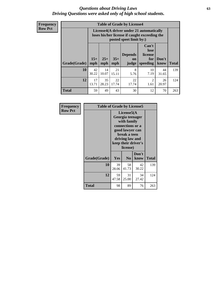#### *Questions about Driving Laws* **63** *Driving Questions were asked only of high school students.*

**Frequency Row Pct**

| <b>Table of Grade by License4</b> |             |                                                                                                                                                                                                                                                                                       |             |             |                        |             |     |  |
|-----------------------------------|-------------|---------------------------------------------------------------------------------------------------------------------------------------------------------------------------------------------------------------------------------------------------------------------------------------|-------------|-------------|------------------------|-------------|-----|--|
|                                   |             | License4(A driver under 21 automatically<br>loses his/her license if caught exceeding the<br>posted speet limit by:)<br>Can't<br>lose<br><b>Depends</b><br>license<br>$15+$<br>$25+$<br>$35+$<br>Don't<br>for<br><b>on</b><br>speeding<br><b>Total</b><br>mph<br>know<br>mph<br>judge |             |             |                        |             |     |  |
| Grade(Grade)                      | mph         |                                                                                                                                                                                                                                                                                       |             |             |                        |             |     |  |
| 10                                | 42<br>30.22 | 14<br>10.07                                                                                                                                                                                                                                                                           | 21<br>15.11 | 8<br>5.76   | 10<br>7.19             | 44<br>31.65 | 139 |  |
| 12                                | 17<br>13.71 | 35<br>28.23                                                                                                                                                                                                                                                                           | 22<br>17.74 | 22<br>17.74 | $\mathfrak{D}$<br>1.61 | 26<br>20.97 | 124 |  |
| <b>Total</b>                      | 59          | 49                                                                                                                                                                                                                                                                                    | 43          | 30          | 12                     | 70          | 263 |  |

| Frequency      | <b>Table of Grade by License5</b> |                                                                                                                                                             |                |               |       |  |
|----------------|-----------------------------------|-------------------------------------------------------------------------------------------------------------------------------------------------------------|----------------|---------------|-------|--|
| <b>Row Pct</b> |                                   | License5(A)<br>Georgia teenager<br>with family<br>connections or a<br>good lawyer can<br>break a teen<br>driving law and<br>keep their driver's<br>license) |                |               |       |  |
|                | Grade(Grade)                      | Yes                                                                                                                                                         | N <sub>0</sub> | Don't<br>know | Total |  |
|                | 10                                | 39<br>28.06                                                                                                                                                 | 58<br>41.73    | 42<br>30.22   | 139   |  |
|                | 12                                | 59<br>47.58                                                                                                                                                 | 31<br>25.00    | 34<br>27.42   | 124   |  |
|                | <b>Total</b>                      | 98                                                                                                                                                          | 89             | 76            | 263   |  |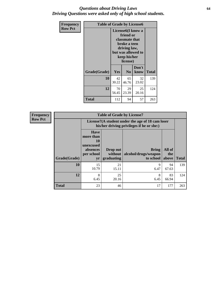#### *Questions about Driving Laws* **64** *Driving Questions were asked only of high school students.*

| <b>Frequency</b> | <b>Table of Grade by License6</b> |             |                                                                                                                           |                    |              |  |
|------------------|-----------------------------------|-------------|---------------------------------------------------------------------------------------------------------------------------|--------------------|--------------|--|
| <b>Row Pct</b>   |                                   |             | License <sub>6</sub> (I know a<br>friend or<br>classmate that<br>broke a teen<br>driving law,<br>keep his/her<br>license) | but was allowed to |              |  |
|                  | Grade(Grade)                      | <b>Yes</b>  | N <sub>0</sub>                                                                                                            | Don't<br>know      | <b>Total</b> |  |
|                  | 10                                | 42<br>30.22 | 65<br>46.76                                                                                                               | 32<br>23.02        | 139          |  |
|                  | 12                                | 70<br>56.45 | 29<br>23.39                                                                                                               | 25<br>20.16        | 124          |  |
|                  | <b>Total</b>                      | 112         | 94                                                                                                                        | 57                 | 263          |  |

| <b>Frequency</b> | <b>Table of Grade by License7</b> |                                                                             |                                     |                                                                                               |                        |              |  |  |
|------------------|-----------------------------------|-----------------------------------------------------------------------------|-------------------------------------|-----------------------------------------------------------------------------------------------|------------------------|--------------|--|--|
| <b>Row Pct</b>   |                                   |                                                                             |                                     | License7(A student under the age of 18 cam loser<br>his/her driving privileges if he or she:) |                        |              |  |  |
|                  | Grade(Grade)                      | <b>Have</b><br>more than<br>10<br>unexcused<br>absences<br>per school<br>yr | Drop out<br>without  <br>graduating | <b>Bring</b><br>alcohol/drugs/weapon<br>to school                                             | All of<br>the<br>above | <b>Total</b> |  |  |
|                  | 10                                | 15<br>10.79                                                                 | 21<br>15.11                         | 9<br>6.47                                                                                     | 94<br>67.63            | 139          |  |  |
|                  | 12                                | 8<br>6.45                                                                   | 25<br>20.16                         | 8<br>6.45                                                                                     | 83<br>66.94            | 124          |  |  |
|                  | <b>Total</b>                      | 23                                                                          | 46                                  | 17                                                                                            | 177                    | 263          |  |  |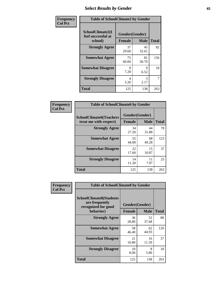# *Select Results by Gender* **65**

| Frequency      | <b>Table of SchoolClimate2 by Gender</b>          |                                 |             |              |  |
|----------------|---------------------------------------------------|---------------------------------|-------------|--------------|--|
| <b>Col Pct</b> | SchoolClimate2(I<br>feel successful at<br>school) | Gender(Gender)<br><b>Female</b> | <b>Male</b> | <b>Total</b> |  |
|                | <b>Strongly Agree</b>                             | 37<br>29.60                     | 45<br>32.61 | 82           |  |
|                | <b>Somewhat Agree</b>                             | 75<br>60.00                     | 81<br>58.70 | 156          |  |
|                | <b>Somewhat Disagree</b>                          | 9<br>7.20                       | 9<br>6.52   | 18           |  |
|                | <b>Strongly Disagree</b>                          | 4<br>3.20                       | 3<br>2.17   | 7            |  |
|                | <b>Total</b>                                      | 125                             | 138         | 263          |  |

| Frequency      | <b>Table of SchoolClimate6 by Gender</b>                 |                                 |             |              |  |
|----------------|----------------------------------------------------------|---------------------------------|-------------|--------------|--|
| <b>Col Pct</b> | <b>SchoolClimate6(Teachers</b><br>treat me with respect) | Gender(Gender)<br><b>Female</b> | <b>Male</b> | <b>Total</b> |  |
|                | <b>Strongly Agree</b>                                    | 34<br>27.20                     | 44<br>31.88 | 78           |  |
|                | <b>Somewhat Agree</b>                                    | 55<br>44.00                     | 68<br>49.28 | 123          |  |
|                | <b>Somewhat Disagree</b>                                 | 22<br>17.60                     | 15<br>10.87 | 37           |  |
|                | <b>Strongly Disagree</b>                                 | 14<br>11.20                     | 11<br>7.97  | 25           |  |
|                | <b>Total</b>                                             | 125                             | 138         | 263          |  |

| <b>Frequency</b> | <b>Table of SchoolClimate8 by Gender</b>                                             |                                                |             |              |
|------------------|--------------------------------------------------------------------------------------|------------------------------------------------|-------------|--------------|
| <b>Col Pct</b>   | <b>SchoolClimate8(Students</b><br>are frequently<br>recognized for good<br>behavior) | Gender(Gender)<br><b>Female</b><br><b>Male</b> |             | <b>Total</b> |
|                  | <b>Strongly Agree</b>                                                                | 36<br>28.80                                    | 52<br>37.68 | 88           |
|                  | <b>Somewhat Agree</b>                                                                | 58<br>46.40                                    | 62<br>44.93 | 120          |
|                  | <b>Somewhat Disagree</b>                                                             | 21<br>16.80                                    | 16<br>11.59 | 37           |
|                  | <b>Strongly Disagree</b>                                                             | 10<br>8.00                                     | 8<br>5.80   | 18           |
|                  | Total                                                                                | 125                                            | 138         | 263          |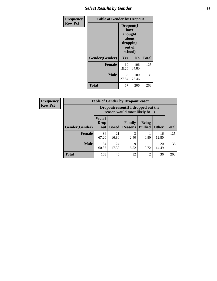# *Select Results by Gender* **66**

| Frequency      | <b>Table of Gender by Dropout</b> |                                                                        |                |              |
|----------------|-----------------------------------|------------------------------------------------------------------------|----------------|--------------|
| <b>Row Pct</b> |                                   | Dropout(I<br>have<br>thought<br>about<br>dropping<br>out of<br>school) |                |              |
|                | Gender(Gender)                    | Yes                                                                    | N <sub>0</sub> | <b>Total</b> |
|                | <b>Female</b>                     | 19<br>15.20                                                            | 106<br>84.80   | 125          |
|                | <b>Male</b>                       | 38<br>27.54                                                            | 100<br>72.46   | 138          |
|                | <b>Total</b>                      | 57                                                                     | 206            | 263          |

| <b>Frequency</b> | <b>Table of Gender by Dropoutreason</b> |                                                                    |              |                          |                                |              |              |
|------------------|-----------------------------------------|--------------------------------------------------------------------|--------------|--------------------------|--------------------------------|--------------|--------------|
| <b>Row Pct</b>   |                                         | Dropoutreason(If I dropped out the<br>reason would most likely be) |              |                          |                                |              |              |
|                  | Gender(Gender)                          | Won't<br><b>Drop</b><br>out                                        | <b>Bored</b> | Family<br><b>Reasons</b> | <b>Being</b><br><b>Bullied</b> | <b>Other</b> | <b>Total</b> |
|                  | Female                                  | 84<br>67.20                                                        | 21<br>16.80  | 3<br>2.40                | 0.80                           | 16<br>12.80  | 125          |
|                  | <b>Male</b>                             | 84<br>60.87                                                        | 24<br>17.39  | 9<br>6.52                | 0.72                           | 20<br>14.49  | 138          |
|                  | <b>Total</b>                            | 168                                                                | 45           | 12                       | $\overline{c}$                 | 36           | 263          |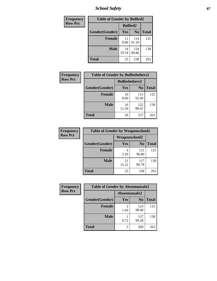*School Safety* **67**

| Frequency      | <b>Table of Gender by Bullied2</b> |                 |                |              |
|----------------|------------------------------------|-----------------|----------------|--------------|
| <b>Row Pct</b> |                                    | <b>Bullied2</b> |                |              |
|                | Gender(Gender)                     | <b>Yes</b>      | N <sub>0</sub> | <b>Total</b> |
|                | <b>Female</b>                      | 11<br>8.80      | 114<br>91.20   | 125          |
|                | <b>Male</b>                        | 14<br>10.14     | 124<br>89.86   | 138          |
|                | <b>Total</b>                       | 25              | 238            | 263          |

| Frequency      | <b>Table of Gender by Bulliedothers2</b> |                       |                |              |
|----------------|------------------------------------------|-----------------------|----------------|--------------|
| <b>Row Pct</b> |                                          | <b>Bulliedothers2</b> |                |              |
|                | Gender(Gender)                           | <b>Yes</b>            | N <sub>0</sub> | <b>Total</b> |
|                | <b>Female</b>                            | 10<br>8.00            | 115<br>92.00   | 125          |
|                | <b>Male</b>                              | 16<br>11.59           | 122<br>88.41   | 138          |
|                | <b>Total</b>                             | 26                    | 237            | 263          |

| <b>Frequency</b> | <b>Table of Gender by Weaponschool2</b> |                      |                |              |
|------------------|-----------------------------------------|----------------------|----------------|--------------|
| <b>Row Pct</b>   |                                         | <b>Weaponschool2</b> |                |              |
|                  | Gender(Gender)                          | Yes                  | N <sub>0</sub> | <b>Total</b> |
|                  | Female                                  | 3.20                 | 121<br>96.80   | 125          |
|                  | <b>Male</b>                             | 21<br>15.22          | 117<br>84.78   | 138          |
|                  | <b>Total</b>                            | 25                   | 238            | 263          |

| Frequency      | <b>Table of Gender by Absentunsafe2</b> |               |                |              |
|----------------|-----------------------------------------|---------------|----------------|--------------|
| <b>Row Pct</b> |                                         | Absentunsafe2 |                |              |
|                | Gender(Gender)                          | Yes           | N <sub>0</sub> | <b>Total</b> |
|                | <b>Female</b>                           | 1.60          | 123<br>98.40   | 125          |
|                | <b>Male</b>                             | 0.72          | 137<br>99.28   | 138          |
|                | <b>Total</b>                            | 3             | 260            | 263          |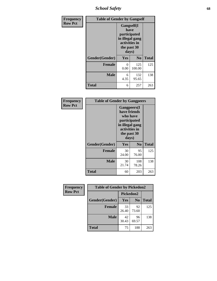*School Safety* **68**

| Frequency      |                | <b>Table of Gender by Gangself</b>                                                             |                |              |  |
|----------------|----------------|------------------------------------------------------------------------------------------------|----------------|--------------|--|
| <b>Row Pct</b> |                | Gangself(I<br>have<br>participated<br>in illegal gang<br>activities in<br>the past 30<br>days) |                |              |  |
|                | Gender(Gender) | Yes                                                                                            | N <sub>0</sub> | <b>Total</b> |  |
|                | <b>Female</b>  | 0<br>0.00                                                                                      | 125<br>100.00  | 125          |  |
|                | <b>Male</b>    | 6<br>4.35                                                                                      | 132<br>95.65   | 138          |  |
|                | <b>Total</b>   | 6                                                                                              | 257            | 263          |  |

| Frequency      | <b>Table of Gender by Gangpeers</b> |                                                                                                                             |                |              |
|----------------|-------------------------------------|-----------------------------------------------------------------------------------------------------------------------------|----------------|--------------|
| <b>Row Pct</b> |                                     | <b>Gangpeers</b> (I<br>have friends<br>who have<br>participated<br>in illegal gang<br>activities in<br>the past 30<br>days) |                |              |
|                | Gender(Gender)                      | Yes                                                                                                                         | N <sub>0</sub> | <b>Total</b> |
|                | <b>Female</b>                       | 30<br>24.00                                                                                                                 | 95<br>76.00    | 125          |
|                | <b>Male</b>                         | 30<br>21.74                                                                                                                 | 108<br>78.26   | 138          |
|                | <b>Total</b>                        | 60                                                                                                                          | 203            | 263          |

| <b>Frequency</b> | <b>Table of Gender by Pickedon2</b> |             |                |              |
|------------------|-------------------------------------|-------------|----------------|--------------|
| <b>Row Pct</b>   |                                     | Pickedon2   |                |              |
|                  | Gender(Gender)                      | Yes         | N <sub>0</sub> | <b>Total</b> |
|                  | <b>Female</b>                       | 33<br>26.40 | 92<br>73.60    | 125          |
|                  | <b>Male</b>                         | 42<br>30.43 | 96<br>69.57    | 138          |
|                  | <b>Total</b>                        | 75          | 188            | 263          |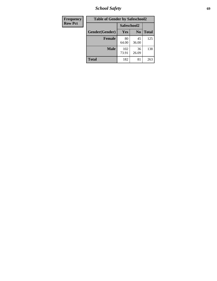*School Safety* **69**

| Frequency      | <b>Table of Gender by Safeschool2</b> |              |                |              |  |
|----------------|---------------------------------------|--------------|----------------|--------------|--|
| <b>Row Pct</b> |                                       | Safeschool2  |                |              |  |
|                | Gender(Gender)                        | <b>Yes</b>   | N <sub>0</sub> | <b>Total</b> |  |
|                | <b>Female</b>                         | 80<br>64.00  | 45<br>36.00    | 125          |  |
|                | <b>Male</b>                           | 102<br>73.91 | 36<br>26.09    | 138          |  |
|                | <b>Total</b>                          | 182          | 81             | 263          |  |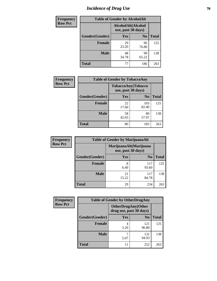# *Incidence of Drug Use* **70**

| <b>Frequency</b> | <b>Table of Gender by AlcoholAlt</b> |             |                                          |              |  |
|------------------|--------------------------------------|-------------|------------------------------------------|--------------|--|
| <b>Row Pct</b>   |                                      |             | AlcoholAlt(Alcohol<br>use, past 30 days) |              |  |
|                  | Gender(Gender)                       | <b>Yes</b>  | N <sub>0</sub>                           | <b>Total</b> |  |
|                  | <b>Female</b>                        | 29<br>23.20 | 96<br>76.80                              | 125          |  |
|                  | <b>Male</b>                          | 48<br>34.78 | 90<br>65.22                              | 138          |  |
|                  | <b>Total</b>                         | 77          | 186                                      | 263          |  |

| Frequency      | <b>Table of Gender by TobaccoAny</b> |                                          |                |              |  |
|----------------|--------------------------------------|------------------------------------------|----------------|--------------|--|
| <b>Row Pct</b> |                                      | TobaccoAny(Tobacco<br>use, past 30 days) |                |              |  |
|                | Gender(Gender)                       | Yes                                      | N <sub>0</sub> | <b>Total</b> |  |
|                | <b>Female</b>                        | 22<br>17.60                              | 103<br>82.40   | 125          |  |
|                | <b>Male</b>                          | 58<br>42.03                              | 80<br>57.97    | 138          |  |
|                | Total                                | 80                                       | 183            | 263          |  |

| <b>Frequency</b> | <b>Table of Gender by MarijuanaAlt</b> |                                              |                |              |  |
|------------------|----------------------------------------|----------------------------------------------|----------------|--------------|--|
| <b>Row Pct</b>   |                                        | MarijuanaAlt(Marijuana<br>use, past 30 days) |                |              |  |
|                  | Gender(Gender)                         | <b>Yes</b>                                   | N <sub>0</sub> | <b>Total</b> |  |
|                  | <b>Female</b>                          | 8<br>6.40                                    | 117<br>93.60   | 125          |  |
|                  | <b>Male</b>                            | 21<br>15.22                                  | 117<br>84.78   | 138          |  |
|                  | <b>Total</b>                           | 29                                           | 234            | 263          |  |

| <b>Frequency</b> | <b>Table of Gender by OtherDrugAny</b> |                                                       |                |              |  |
|------------------|----------------------------------------|-------------------------------------------------------|----------------|--------------|--|
| <b>Row Pct</b>   |                                        | <b>OtherDrugAny</b> (Other<br>drug use, past 30 days) |                |              |  |
|                  | Gender(Gender)                         | <b>Yes</b>                                            | N <sub>0</sub> | <b>Total</b> |  |
|                  | <b>Female</b>                          | 3.20                                                  | 121<br>96.80   | 125          |  |
|                  | <b>Male</b>                            | 5.07                                                  | 131<br>94.93   | 138          |  |
|                  | <b>Total</b>                           | 11                                                    | 252            | 263          |  |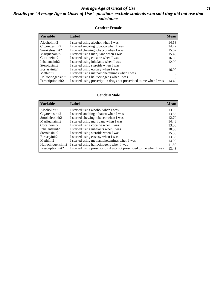### *Average Age at Onset of Use* **71** *Results for "Average Age at Onset of Use" questions exclude students who said they did not use that substance*

#### **Gender=Female**

| <b>Variable</b>    | <b>Label</b>                                                       | <b>Mean</b> |
|--------------------|--------------------------------------------------------------------|-------------|
| Alcoholinit2       | I started using alcohol when I was                                 | 14.13       |
| Cigarettesinit2    | I started smoking tobacco when I was                               | 14.77       |
| Smokelessinit2     | I started chewing tobacco when I was                               | 15.67       |
| Marijuanainit2     | I started using marijuana when I was                               | 15.40       |
| Cocaineinit2       | I started using cocaine when I was                                 | 16.00       |
| Inhalantsinit2     | I started using inhalants when I was                               | 12.00       |
| Steroidsinit2      | I started using steroids when I was                                |             |
| Ecstasyinit2       | I started using ecstasy when I was                                 | 16.00       |
| Methinit2          | I started using methamphetamines when I was                        |             |
| Hallucinogensinit2 | I started using hallucinogens when I was                           |             |
| Prescription in t2 | I started using prescription drugs not prescribed to me when I was | 14.40       |

#### **Gender=Male**

| <b>Variable</b>                   | Label                                                                             | <b>Mean</b>    |
|-----------------------------------|-----------------------------------------------------------------------------------|----------------|
| Alcoholinit2                      | I started using alcohol when I was                                                | 13.05          |
| Cigarettesinit2<br>Smokelessinit2 | I started smoking tobacco when I was<br>I started chewing tobacco when I was      | 13.53<br>12.70 |
| Marijuanainit2<br>Cocaineinit2    | I started using marijuana when I was<br>I started using cocaine when I was        | 14.43<br>13.00 |
| Inhalantsinit2                    | I started using inhalants when I was                                              | 10.50          |
| Steroidsinit2                     | I started using steroids when I was                                               | 15.00          |
| Ecstasyinit2<br>Methinit2         | I started using ecstasy when I was<br>I started using methamphetamines when I was | 13.33<br>14.00 |
| Hallucinogensinit2                | I started using hallucinogens when I was                                          | 11.50          |
| Prescriptioninit2                 | I started using prescription drugs not prescribed to me when I was                | 13.43          |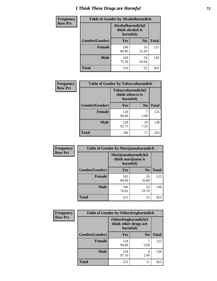# *I Think These Drugs are Harmful* **72**

| <b>Frequency</b> | <b>Table of Gender by Alcoholharmdich</b> |                  |                               |              |
|------------------|-------------------------------------------|------------------|-------------------------------|--------------|
| <b>Row Pct</b>   |                                           | think alcohol is | Alcoholharmdich(I<br>harmful) |              |
|                  | Gender(Gender)                            | <b>Yes</b>       | N <sub>0</sub>                | <b>Total</b> |
|                  | <b>Female</b>                             | 106<br>84.80     | 19<br>15.20                   | 125          |
|                  | <b>Male</b>                               | 104<br>75.36     | 34<br>24.64                   | 138          |
|                  | Total                                     | 210              | 53                            | 263          |

| Frequency      | <b>Table of Gender by Tobaccoharmdich</b> |                                                   |                |              |  |
|----------------|-------------------------------------------|---------------------------------------------------|----------------|--------------|--|
| <b>Row Pct</b> |                                           | Tobaccoharmdich(I<br>think tobacco is<br>harmful) |                |              |  |
|                | Gender(Gender)                            | Yes                                               | N <sub>0</sub> | <b>Total</b> |  |
|                | <b>Female</b>                             | 118<br>94.40                                      | 7<br>5.60      | 125          |  |
|                | <b>Male</b>                               | 128<br>92.75                                      | 10<br>7.25     | 138          |  |
|                | <b>Total</b>                              | 246                                               | 17             | 263          |  |

| Frequency      | <b>Table of Gender by Marijuanaharmdich</b> |                                                       |                |              |  |
|----------------|---------------------------------------------|-------------------------------------------------------|----------------|--------------|--|
| <b>Row Pct</b> |                                             | Marijuanaharmdich(I<br>think marijuana is<br>harmful) |                |              |  |
|                | Gender(Gender)                              | <b>Yes</b>                                            | N <sub>0</sub> | <b>Total</b> |  |
|                | <b>Female</b>                               | 105<br>84.00                                          | 20<br>16.00    | 125          |  |
|                | <b>Male</b>                                 | 106<br>76.81                                          | 32<br>23.19    | 138          |  |
|                | <b>Total</b>                                | 211                                                   | 52             | 263          |  |

| Frequency      | <b>Table of Gender by Otherdrugharmdich</b> |                                                          |                |              |  |
|----------------|---------------------------------------------|----------------------------------------------------------|----------------|--------------|--|
| <b>Row Pct</b> |                                             | Otherdrugharmdich(I<br>think other drugs are<br>harmful) |                |              |  |
|                | Gender(Gender)                              | <b>Yes</b>                                               | N <sub>0</sub> | <b>Total</b> |  |
|                | <b>Female</b>                               | 118<br>94.40                                             | 5.60           | 125          |  |
|                | <b>Male</b>                                 | 134<br>97.10                                             | 4<br>2.90      | 138          |  |
|                | <b>Total</b>                                | 252                                                      | 11             | 263          |  |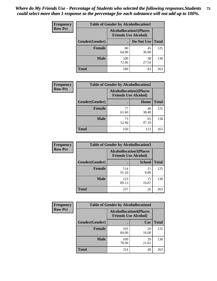| <b>Frequency</b> | <b>Table of Gender by Alcohollocation1</b> |                                                               |             |              |
|------------------|--------------------------------------------|---------------------------------------------------------------|-------------|--------------|
| <b>Row Pct</b>   |                                            | <b>Alcohollocation1(Places</b><br><b>Friends Use Alcohol)</b> |             |              |
|                  | Gender(Gender)                             |                                                               | Do Not Use  | <b>Total</b> |
|                  | <b>Female</b>                              | 80<br>64.00                                                   | 45<br>36.00 | 125          |
|                  | <b>Male</b>                                | 100<br>72.46                                                  | 38<br>27.54 | 138          |
|                  | Total                                      | 180                                                           | 83          | 263          |

| <b>Frequency</b> | <b>Table of Gender by Alcohollocation2</b> |                                                               |             |              |
|------------------|--------------------------------------------|---------------------------------------------------------------|-------------|--------------|
| <b>Row Pct</b>   |                                            | <b>Alcohollocation2(Places</b><br><b>Friends Use Alcohol)</b> |             |              |
|                  | Gender(Gender)                             |                                                               | Home        | <b>Total</b> |
|                  | <b>Female</b>                              | 77<br>61.60                                                   | 48<br>38.40 | 125          |
|                  | <b>Male</b>                                | 73<br>52.90                                                   | 65<br>47.10 | 138          |
|                  | <b>Total</b>                               | 150                                                           | 113         | 263          |

| Frequency      | <b>Table of Gender by Alcohollocation3</b> |                                                               |               |              |
|----------------|--------------------------------------------|---------------------------------------------------------------|---------------|--------------|
| <b>Row Pct</b> |                                            | <b>Alcohollocation3(Places</b><br><b>Friends Use Alcohol)</b> |               |              |
|                | Gender(Gender)                             |                                                               | <b>School</b> | <b>Total</b> |
|                | <b>Female</b>                              | 114<br>91.20                                                  | 11<br>8.80    | 125          |
|                | <b>Male</b>                                | 123<br>89.13                                                  | 15<br>10.87   | 138          |
|                | <b>Total</b>                               | 237                                                           | 26            | 263          |

| Frequency      | <b>Table of Gender by Alcohollocation4</b> |                                                               |             |              |  |
|----------------|--------------------------------------------|---------------------------------------------------------------|-------------|--------------|--|
| <b>Row Pct</b> |                                            | <b>Alcohollocation4(Places</b><br><b>Friends Use Alcohol)</b> |             |              |  |
|                | Gender(Gender)                             |                                                               | Car         | <b>Total</b> |  |
|                | Female                                     | 105<br>84.00                                                  | 20<br>16.00 | 125          |  |
|                | <b>Male</b>                                | 109<br>78.99                                                  | 29<br>21.01 | 138          |  |
|                | <b>Total</b>                               | 214                                                           | 49          | 263          |  |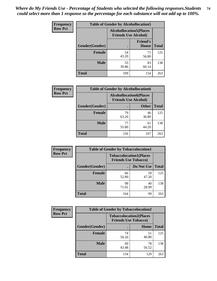| <b>Frequency</b> | <b>Table of Gender by Alcohollocation5</b> |                                                                |                                 |              |
|------------------|--------------------------------------------|----------------------------------------------------------------|---------------------------------|--------------|
| <b>Row Pct</b>   |                                            | <b>Alcohollocation5</b> (Places<br><b>Friends Use Alcohol)</b> |                                 |              |
|                  | Gender(Gender)                             | $\bullet$                                                      | <b>Friend's</b><br><b>House</b> | <b>Total</b> |
|                  | <b>Female</b>                              | 54<br>43.20                                                    | 71<br>56.80                     | 125          |
|                  | <b>Male</b>                                | 55<br>39.86                                                    | 83<br>60.14                     | 138          |
|                  | <b>Total</b>                               | 109                                                            | 154                             | 263          |

| <b>Frequency</b> | <b>Table of Gender by Alcohollocation6</b> |                                                               |              |              |  |
|------------------|--------------------------------------------|---------------------------------------------------------------|--------------|--------------|--|
| <b>Row Pct</b>   |                                            | <b>Alcohollocation6(Places</b><br><b>Friends Use Alcohol)</b> |              |              |  |
|                  | Gender(Gender)                             |                                                               | <b>Other</b> | <b>Total</b> |  |
|                  | <b>Female</b>                              | 79<br>63.20                                                   | 46<br>36.80  | 125          |  |
|                  | <b>Male</b>                                | 77<br>55.80                                                   | 61<br>44.20  | 138          |  |
|                  | <b>Total</b>                               | 156                                                           | 107          | 263          |  |

| Frequency      | <b>Table of Gender by Tobaccolocation1</b> |                                                               |             |              |
|----------------|--------------------------------------------|---------------------------------------------------------------|-------------|--------------|
| <b>Row Pct</b> |                                            | <b>Tobaccolocation1(Places</b><br><b>Friends Use Tobacco)</b> |             |              |
|                | Gender(Gender)                             |                                                               | Do Not Use  | <b>Total</b> |
|                | <b>Female</b>                              | 66<br>52.80                                                   | 59<br>47.20 | 125          |
|                | <b>Male</b>                                | 98<br>71.01                                                   | 40<br>28.99 | 138          |
|                | <b>Total</b>                               | 164                                                           | 99          | 263          |

| <b>Frequency</b> | <b>Table of Gender by Tobaccolocation2</b> |                                                               |             |              |
|------------------|--------------------------------------------|---------------------------------------------------------------|-------------|--------------|
| <b>Row Pct</b>   |                                            | <b>Tobaccolocation2(Places</b><br><b>Friends Use Tobacco)</b> |             |              |
|                  | Gender(Gender)                             |                                                               | Home        | <b>Total</b> |
|                  | Female                                     | 74<br>59.20                                                   | 51<br>40.80 | 125          |
|                  | <b>Male</b>                                | 60<br>43.48                                                   | 78<br>56.52 | 138          |
|                  | <b>Total</b>                               | 134                                                           | 129         | 263          |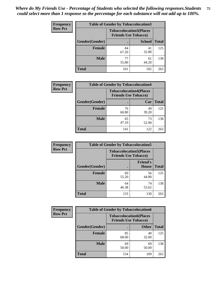| <b>Frequency</b> |                | <b>Table of Gender by Tobaccolocation3</b> |                                |              |
|------------------|----------------|--------------------------------------------|--------------------------------|--------------|
| <b>Row Pct</b>   |                | <b>Friends Use Tobacco)</b>                | <b>Tobaccolocation3(Places</b> |              |
|                  | Gender(Gender) |                                            | <b>School</b>                  | <b>Total</b> |
|                  | Female         | 84<br>67.20                                | 41<br>32.80                    | 125          |
|                  | <b>Male</b>    | 77<br>55.80                                | 61<br>44.20                    | 138          |
|                  | <b>Total</b>   | 161                                        | 102                            | 263          |

| <b>Frequency</b> | <b>Table of Gender by Tobaccolocation4</b> |                             |                                |              |
|------------------|--------------------------------------------|-----------------------------|--------------------------------|--------------|
| <b>Row Pct</b>   |                                            | <b>Friends Use Tobacco)</b> | <b>Tobaccolocation4(Places</b> |              |
|                  | Gender(Gender)                             |                             | Car                            | <b>Total</b> |
|                  | <b>Female</b>                              | 76<br>60.80                 | 49<br>39.20                    | 125          |
|                  | <b>Male</b>                                | 65<br>47.10                 | 73<br>52.90                    | 138          |
|                  | <b>Total</b>                               | 141                         | 122                            | 263          |

| <b>Frequency</b> | <b>Table of Gender by Tobaccolocation5</b> |                                                               |                                 |              |
|------------------|--------------------------------------------|---------------------------------------------------------------|---------------------------------|--------------|
| <b>Row Pct</b>   |                                            | <b>Tobaccolocation5(Places</b><br><b>Friends Use Tobacco)</b> |                                 |              |
|                  | <b>Gender</b> (Gender)                     |                                                               | <b>Friend's</b><br><b>House</b> | <b>Total</b> |
|                  | <b>Female</b>                              | 69<br>55.20                                                   | 56<br>44.80                     | 125          |
|                  | <b>Male</b>                                | 64<br>46.38                                                   | 74<br>53.62                     | 138          |
|                  | <b>Total</b>                               | 133                                                           | 130                             | 263          |

| <b>Frequency</b> | <b>Table of Gender by Tobaccolocation6</b> |                                                               |              |              |  |
|------------------|--------------------------------------------|---------------------------------------------------------------|--------------|--------------|--|
| <b>Row Pct</b>   |                                            | <b>Tobaccolocation6(Places</b><br><b>Friends Use Tobacco)</b> |              |              |  |
|                  | Gender(Gender)                             |                                                               | <b>Other</b> | <b>Total</b> |  |
|                  | <b>Female</b>                              | 85<br>68.00                                                   | 40<br>32.00  | 125          |  |
|                  | <b>Male</b>                                | 69<br>50.00                                                   | 69<br>50.00  | 138          |  |
|                  | <b>Total</b>                               | 154                                                           | 109          | 263          |  |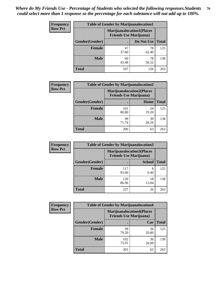| <b>Frequency</b> | <b>Table of Gender by Marijuanalocation1</b> |                                                                    |             |              |
|------------------|----------------------------------------------|--------------------------------------------------------------------|-------------|--------------|
| <b>Row Pct</b>   |                                              | <b>Marijuanalocation1(Places</b><br><b>Friends Use Marijuana</b> ) |             |              |
|                  | Gender(Gender)                               |                                                                    | Do Not Use  | <b>Total</b> |
|                  | <b>Female</b>                                | 47<br>37.60                                                        | 78<br>62.40 | 125          |
|                  | <b>Male</b>                                  | 60<br>43.48                                                        | 78<br>56.52 | 138          |
|                  | <b>Total</b>                                 | 107                                                                | 156         | 263          |

| <b>Frequency</b> | <b>Table of Gender by Marijuanalocation2</b> |                                                                    |             |              |  |
|------------------|----------------------------------------------|--------------------------------------------------------------------|-------------|--------------|--|
| <b>Row Pct</b>   |                                              | <b>Marijuanalocation2(Places</b><br><b>Friends Use Marijuana</b> ) |             |              |  |
|                  | Gender(Gender)                               |                                                                    | Home        | <b>Total</b> |  |
|                  | <b>Female</b>                                | 101<br>80.80                                                       | 24<br>19.20 | 125          |  |
|                  | <b>Male</b>                                  | 99<br>71.74                                                        | 39<br>28.26 | 138          |  |
|                  | <b>Total</b>                                 | 200                                                                | 63          | 263          |  |

| Frequency      | <b>Table of Gender by Marijuanalocation3</b> |                                |                                   |              |  |
|----------------|----------------------------------------------|--------------------------------|-----------------------------------|--------------|--|
| <b>Row Pct</b> |                                              | <b>Friends Use Marijuana</b> ) | <b>Marijuanalocation3(Places)</b> |              |  |
|                | Gender(Gender)                               |                                | <b>School</b>                     | <b>Total</b> |  |
|                | Female                                       | 117<br>93.60                   | 8<br>6.40                         | 125          |  |
|                | <b>Male</b>                                  | 120<br>86.96                   | 18<br>13.04                       | 138          |  |
|                | <b>Total</b>                                 | 237                            | 26                                | 263          |  |

| Frequency      | <b>Table of Gender by Marijuanalocation4</b> |                                |                                  |              |
|----------------|----------------------------------------------|--------------------------------|----------------------------------|--------------|
| <b>Row Pct</b> |                                              | <b>Friends Use Marijuana</b> ) | <b>Marijuanalocation4(Places</b> |              |
|                | <b>Gender</b> (Gender)                       |                                | Car                              | <b>Total</b> |
|                | <b>Female</b>                                | 99<br>79.20                    | 26<br>20.80                      | 125          |
|                | <b>Male</b>                                  | 102<br>73.91                   | 36<br>26.09                      | 138          |
|                | <b>Total</b>                                 | 201                            | 62                               | 263          |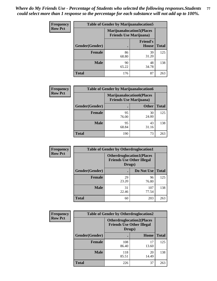| <b>Frequency</b> | <b>Table of Gender by Marijuanalocation5</b> |                                                                     |                                 |              |
|------------------|----------------------------------------------|---------------------------------------------------------------------|---------------------------------|--------------|
| <b>Row Pct</b>   |                                              | <b>Marijuanalocation5</b> (Places<br><b>Friends Use Marijuana</b> ) |                                 |              |
|                  | Gender(Gender)                               |                                                                     | <b>Friend's</b><br><b>House</b> | <b>Total</b> |
|                  | <b>Female</b>                                | 86<br>68.80                                                         | 39<br>31.20                     | 125          |
|                  | <b>Male</b>                                  | 90<br>65.22                                                         | 48<br>34.78                     | 138          |
|                  | <b>Total</b>                                 | 176                                                                 | 87                              | 263          |

| <b>Frequency</b> | <b>Table of Gender by Marijuanalocation6</b> |                                                                    |              |              |
|------------------|----------------------------------------------|--------------------------------------------------------------------|--------------|--------------|
| <b>Row Pct</b>   |                                              | <b>Marijuanalocation6(Places</b><br><b>Friends Use Marijuana</b> ) |              |              |
|                  | Gender(Gender)                               |                                                                    | <b>Other</b> | <b>Total</b> |
|                  | <b>Female</b>                                | 95<br>76.00                                                        | 30<br>24.00  | 125          |
|                  | <b>Male</b>                                  | 95<br>68.84                                                        | 43<br>31.16  | 138          |
|                  | <b>Total</b>                                 | 190                                                                | 73           | 263          |

| <b>Frequency</b> | <b>Table of Gender by Otherdruglocation1</b> |                                                                                |              |              |
|------------------|----------------------------------------------|--------------------------------------------------------------------------------|--------------|--------------|
| <b>Row Pct</b>   |                                              | <b>Otherdruglocation1(Places</b><br><b>Friends Use Other Illegal</b><br>Drugs) |              |              |
|                  | Gender(Gender)                               |                                                                                | Do Not Use   | <b>Total</b> |
|                  | <b>Female</b>                                | 29<br>23.20                                                                    | 96<br>76.80  | 125          |
|                  | <b>Male</b>                                  | 31<br>22.46                                                                    | 107<br>77.54 | 138          |
|                  | <b>Total</b>                                 | 60                                                                             | 203          | 263          |

| <b>Frequency</b> | <b>Table of Gender by Otherdruglocation2</b> |                                            |                                  |              |
|------------------|----------------------------------------------|--------------------------------------------|----------------------------------|--------------|
| <b>Row Pct</b>   |                                              | <b>Friends Use Other Illegal</b><br>Drugs) | <b>Otherdruglocation2(Places</b> |              |
|                  | Gender(Gender)                               |                                            | Home                             | <b>Total</b> |
|                  | Female                                       | 108<br>86.40                               | 17<br>13.60                      | 125          |
|                  | <b>Male</b>                                  | 118<br>85.51                               | 20<br>14.49                      | 138          |
|                  | <b>Total</b>                                 | 226                                        | 37                               | 263          |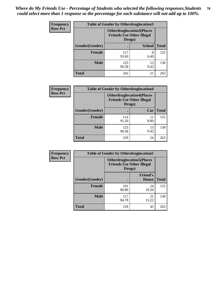| Frequency      | <b>Table of Gender by Otherdruglocation3</b> |                                                                                |               |              |
|----------------|----------------------------------------------|--------------------------------------------------------------------------------|---------------|--------------|
| <b>Row Pct</b> |                                              | <b>Otherdruglocation3(Places</b><br><b>Friends Use Other Illegal</b><br>Drugs) |               |              |
|                | Gender(Gender)                               |                                                                                | <b>School</b> | <b>Total</b> |
|                | <b>Female</b>                                | 117<br>93.60                                                                   | 8<br>6.40     | 125          |
|                | <b>Male</b>                                  | 125<br>90.58                                                                   | 13<br>9.42    | 138          |
|                | <b>Total</b>                                 | 242                                                                            | 21            | 263          |

| Frequency      | <b>Table of Gender by Otherdruglocation4</b> |                                                                                |            |              |
|----------------|----------------------------------------------|--------------------------------------------------------------------------------|------------|--------------|
| <b>Row Pct</b> |                                              | <b>Otherdruglocation4(Places</b><br><b>Friends Use Other Illegal</b><br>Drugs) |            |              |
|                | Gender(Gender)                               |                                                                                | Car        | <b>Total</b> |
|                | <b>Female</b>                                | 114<br>91.20                                                                   | 11<br>8.80 | 125          |
|                | <b>Male</b>                                  | 125<br>90.58                                                                   | 13<br>9.42 | 138          |
|                | <b>Total</b>                                 | 239                                                                            | 24         | 263          |

| <b>Frequency</b> | <b>Table of Gender by Otherdruglocation5</b> |                                            |                                  |              |
|------------------|----------------------------------------------|--------------------------------------------|----------------------------------|--------------|
| <b>Row Pct</b>   |                                              | <b>Friends Use Other Illegal</b><br>Drugs) | <b>Otherdruglocation5(Places</b> |              |
|                  | Gender(Gender)                               |                                            | <b>Friend's</b><br><b>House</b>  | <b>Total</b> |
|                  | <b>Female</b>                                | 101<br>80.80                               | 24<br>19.20                      | 125          |
|                  | <b>Male</b>                                  | 117<br>84.78                               | 21<br>15.22                      | 138          |
|                  | <b>Total</b>                                 | 218                                        | 45                               | 263          |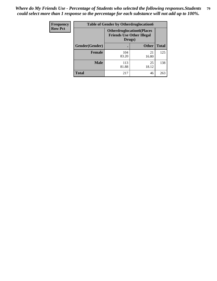| Frequency      | <b>Table of Gender by Otherdruglocation6</b> |                                                                                |              |              |
|----------------|----------------------------------------------|--------------------------------------------------------------------------------|--------------|--------------|
| <b>Row Pct</b> |                                              | <b>Otherdruglocation6(Places</b><br><b>Friends Use Other Illegal</b><br>Drugs) |              |              |
|                | Gender(Gender)                               |                                                                                | <b>Other</b> | <b>Total</b> |
|                | Female                                       | 104<br>83.20                                                                   | 21<br>16.80  | 125          |
|                | <b>Male</b>                                  | 113<br>81.88                                                                   | 25<br>18.12  | 138          |
|                | <b>Total</b>                                 | 217                                                                            | 46           | 263          |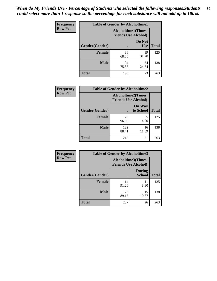| <b>Frequency</b> | <b>Table of Gender by Alcoholtime1</b> |                                                          |                      |              |
|------------------|----------------------------------------|----------------------------------------------------------|----------------------|--------------|
| <b>Row Pct</b>   |                                        | <b>Alcoholtime1(Times</b><br><b>Friends Use Alcohol)</b> |                      |              |
|                  | Gender(Gender)                         | $\bullet$                                                | Do Not<br><b>Use</b> | <b>Total</b> |
|                  | <b>Female</b>                          | 86<br>68.80                                              | 39<br>31.20          | 125          |
|                  | <b>Male</b>                            | 104<br>75.36                                             | 34<br>24.64          | 138          |
|                  | <b>Total</b>                           | 190                                                      | 73                   | 263          |

| Frequency      | <b>Table of Gender by Alcoholtime2</b> |                                                          |                            |              |
|----------------|----------------------------------------|----------------------------------------------------------|----------------------------|--------------|
| <b>Row Pct</b> |                                        | <b>Alcoholtime2(Times</b><br><b>Friends Use Alcohol)</b> |                            |              |
|                | Gender(Gender)                         |                                                          | <b>On Way</b><br>to School | <b>Total</b> |
|                | <b>Female</b>                          | 120<br>96.00                                             | 5<br>4.00                  | 125          |
|                | <b>Male</b>                            | 122<br>88.41                                             | 16<br>11.59                | 138          |
|                | <b>Total</b>                           | 242                                                      | 21                         | 263          |

| <b>Frequency</b> | <b>Table of Gender by Alcoholtime3</b> |                                                          |                         |              |
|------------------|----------------------------------------|----------------------------------------------------------|-------------------------|--------------|
| <b>Row Pct</b>   |                                        | <b>Alcoholtime3(Times</b><br><b>Friends Use Alcohol)</b> |                         |              |
|                  | Gender(Gender)                         |                                                          | <b>During</b><br>School | <b>Total</b> |
|                  | <b>Female</b>                          | 114<br>91.20                                             | 11<br>8.80              | 125          |
|                  | <b>Male</b>                            | 123<br>89.13                                             | 15<br>10.87             | 138          |
|                  | <b>Total</b>                           | 237                                                      | 26                      | 263          |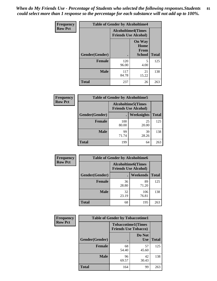*When do My Friends Use - Percentage of Students who selected the following responses.Students could select more than 1 response so the percentage for each substance will not add up to 100%.* **81**

| <b>Frequency</b> | <b>Table of Gender by Alcoholtime4</b> |                                                          |                                                |              |
|------------------|----------------------------------------|----------------------------------------------------------|------------------------------------------------|--------------|
| <b>Row Pct</b>   |                                        | <b>Alcoholtime4(Times</b><br><b>Friends Use Alcohol)</b> |                                                |              |
|                  | Gender(Gender)                         |                                                          | <b>On Way</b><br>Home<br>From<br><b>School</b> | <b>Total</b> |
|                  | <b>Female</b>                          | 120<br>96.00                                             | 5<br>4.00                                      | 125          |
|                  | <b>Male</b>                            | 117<br>84.78                                             | 21<br>15.22                                    | 138          |
|                  | <b>Total</b>                           | 237                                                      | 26                                             | 263          |

| <b>Frequency</b> | <b>Table of Gender by Alcoholtime5</b> |                                                           |                   |              |
|------------------|----------------------------------------|-----------------------------------------------------------|-------------------|--------------|
| <b>Row Pct</b>   |                                        | <b>Alcoholtime5</b> (Times<br><b>Friends Use Alcohol)</b> |                   |              |
|                  | Gender(Gender)                         |                                                           | <b>Weeknights</b> | <b>Total</b> |
|                  | <b>Female</b>                          | 100<br>80.00                                              | 25<br>20.00       | 125          |
|                  | <b>Male</b>                            | 99<br>71.74                                               | 39<br>28.26       | 138          |
|                  | <b>Total</b>                           | 199                                                       | 64                | 263          |

| <b>Frequency</b> | <b>Table of Gender by Alcoholtime6</b> |                                                           |                 |              |
|------------------|----------------------------------------|-----------------------------------------------------------|-----------------|--------------|
| <b>Row Pct</b>   |                                        | <b>Alcoholtime6</b> (Times<br><b>Friends Use Alcohol)</b> |                 |              |
|                  | Gender(Gender)                         |                                                           | <b>Weekends</b> | <b>Total</b> |
|                  | <b>Female</b>                          | 36<br>28.80                                               | 89<br>71.20     | 125          |
|                  | <b>Male</b>                            | 32<br>23.19                                               | 106<br>76.81    | 138          |
|                  | <b>Total</b>                           | 68                                                        | 195             | 263          |

| Frequency      | <b>Table of Gender by Tobaccotime1</b> |                                                          |                      |              |
|----------------|----------------------------------------|----------------------------------------------------------|----------------------|--------------|
| <b>Row Pct</b> |                                        | <b>Tobaccotime1(Times</b><br><b>Friends Use Tobacco)</b> |                      |              |
|                | Gender(Gender)                         |                                                          | Do Not<br><b>Use</b> | <b>Total</b> |
|                | <b>Female</b>                          | 68<br>54.40                                              | 57<br>45.60          | 125          |
|                | <b>Male</b>                            | 96<br>69.57                                              | 42<br>30.43          | 138          |
|                | <b>Total</b>                           | 164                                                      | 99                   | 263          |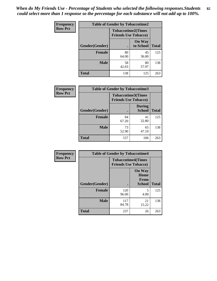| <b>Frequency</b> | <b>Table of Gender by Tobaccotime2</b> |                             |                            |              |
|------------------|----------------------------------------|-----------------------------|----------------------------|--------------|
| <b>Row Pct</b>   |                                        | <b>Friends Use Tobacco)</b> | <b>Tobaccotime2(Times</b>  |              |
|                  | Gender(Gender)                         |                             | <b>On Way</b><br>to School | <b>Total</b> |
|                  | <b>Female</b>                          | 80<br>64.00                 | 45<br>36.00                | 125          |
|                  | <b>Male</b>                            | 58<br>42.03                 | 80<br>57.97                | 138          |
|                  | <b>Total</b>                           | 138                         | 125                        | 263          |

| <b>Frequency</b> | <b>Table of Gender by Tobaccotime3</b> |                                                          |                                |              |
|------------------|----------------------------------------|----------------------------------------------------------|--------------------------------|--------------|
| <b>Row Pct</b>   |                                        | <b>Tobaccotime3(Times</b><br><b>Friends Use Tobacco)</b> |                                |              |
|                  | Gender(Gender)                         |                                                          | <b>During</b><br><b>School</b> | <b>Total</b> |
|                  | <b>Female</b>                          | 84<br>67.20                                              | 41<br>32.80                    | 125          |
|                  | <b>Male</b>                            | 73<br>52.90                                              | 65<br>47.10                    | 138          |
|                  | <b>Total</b>                           | 157                                                      | 106                            | 263          |

| <b>Frequency</b> | <b>Table of Gender by Tobaccotime4</b> |                                                          |                                                       |              |
|------------------|----------------------------------------|----------------------------------------------------------|-------------------------------------------------------|--------------|
| <b>Row Pct</b>   |                                        | <b>Tobaccotime4(Times</b><br><b>Friends Use Tobacco)</b> |                                                       |              |
|                  | Gender(Gender)                         |                                                          | <b>On Way</b><br>Home<br><b>From</b><br><b>School</b> | <b>Total</b> |
|                  | <b>Female</b>                          | 120<br>96.00                                             | 5<br>4.00                                             | 125          |
|                  | <b>Male</b>                            | 117<br>84.78                                             | 21<br>15.22                                           | 138          |
|                  | <b>Total</b>                           | 237                                                      | 26                                                    | 263          |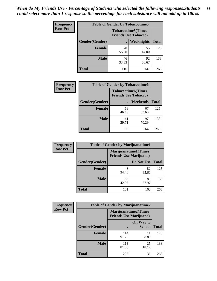| Frequency      | <b>Table of Gender by Tobaccotime5</b> |             |                                                          |              |
|----------------|----------------------------------------|-------------|----------------------------------------------------------|--------------|
| <b>Row Pct</b> |                                        |             | <b>Tobaccotime5(Times</b><br><b>Friends Use Tobacco)</b> |              |
|                | <b>Gender</b> (Gender)                 |             | Weeknights                                               | <b>Total</b> |
|                | <b>Female</b>                          | 70<br>56.00 | 55<br>44.00                                              | 125          |
|                | <b>Male</b>                            | 46<br>33.33 | 92<br>66.67                                              | 138          |
|                | <b>Total</b>                           | 116         | 147                                                      | 263          |

| <b>Frequency</b> |                | <b>Table of Gender by Tobaccotime6</b>                   |             |              |
|------------------|----------------|----------------------------------------------------------|-------------|--------------|
| <b>Row Pct</b>   |                | <b>Tobaccotime6(Times</b><br><b>Friends Use Tobacco)</b> |             |              |
|                  | Gender(Gender) |                                                          | Weekends    | <b>Total</b> |
|                  | <b>Female</b>  | 58<br>46.40                                              | 67<br>53.60 | 125          |
|                  | <b>Male</b>    | 41<br>29.71                                              | 97<br>70.29 | 138          |
|                  | <b>Total</b>   | 99                                                       | 164         | 263          |

| Frequency      |                | <b>Table of Gender by Marijuanatime1</b>                      |             |              |
|----------------|----------------|---------------------------------------------------------------|-------------|--------------|
| <b>Row Pct</b> |                | <b>Marijuanatime1(Times</b><br><b>Friends Use Marijuana</b> ) |             |              |
|                | Gender(Gender) |                                                               | Do Not Use  | <b>Total</b> |
|                | <b>Female</b>  | 43<br>34.40                                                   | 82<br>65.60 | 125          |
|                | <b>Male</b>    | 58<br>42.03                                                   | 80<br>57.97 | 138          |
|                | <b>Total</b>   | 101                                                           | 162         | 263          |

| <b>Frequency</b> | <b>Table of Gender by Marijuanatime2</b> |                                                               |                            |              |
|------------------|------------------------------------------|---------------------------------------------------------------|----------------------------|--------------|
| <b>Row Pct</b>   |                                          | <b>Marijuanatime2(Times</b><br><b>Friends Use Marijuana</b> ) |                            |              |
|                  | Gender(Gender)                           |                                                               | On Way to<br><b>School</b> | <b>Total</b> |
|                  | <b>Female</b>                            | 114<br>91.20                                                  | 11<br>8.80                 | 125          |
|                  | <b>Male</b>                              | 113<br>81.88                                                  | 25<br>18.12                | 138          |
|                  | <b>Total</b>                             | 227                                                           | 36                         | 263          |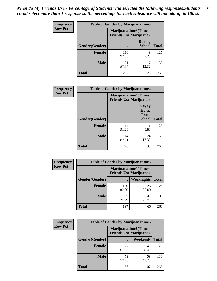*When do My Friends Use - Percentage of Students who selected the following responses.Students could select more than 1 response so the percentage for each substance will not add up to 100%.* **84**

| <b>Frequency</b> | Table of Gender by Marijuanatime3 |                                                        |                                |              |
|------------------|-----------------------------------|--------------------------------------------------------|--------------------------------|--------------|
| <b>Row Pct</b>   |                                   | Marijuanatime3(Times<br><b>Friends Use Marijuana</b> ) |                                |              |
|                  | Gender(Gender)                    |                                                        | <b>During</b><br><b>School</b> | <b>Total</b> |
|                  | <b>Female</b>                     | 116<br>92.80                                           | 9<br>7.20                      | 125          |
|                  | <b>Male</b>                       | 121<br>87.68                                           | 17<br>12.32                    | 138          |
|                  | <b>Total</b>                      | 237                                                    | 26                             | 263          |

| Frequency      | <b>Table of Gender by Marijuanatime4</b> |                                                               |                                                |              |
|----------------|------------------------------------------|---------------------------------------------------------------|------------------------------------------------|--------------|
| <b>Row Pct</b> |                                          | <b>Marijuanatime4(Times</b><br><b>Friends Use Marijuana</b> ) |                                                |              |
|                | Gender(Gender)                           |                                                               | <b>On Way</b><br>Home<br>From<br><b>School</b> | <b>Total</b> |
|                | <b>Female</b>                            | 114<br>91.20                                                  | 11<br>8.80                                     | 125          |
|                | <b>Male</b>                              | 114<br>82.61                                                  | 24<br>17.39                                    | 138          |
|                | <b>Total</b>                             | 228                                                           | 35                                             | 263          |

| Frequency      | <b>Table of Gender by Marijuanatime5</b> |              |                                                                |              |  |
|----------------|------------------------------------------|--------------|----------------------------------------------------------------|--------------|--|
| <b>Row Pct</b> |                                          |              | <b>Marijuanatime5</b> (Times<br><b>Friends Use Marijuana</b> ) |              |  |
|                | Gender(Gender)                           | ٠            | <b>Weeknights</b>                                              | <b>Total</b> |  |
|                | <b>Female</b>                            | 100<br>80.00 | 25<br>20.00                                                    | 125          |  |
|                | <b>Male</b>                              | 97<br>70.29  | 41<br>29.71                                                    | 138          |  |
|                | Total                                    | 197          | 66                                                             | 263          |  |

| <b>Frequency</b> | <b>Table of Gender by Marijuanatime6</b> |                                                                |                 |              |
|------------------|------------------------------------------|----------------------------------------------------------------|-----------------|--------------|
| <b>Row Pct</b>   |                                          | <b>Marijuanatime6</b> (Times<br><b>Friends Use Marijuana</b> ) |                 |              |
|                  | Gender(Gender)                           |                                                                | <b>Weekends</b> | <b>Total</b> |
|                  | <b>Female</b>                            | 77<br>61.60                                                    | 48<br>38.40     | 125          |
|                  | <b>Male</b>                              | 79<br>57.25                                                    | 59<br>42.75     | 138          |
|                  | <b>Total</b>                             | 156                                                            | 107             | 263          |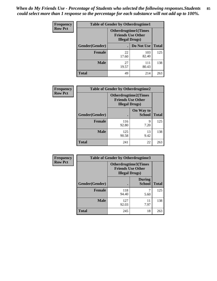*When do My Friends Use - Percentage of Students who selected the following responses.Students could select more than 1 response so the percentage for each substance will not add up to 100%.* **85**

| <b>Frequency</b> | <b>Table of Gender by Otherdrugtime1</b> |                                                                                    |                    |     |  |
|------------------|------------------------------------------|------------------------------------------------------------------------------------|--------------------|-----|--|
| <b>Row Pct</b>   |                                          | <b>Otherdrugtime1</b> (Times<br><b>Friends Use Other</b><br><b>Illegal Drugs</b> ) |                    |     |  |
|                  | Gender(Gender)                           |                                                                                    | Do Not Use   Total |     |  |
|                  | <b>Female</b>                            | 22<br>17.60                                                                        | 103<br>82.40       | 125 |  |
|                  | <b>Male</b>                              | 27<br>19.57                                                                        | 111<br>80.43       | 138 |  |
|                  | <b>Total</b>                             | 49                                                                                 | 214                | 263 |  |

| Frequency      | <b>Table of Gender by Otherdrugtime2</b> |                                                                                   |                            |              |
|----------------|------------------------------------------|-----------------------------------------------------------------------------------|----------------------------|--------------|
| <b>Row Pct</b> |                                          | <b>Otherdrugtime2(Times</b><br><b>Friends Use Other</b><br><b>Illegal Drugs</b> ) |                            |              |
|                | Gender(Gender)                           |                                                                                   | On Way to<br><b>School</b> | <b>Total</b> |
|                | <b>Female</b>                            | 116<br>92.80                                                                      | 9<br>7.20                  | 125          |
|                | <b>Male</b>                              | 125<br>90.58                                                                      | 13<br>9.42                 | 138          |
|                | <b>Total</b>                             | 241                                                                               | 22                         | 263          |

| Frequency      | <b>Table of Gender by Otherdrugtime3</b> |                                                    |                                |              |
|----------------|------------------------------------------|----------------------------------------------------|--------------------------------|--------------|
| <b>Row Pct</b> |                                          | <b>Friends Use Other</b><br><b>Illegal Drugs</b> ) | Otherdrugtime3(Times           |              |
|                | Gender(Gender)                           |                                                    | <b>During</b><br><b>School</b> | <b>Total</b> |
|                | <b>Female</b>                            | 118<br>94.40                                       | 7<br>5.60                      | 125          |
|                | <b>Male</b>                              | 127<br>92.03                                       | 11<br>7.97                     | 138          |
|                | <b>Total</b>                             | 245                                                | 18                             | 263          |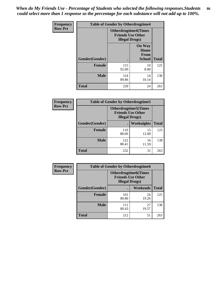*When do My Friends Use - Percentage of Students who selected the following responses.Students could select more than 1 response so the percentage for each substance will not add up to 100%.* **86**

| <b>Frequency</b> | <b>Table of Gender by Otherdrugtime4</b> |                                                                                   |                                                |              |
|------------------|------------------------------------------|-----------------------------------------------------------------------------------|------------------------------------------------|--------------|
| <b>Row Pct</b>   |                                          | <b>Otherdrugtime4(Times</b><br><b>Friends Use Other</b><br><b>Illegal Drugs</b> ) |                                                |              |
|                  | Gender(Gender)                           |                                                                                   | <b>On Way</b><br>Home<br>From<br><b>School</b> | <b>Total</b> |
|                  | Female                                   | 115<br>92.00                                                                      | 10<br>8.00                                     | 125          |
|                  | <b>Male</b>                              | 124<br>89.86                                                                      | 14<br>10.14                                    | 138          |
|                  | <b>Total</b>                             | 239                                                                               | 24                                             | 263          |

| Frequency      | <b>Table of Gender by Otherdrugtime5</b> |                                                                                    |                   |              |
|----------------|------------------------------------------|------------------------------------------------------------------------------------|-------------------|--------------|
| <b>Row Pct</b> |                                          | <b>Otherdrugtime5</b> (Times<br><b>Friends Use Other</b><br><b>Illegal Drugs</b> ) |                   |              |
|                | Gender(Gender)                           |                                                                                    | <b>Weeknights</b> | <b>Total</b> |
|                | <b>Female</b>                            | 110<br>88.00                                                                       | 15<br>12.00       | 125          |
|                | <b>Male</b>                              | 122<br>88.41                                                                       | 16<br>11.59       | 138          |
|                | <b>Total</b>                             | 232                                                                                | 31                | 263          |

| <b>Frequency</b> | <b>Table of Gender by Otherdrugtime6</b> |                                                                                   |             |              |  |
|------------------|------------------------------------------|-----------------------------------------------------------------------------------|-------------|--------------|--|
| <b>Row Pct</b>   |                                          | <b>Otherdrugtime6(Times</b><br><b>Friends Use Other</b><br><b>Illegal Drugs</b> ) |             |              |  |
|                  | Gender(Gender)                           |                                                                                   | Weekends    | <b>Total</b> |  |
|                  | <b>Female</b>                            | 101<br>80.80                                                                      | 24<br>19.20 | 125          |  |
|                  | <b>Male</b>                              | 111<br>80.43                                                                      | 27<br>19.57 | 138          |  |
|                  | <b>Total</b>                             | 212                                                                               | 51          | 263          |  |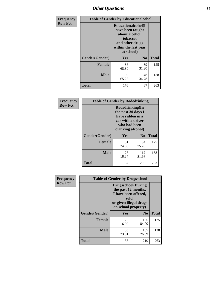# *Other Questions* **87**

| <b>Frequency</b> | <b>Table of Gender by Educationalcohol</b> |                                                                                                                                       |                |              |  |
|------------------|--------------------------------------------|---------------------------------------------------------------------------------------------------------------------------------------|----------------|--------------|--|
| <b>Row Pct</b>   |                                            | <b>Educationalcohol</b> (I<br>have been taught<br>about alcohol,<br>tobacco,<br>and other drugs<br>within the last year<br>at school) |                |              |  |
|                  | Gender(Gender)                             | Yes                                                                                                                                   | N <sub>0</sub> | <b>Total</b> |  |
|                  | <b>Female</b>                              | 86<br>68.80                                                                                                                           | 39<br>31.20    | 125          |  |
|                  | <b>Male</b>                                | 90<br>65.22                                                                                                                           | 48<br>34.78    | 138          |  |
|                  | <b>Total</b>                               | 176                                                                                                                                   | 87             | 263          |  |

| Frequency      | <b>Table of Gender by Rodedrinking</b> |                                                                                                                     |              |              |  |
|----------------|----------------------------------------|---------------------------------------------------------------------------------------------------------------------|--------------|--------------|--|
| <b>Row Pct</b> |                                        | Rodedrinking(In<br>the past 30 days I<br>have ridden in a<br>car with a driver<br>who had been<br>drinking alcohol) |              |              |  |
|                | Gender(Gender)                         | Yes                                                                                                                 | $\bf N_0$    | <b>Total</b> |  |
|                | <b>Female</b>                          | 31<br>24.80                                                                                                         | 94<br>75.20  | 125          |  |
|                | <b>Male</b>                            | 26<br>18.84                                                                                                         | 112<br>81.16 | 138          |  |
|                | <b>Total</b>                           | 57                                                                                                                  | 206          | 263          |  |

| Frequency      | <b>Table of Gender by Drugsschool</b> |                                                                                                                                     |                |              |  |
|----------------|---------------------------------------|-------------------------------------------------------------------------------------------------------------------------------------|----------------|--------------|--|
| <b>Row Pct</b> |                                       | <b>Drugsschool</b> (During<br>the past 12 months,<br>I have been offered,<br>sold,<br>or given illegal drugs<br>on school property) |                |              |  |
|                | Gender(Gender)                        | Yes                                                                                                                                 | N <sub>0</sub> | <b>Total</b> |  |
|                | <b>Female</b>                         | 20<br>16.00                                                                                                                         | 105<br>84.00   | 125          |  |
|                | <b>Male</b>                           | 33<br>23.91                                                                                                                         | 105<br>76.09   | 138          |  |
|                | <b>Total</b>                          | 53                                                                                                                                  | 210            | 263          |  |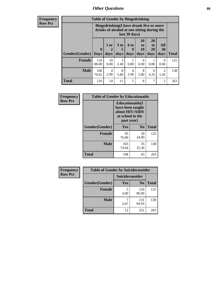# *Other Questions* **88**

**Frequency Row Pct**

| <b>Table of Gender by Bingedrinking</b> |                                                                                                         |              |                   |                   |                        |                               |                        |              |
|-----------------------------------------|---------------------------------------------------------------------------------------------------------|--------------|-------------------|-------------------|------------------------|-------------------------------|------------------------|--------------|
|                                         | Bingedrinking(I have drunk five or more<br>drinks of alcohol at one sitting during the<br>last 30 days) |              |                   |                   |                        |                               |                        |              |
| <b>Gender</b> (Gender)                  | $\bf{0}$<br><b>Days</b>                                                                                 | 1 or<br>days | 3 to<br>5<br>days | 6 to<br>9<br>days | 10<br>to<br>19<br>days | <b>20</b><br>to<br>29<br>days | All<br>30<br>days      | <b>Total</b> |
| <b>Female</b>                           | 110<br>88.00                                                                                            | 10<br>8.00   | 3<br>2.40         | 0.80              | 0<br>0.00              | 0.80                          | 0<br>0.00              | 125          |
| <b>Male</b>                             | 106<br>76.81                                                                                            | 4<br>2.90    | 8<br>5.80         | 4<br>2.90         | 8<br>5.80              | 6<br>4.35                     | $\mathfrak{D}$<br>1.45 | 138          |
| <b>Total</b>                            | 216                                                                                                     | 14           | 11                | 5                 | 8                      | 7                             | $\mathfrak{D}$         | 263          |

| Frequency      |                | <b>Table of Gender by Educationaids</b>                                                         |                |              |
|----------------|----------------|-------------------------------------------------------------------------------------------------|----------------|--------------|
| <b>Row Pct</b> |                | <b>Educationaids</b> (I<br>have been taught<br>about HIV/AIDS<br>at school in the<br>past year) |                |              |
|                | Gender(Gender) | Yes                                                                                             | N <sub>0</sub> | <b>Total</b> |
|                | <b>Female</b>  | 95<br>76.00                                                                                     | 30<br>24.00    | 125          |
|                | <b>Male</b>    | 103<br>74.64                                                                                    | 35<br>25.36    | 138          |
|                | <b>Total</b>   | 198                                                                                             | 65             | 263          |

| Frequency      | <b>Table of Gender by Suicideconsider</b> |                        |                |       |  |
|----------------|-------------------------------------------|------------------------|----------------|-------|--|
| <b>Row Pct</b> |                                           | <b>Suicideconsider</b> |                |       |  |
|                | Gender(Gender)                            | Yes                    | N <sub>0</sub> | Total |  |
|                | <b>Female</b>                             | 4.00                   | 120<br>96.00   | 125   |  |
|                | <b>Male</b>                               | 5.07                   | 131<br>94.93   | 138   |  |
|                | <b>Total</b>                              | 12                     | 251            | 263   |  |